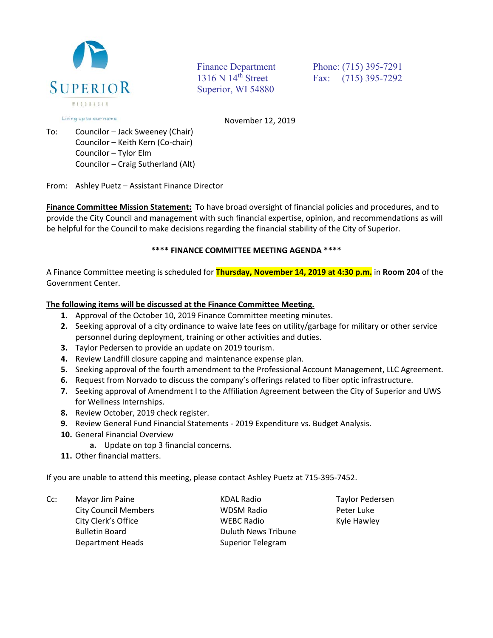

Superior, WI 54880

Finance Department Phone: (715) 395-7291 1316 N 14<sup>th</sup> Street Fax: (715) 395-7292

Living up to our name.

November 12, 2019

To: Councilor – Jack Sweeney (Chair) Councilor – Keith Kern (Co‐chair) Councilor – Tylor Elm Councilor – Craig Sutherland (Alt)

From: Ashley Puetz – Assistant Finance Director

**Finance Committee Mission Statement:** To have broad oversight of financial policies and procedures, and to provide the City Council and management with such financial expertise, opinion, and recommendations as will be helpful for the Council to make decisions regarding the financial stability of the City of Superior.

## **\*\*\*\* FINANCE COMMITTEE MEETING AGENDA \*\*\*\***

A Finance Committee meeting is scheduled for **Thursday, November 14, 2019 at 4:30 p.m.** in **Room 204** of the Government Center.

## **The following items will be discussed at the Finance Committee Meeting.**

- **1.** Approval of the October 10, 2019 Finance Committee meeting minutes.
- **2.** Seeking approval of a city ordinance to waive late fees on utility/garbage for military or other service personnel during deployment, training or other activities and duties.
- **3.** Taylor Pedersen to provide an update on 2019 tourism.
- **4.** Review Landfill closure capping and maintenance expense plan.
- **5.** Seeking approval of the fourth amendment to the Professional Account Management, LLC Agreement.
- **6.** Request from Norvado to discuss the company's offerings related to fiber optic infrastructure.
- **7.** Seeking approval of Amendment I to the Affiliation Agreement between the City of Superior and UWS for Wellness Internships.
- **8.** Review October, 2019 check register.
- **9.** Review General Fund Financial Statements 2019 Expenditure vs. Budget Analysis.
- **10.** General Financial Overview
	- **a.** Update on top 3 financial concerns.
- **11.** Other financial matters.

If you are unable to attend this meeting, please contact Ashley Puetz at 715‐395‐7452.

Cc: Mayor Jim Paine KDAL Radio Taylor Pedersen

Department Heads Superior Telegram

 City Council Members WDSM Radio Peter Luke City Clerk's Office WEBC Radio Kyle Hawley Bulletin Board **Bulletin Board Example 20** Buluth News Tribune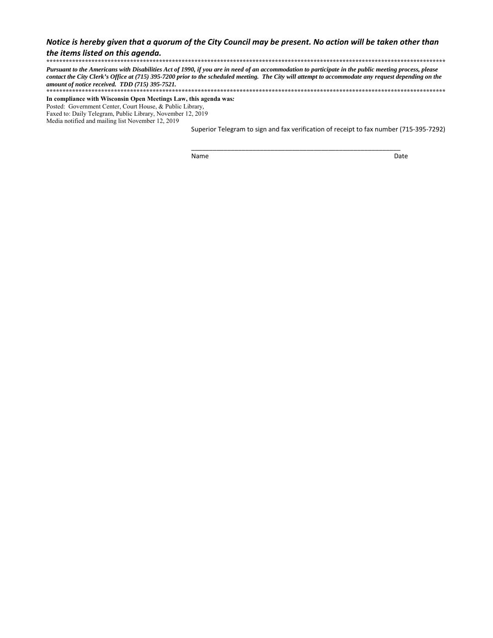### *Notice is hereby given that a quorum of the City Council may be present. No action will be taken other than the items listed on this agenda.*

**\*\*\*\*\*\*\*\*\*\*\*\*\*\*\*\*\*\*\*\*\*\*\*\*\*\*\*\*\*\*\*\*\*\*\*\*\*\*\*\*\*\*\*\*\*\*\*\*\*\*\*\*\*\*\*\*\*\*\*\*\*\*\*\*\*\*\*\*\*\*\*\*\*\*\*\*\*\*\*\*\*\*\*\*\*\*\*\*\*\*\*\*\*\*\*\*\*\*\*\*\*\*\*\*\*\*\*\*\*\*\*\*\*\*\*\*\*\*\*\*\*\*\*\***  *Pursuant to the Americans with Disabilities Act of 1990, if you are in need of an accommodation to participate in the public meeting process, please contact the City Clerk's Office at (715) 395-7200 prior to the scheduled meeting. The City will attempt to accommodate any request depending on the amount of notice received. TDD (715) 395-7521.* **\*\*\*\*\*\*\*\*\*\*\*\*\*\*\*\*\*\*\*\*\*\*\*\*\*\*\*\*\*\*\*\*\*\*\*\*\*\*\*\*\*\*\*\*\*\*\*\*\*\*\*\*\*\*\*\*\*\*\*\*\*\*\*\*\*\*\*\*\*\*\*\*\*\*\*\*\*\*\*\*\*\*\*\*\*\*\*\*\*\*\*\*\*\*\*\*\*\*\*\*\*\*\*\*\*\*\*\*\*\*\*\*\*\*\*\*\*\*\*\*\*\*\*\***

**In compliance with Wisconsin Open Meetings Law, this agenda was***:* Posted: Government Center, Court House, & Public Library*,* Faxed to: Daily Telegram, Public Library, November 12, 2019 Media notified and mailing list November 12, 2019

 Superior Telegram to sign and fax verification of receipt to fax number (715‐395‐7292)

Name Date

\_\_\_\_\_\_\_\_\_\_\_\_\_\_\_\_\_\_\_\_\_\_\_\_\_\_\_\_\_\_\_\_\_\_\_\_\_\_\_\_\_\_\_\_\_\_\_\_\_\_\_\_\_\_\_\_\_\_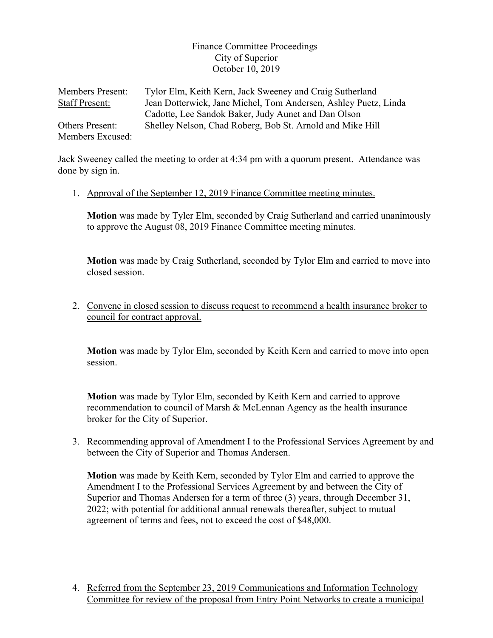## Finance Committee Proceedings City of Superior October 10, 2019

Members Present: Tylor Elm, Keith Kern, Jack Sweeney and Craig Sutherland Staff Present: Jean Dotterwick, Jane Michel, Tom Andersen, Ashley Puetz, Linda Cadotte, Lee Sandok Baker, Judy Aunet and Dan Olson Others Present: Shelley Nelson, Chad Roberg, Bob St. Arnold and Mike Hill Members Excused:

Jack Sweeney called the meeting to order at 4:34 pm with a quorum present. Attendance was done by sign in.

1. Approval of the September 12, 2019 Finance Committee meeting minutes.

**Motion** was made by Tyler Elm, seconded by Craig Sutherland and carried unanimously to approve the August 08, 2019 Finance Committee meeting minutes.

**Motion** was made by Craig Sutherland, seconded by Tylor Elm and carried to move into closed session.

2. Convene in closed session to discuss request to recommend a health insurance broker to council for contract approval.

**Motion** was made by Tylor Elm, seconded by Keith Kern and carried to move into open session.

**Motion** was made by Tylor Elm, seconded by Keith Kern and carried to approve recommendation to council of Marsh & McLennan Agency as the health insurance broker for the City of Superior.

3. Recommending approval of Amendment I to the Professional Services Agreement by and between the City of Superior and Thomas Andersen.

**Motion** was made by Keith Kern, seconded by Tylor Elm and carried to approve the Amendment I to the Professional Services Agreement by and between the City of Superior and Thomas Andersen for a term of three (3) years, through December 31, 2022; with potential for additional annual renewals thereafter, subject to mutual agreement of terms and fees, not to exceed the cost of \$48,000.

4. Referred from the September 23, 2019 Communications and Information Technology Committee for review of the proposal from Entry Point Networks to create a municipal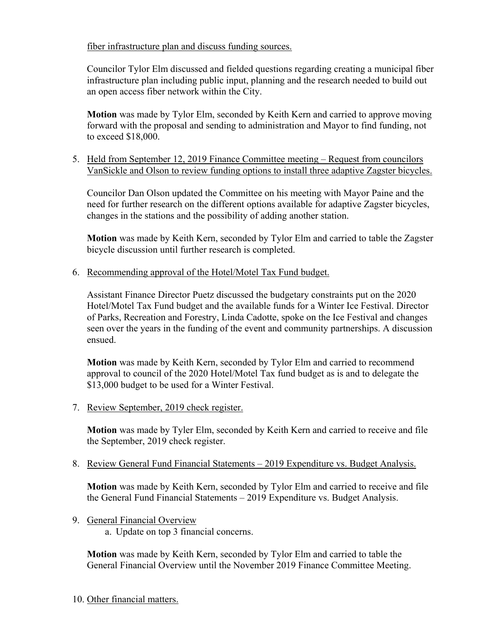fiber infrastructure plan and discuss funding sources.

Councilor Tylor Elm discussed and fielded questions regarding creating a municipal fiber infrastructure plan including public input, planning and the research needed to build out an open access fiber network within the City.

**Motion** was made by Tylor Elm, seconded by Keith Kern and carried to approve moving forward with the proposal and sending to administration and Mayor to find funding, not to exceed \$18,000.

5. Held from September 12, 2019 Finance Committee meeting – Request from councilors VanSickle and Olson to review funding options to install three adaptive Zagster bicycles.

Councilor Dan Olson updated the Committee on his meeting with Mayor Paine and the need for further research on the different options available for adaptive Zagster bicycles, changes in the stations and the possibility of adding another station.

**Motion** was made by Keith Kern, seconded by Tylor Elm and carried to table the Zagster bicycle discussion until further research is completed.

6. Recommending approval of the Hotel/Motel Tax Fund budget.

Assistant Finance Director Puetz discussed the budgetary constraints put on the 2020 Hotel/Motel Tax Fund budget and the available funds for a Winter Ice Festival. Director of Parks, Recreation and Forestry, Linda Cadotte, spoke on the Ice Festival and changes seen over the years in the funding of the event and community partnerships. A discussion ensued.

**Motion** was made by Keith Kern, seconded by Tylor Elm and carried to recommend approval to council of the 2020 Hotel/Motel Tax fund budget as is and to delegate the \$13,000 budget to be used for a Winter Festival.

7. Review September, 2019 check register.

**Motion** was made by Tyler Elm, seconded by Keith Kern and carried to receive and file the September, 2019 check register.

8. Review General Fund Financial Statements – 2019 Expenditure vs. Budget Analysis.

**Motion** was made by Keith Kern, seconded by Tylor Elm and carried to receive and file the General Fund Financial Statements – 2019 Expenditure vs. Budget Analysis.

9. General Financial Overview

a. Update on top 3 financial concerns.

**Motion** was made by Keith Kern, seconded by Tylor Elm and carried to table the General Financial Overview until the November 2019 Finance Committee Meeting.

10. Other financial matters.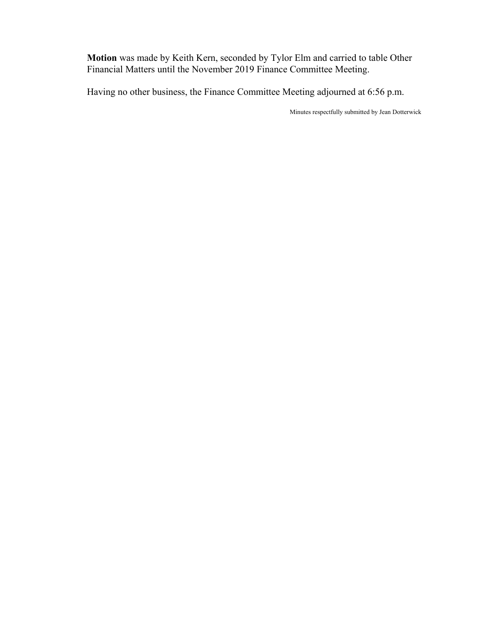**Motion** was made by Keith Kern, seconded by Tylor Elm and carried to table Other Financial Matters until the November 2019 Finance Committee Meeting.

Having no other business, the Finance Committee Meeting adjourned at 6:56 p.m.

Minutes respectfully submitted by Jean Dotterwick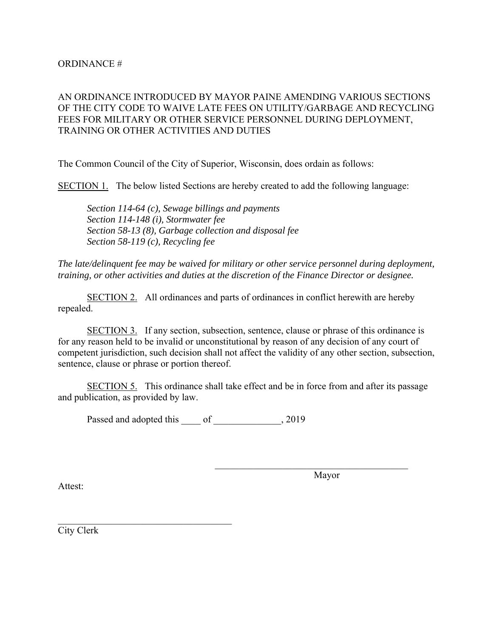## ORDINANCE #

## AN ORDINANCE INTRODUCED BY MAYOR PAINE AMENDING VARIOUS SECTIONS OF THE CITY CODE TO WAIVE LATE FEES ON UTILITY/GARBAGE AND RECYCLING FEES FOR MILITARY OR OTHER SERVICE PERSONNEL DURING DEPLOYMENT, TRAINING OR OTHER ACTIVITIES AND DUTIES

The Common Council of the City of Superior, Wisconsin, does ordain as follows:

SECTION 1. The below listed Sections are hereby created to add the following language:

 *Section 114-64 (c), Sewage billings and payments Section 114-148 (i), Stormwater fee Section 58-13 (8), Garbage collection and disposal fee Section 58-119 (c), Recycling fee* 

*The late/delinquent fee may be waived for military or other service personnel during deployment, training, or other activities and duties at the discretion of the Finance Director or designee.* 

 SECTION 2. All ordinances and parts of ordinances in conflict herewith are hereby repealed.

 SECTION 3. If any section, subsection, sentence, clause or phrase of this ordinance is for any reason held to be invalid or unconstitutional by reason of any decision of any court of competent jurisdiction, such decision shall not affect the validity of any other section, subsection, sentence, clause or phrase or portion thereof.

 SECTION 5. This ordinance shall take effect and be in force from and after its passage and publication, as provided by law.

Passed and adopted this \_\_\_\_ of \_\_\_\_\_\_\_\_\_\_\_\_\_, 2019

Attest:

Mayor

City Clerk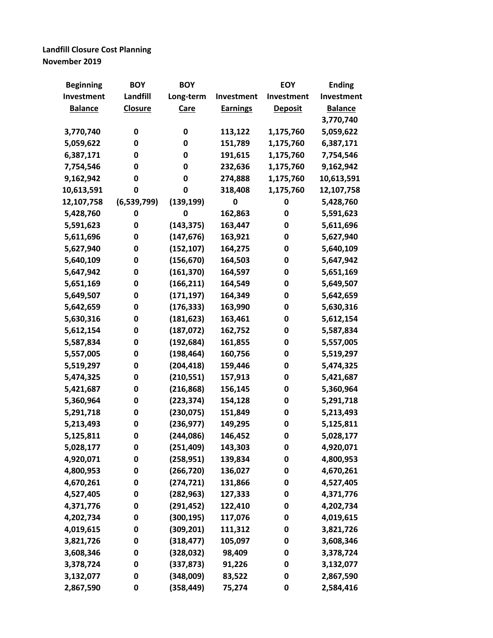# **Landfill Closure Cost Planning November 2019**

| <b>Beginning</b> | <b>BOY</b>     | <b>BOY</b>  |                 | <b>EOY</b>     | <b>Ending</b>  |
|------------------|----------------|-------------|-----------------|----------------|----------------|
| Investment       | Landfill       | Long-term   | Investment      | Investment     | Investment     |
| <b>Balance</b>   | <b>Closure</b> | <b>Care</b> | <b>Earnings</b> | <b>Deposit</b> | <b>Balance</b> |
|                  |                |             |                 |                | 3,770,740      |
| 3,770,740        | 0              | 0           | 113,122         | 1,175,760      | 5,059,622      |
| 5,059,622        | 0              | 0           | 151,789         | 1,175,760      | 6,387,171      |
| 6,387,171        | 0              | 0           | 191,615         | 1,175,760      | 7,754,546      |
| 7,754,546        | 0              | 0           | 232,636         | 1,175,760      | 9,162,942      |
| 9,162,942        | 0              | 0           | 274,888         | 1,175,760      | 10,613,591     |
| 10,613,591       | 0              | 0           | 318,408         | 1,175,760      | 12,107,758     |
| 12,107,758       | (6,539,799)    | (139, 199)  | 0               | 0              | 5,428,760      |
| 5,428,760        | 0              | 0           | 162,863         | 0              | 5,591,623      |
| 5,591,623        | 0              | (143, 375)  | 163,447         | 0              | 5,611,696      |
| 5,611,696        | 0              | (147, 676)  | 163,921         | 0              | 5,627,940      |
| 5,627,940        | 0              | (152, 107)  | 164,275         | 0              | 5,640,109      |
| 5,640,109        | 0              | (156, 670)  | 164,503         | 0              | 5,647,942      |
| 5,647,942        | 0              | (161, 370)  | 164,597         | 0              | 5,651,169      |
| 5,651,169        | 0              | (166, 211)  | 164,549         | 0              | 5,649,507      |
| 5,649,507        | $\mathbf 0$    | (171, 197)  | 164,349         | 0              | 5,642,659      |
| 5,642,659        | 0              | (176, 333)  | 163,990         | 0              | 5,630,316      |
| 5,630,316        | 0              | (181, 623)  | 163,461         | 0              | 5,612,154      |
| 5,612,154        | 0              | (187, 072)  | 162,752         | 0              | 5,587,834      |
| 5,587,834        | 0              | (192, 684)  | 161,855         | 0              | 5,557,005      |
| 5,557,005        | 0              | (198, 464)  | 160,756         | 0              | 5,519,297      |
| 5,519,297        | 0              | (204, 418)  | 159,446         | 0              | 5,474,325      |
| 5,474,325        | 0              | (210, 551)  | 157,913         | 0              | 5,421,687      |
| 5,421,687        | 0              | (216, 868)  | 156,145         | 0              | 5,360,964      |
| 5,360,964        | 0              | (223, 374)  | 154,128         | 0              | 5,291,718      |
| 5,291,718        | 0              | (230, 075)  | 151,849         | 0              | 5,213,493      |
| 5,213,493        | 0              | (236, 977)  | 149,295         | 0              | 5,125,811      |
| 5,125,811        | $\mathbf 0$    | (244, 086)  | 146,452         | 0              | 5,028,177      |
| 5,028,177        | 0              | (251, 409)  | 143,303         | 0              | 4,920,071      |
| 4,920,071        | 0              | (258, 951)  | 139,834         | 0              | 4,800,953      |
| 4,800,953        | 0              | (266, 720)  | 136,027         | 0              | 4,670,261      |
| 4,670,261        | 0              | (274, 721)  | 131,866         | 0              | 4,527,405      |
| 4,527,405        | 0              | (282, 963)  | 127,333         | 0              | 4,371,776      |
| 4,371,776        | 0              | (291, 452)  | 122,410         | 0              | 4,202,734      |
| 4,202,734        | 0              | (300, 195)  | 117,076         | 0              | 4,019,615      |
| 4,019,615        | 0              | (309, 201)  | 111,312         | 0              | 3,821,726      |
| 3,821,726        | 0              | (318, 477)  | 105,097         | 0              | 3,608,346      |
| 3,608,346        | 0              | (328, 032)  | 98,409          | 0              | 3,378,724      |
| 3,378,724        | 0              | (337, 873)  | 91,226          | 0              | 3,132,077      |
| 3,132,077        | 0              | (348,009)   | 83,522          | 0              | 2,867,590      |
| 2,867,590        | 0              | (358, 449)  | 75,274          | 0              | 2,584,416      |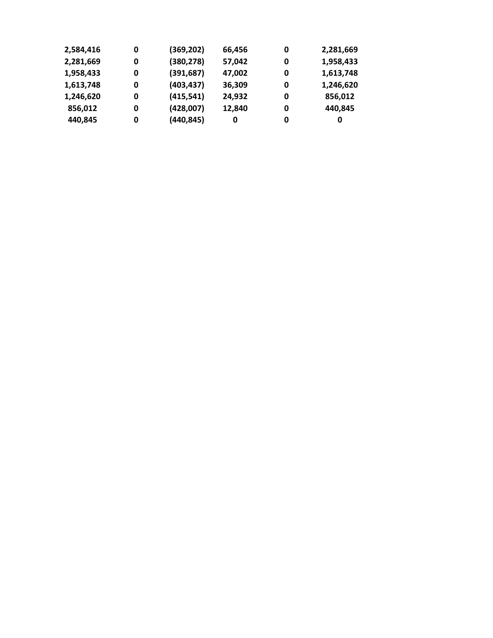| 2,584,416 | 0 | (369, 202) | 66,456 | 0 | 2,281,669 |
|-----------|---|------------|--------|---|-----------|
| 2,281,669 | 0 | (380, 278) | 57,042 | 0 | 1,958,433 |
| 1,958,433 | 0 | (391, 687) | 47,002 | 0 | 1,613,748 |
| 1,613,748 | 0 | (403, 437) | 36,309 | 0 | 1,246,620 |
| 1,246,620 | 0 | (415, 541) | 24,932 | 0 | 856,012   |
| 856,012   | 0 | (428,007)  | 12,840 | 0 | 440,845   |
| 440,845   | 0 | (440, 845) | 0      | 0 | 0         |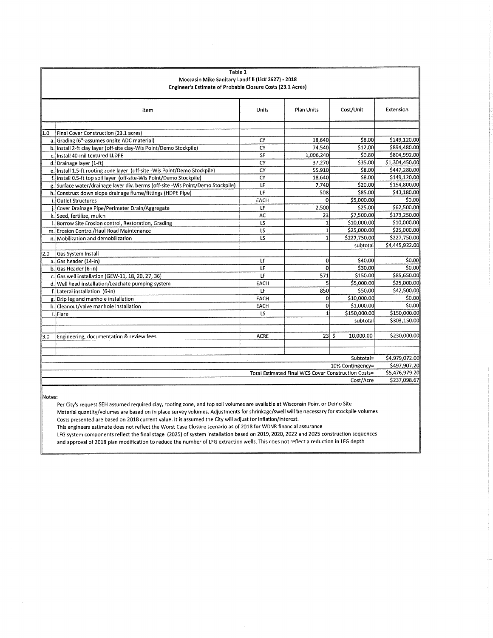|           | Table 1                                                                         |                          |                                                     |                  |                                |
|-----------|---------------------------------------------------------------------------------|--------------------------|-----------------------------------------------------|------------------|--------------------------------|
|           | Moccasin Mike Sanitary Landfill (Lic# 2627) - 2018                              |                          |                                                     |                  |                                |
|           | Engineer's Estimate of Probable Closure Costs (23.1 Acres)                      |                          |                                                     |                  |                                |
|           | Item                                                                            | Units                    | <b>Plan Units</b>                                   | Cost/Unit        | Extension                      |
|           |                                                                                 |                          |                                                     |                  |                                |
| 1.0       | Final Cover Construction (23.1 acres)                                           |                          |                                                     |                  |                                |
|           | a. Grading (6"-assumes onsite ADC material)                                     | CY                       | 18,640                                              | \$8.00           | \$149,120.00                   |
|           | b. Install 2-ft clay layer (off-site clay-Wis Point/Demo Stockpile)             | CY                       | 74,540                                              | \$12.00          | \$894,480.00                   |
|           | c. Install 40-mil textured LLDPE                                                | SF                       | 1,006,240                                           | \$0.80           | \$804,992.00                   |
|           | d. Drainage layer (1-ft)                                                        | CY                       | 37,270                                              | \$35.00          | \$1,304,450.00                 |
|           | e. Install 1.5-ft rooting zone layer (off-site -Wis Point/Demo Stockpile)       | CY                       | 55,910                                              | \$8.00           | \$447,280.00                   |
|           | f. Install 0.5-ft top soil layer (off-site-Wis Point/Demo Stockpile)            | CY                       | 18,640                                              | \$8.00           | \$149,120.00                   |
|           | g. Surface water/drainage layer div. berms (off-site -Wis Point/Demo Stockpile) | LF                       | 7,740                                               | \$20.00          | \$154,800.00                   |
|           | h. Construct down slope drainage flume/fittings (HDPE Pipe)                     | LF                       | 508                                                 | \$85.00          | \$43,180.00                    |
|           | <b>Outlet Structures</b>                                                        | EACH                     | $\Omega$                                            | \$5,000.00       | \$0.00                         |
|           | Cover Drainage Pipe/Perimeter Drain/Aggregate                                   | LF                       | 2,500                                               | \$25.00          | \$62,500.00                    |
|           | k. Seed, fertilize, mulch                                                       | AC                       | 23                                                  | \$7,500.00       | \$173,250.00                   |
|           | Borrow Site Erosion control, Restoration, Grading                               | LS                       | $\mathbf{1}$                                        | \$10,000.00      | \$10,000.00                    |
|           | m. Erosion Control/Haul Road Maintenance                                        | LS                       | $\mathbf{1}$                                        | \$25,000.00      | \$25,000.00                    |
|           | n. Mobilization and demobilization                                              | LS                       | $\mathbf{1}$                                        | \$227,750.00     | \$227,750.00                   |
|           |                                                                                 |                          |                                                     | subtotal         | \$4,445,922.00                 |
| 2.0       | Gas System Install                                                              |                          |                                                     |                  |                                |
|           | a. Gas header (14-in)                                                           | LF                       | $\mathbf{0}$                                        | \$40.00          | \$0.00                         |
|           | b. Gas Header (6-in)                                                            | $\overline{\mathsf{LF}}$ | $\Omega$                                            | \$30.00          | \$0.00                         |
|           | c. Gas well installation (GEW-11, 18, 20, 27, 36)                               | E                        | 571                                                 | \$150.00         | \$85,650.00                    |
|           | d. Well head installation/Leachate pumping system                               | EACH                     | 5                                                   | \$5,000.00       | \$25,000.00                    |
|           | f. Lateral installation (6-in)                                                  | LF                       | 850                                                 | \$50.00          | \$42,500.00                    |
|           | g. Drip leg and manhole installation                                            | EACH                     | $\overline{0}$                                      | \$10,000.00      | \$0.00                         |
|           | h. Cleanout/valve manhole installation                                          | EACH                     | $\mathbf{0}$                                        | \$1,000.00       | \$0.00                         |
|           | i.Flare                                                                         | LS                       | $\mathbf{1}$                                        | \$150,000.00     | \$150,000.00                   |
|           |                                                                                 |                          |                                                     | subtotal         | \$303,150.00                   |
|           |                                                                                 |                          |                                                     |                  |                                |
| 3.0       | Engineering, documentation & review fees                                        | <b>ACRE</b>              | $23$ s                                              | 10,000.00        | \$230,000.00                   |
|           |                                                                                 |                          |                                                     |                  |                                |
|           |                                                                                 |                          |                                                     |                  |                                |
|           |                                                                                 |                          |                                                     | Subtotal=        | \$4,979,072.00                 |
|           |                                                                                 |                          |                                                     | 10% Contingency= | \$497,907.20                   |
|           |                                                                                 |                          | Total Estimated Final WCS Cover Construction Costs= |                  | \$5,476,979.20<br>\$237,098.67 |
| Cost/Acre |                                                                                 |                          |                                                     |                  |                                |

 $\parallel$ Notes:

Per City's request SEH assumed required clay, rooting zone, and top soil volumes are available at Wisconsin Point or Demo Site Material quantity/volumes are based on in place survey volumes. Adjustments for shrinkage/swell will be necessary for stockpile volumes Costs presented are based on 2018 current value. It is assumed the City will adjust for inflation/interest.

This engineers estimate does not reflect the Worst Case Closure scenario as of 2018 for WDNR financial assurance

LFG system components reflect the final stage (2025) of system installation based on 2019, 2020, 2022 and 2025 construction sequences and approval of 2018 plan modification to reduce the number of LFG extraction wells. This does not reflect a reduction in LFG depth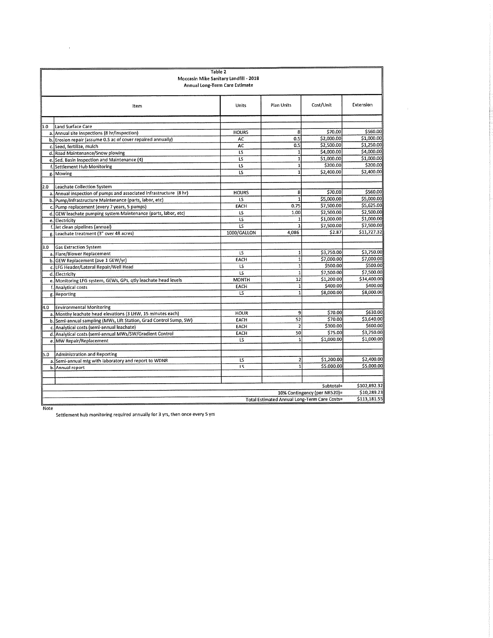|     | Table 2<br>Moccasin Mike Sanitary Landfill - 2018<br>Annual Long-Term Care Estimate |                 |                                              |                              |              |  |  |
|-----|-------------------------------------------------------------------------------------|-----------------|----------------------------------------------|------------------------------|--------------|--|--|
|     | item                                                                                | <b>Units</b>    | Plan Units                                   | Cost/Unit                    | Extension    |  |  |
|     |                                                                                     |                 |                                              |                              |              |  |  |
| 1.0 | Land Surface Care                                                                   | <b>HOURS</b>    | 8                                            | \$70.00                      | \$560.00     |  |  |
|     | a. Annual site inspections (8 hr/inspection)                                        | AC              | 0.5                                          | \$2,000.00                   | \$1,000.00   |  |  |
|     | b. Erosion repair (assume 0.5 ac of cover repaired annually)                        | AC              | 0.5                                          | \$2,500.00                   | \$1,250.00   |  |  |
|     | c. Seed, fertilize, mulch<br>d. Road Maintenance/Snow plowing                       | <b>LS</b>       | 1                                            | \$4,000.00                   | \$4,000.00   |  |  |
|     |                                                                                     | تآ              | $\mathbf{1}$                                 | \$1,000.00                   | \$1,000.00   |  |  |
|     | e. Sed. Basin Inspection and Maintenance (4)                                        | LS              | $\mathbf{1}$                                 | \$200.00                     | \$200.00     |  |  |
|     | f. Settlement Hub Monitoring                                                        | LS              | $\overline{\mathbf{1}}$                      | \$2,400.00                   | \$2,400.00   |  |  |
|     | g. Mowing                                                                           |                 |                                              |                              |              |  |  |
|     | Leachate Collection System                                                          |                 |                                              |                              |              |  |  |
| 2.0 | a. Annual inspection of pumps and associated infrastructure (8 hr)                  | <b>HOURS</b>    | 8                                            | \$70.00                      | \$560.00     |  |  |
|     | b. Pump/Infrastructure Maintenance (parts, labor, etc)                              | LS              | $\overline{\mathbf{1}}$                      | \$5,000.00                   | \$5,000.00   |  |  |
|     | c. Pump replacement (every 7 years, 5 pumps)                                        | EACH            | 0.75                                         | \$7,500.00                   | \$5,625.00   |  |  |
|     | d. GEW leachate pumping system Maintenance (parts, labor, etc)                      | LS              | 1.00                                         | \$2,500.00                   | \$2,500.00   |  |  |
|     | e. Electricity                                                                      | $\overline{15}$ | $\mathbf{1}$                                 | \$1,000.00                   | \$1,000.00   |  |  |
|     | f. Jet clean pipelines (annual)                                                     | تآ              | $\mathbf{1}$                                 | \$7,500.00                   | \$7,500.00   |  |  |
|     | g. Leachate treatment (3" over 48 acres)                                            | 1000/GALLON     | 4,086                                        | \$2.87                       | \$11,727.32  |  |  |
|     |                                                                                     |                 |                                              |                              |              |  |  |
| 3.0 | <b>Gas Extraction System</b>                                                        |                 |                                              |                              |              |  |  |
|     | a. Flare/Blower Replacement                                                         | <b>LS</b>       | $\mathbf{1}$                                 | \$3,750.00                   | \$3,750.00   |  |  |
|     | b. GEW Replacement (ave 1 GEW/yr)                                                   | EACH            | $\overline{\mathbf{1}}$                      | \$7.000.00                   | \$7,000.00   |  |  |
|     | c. LFG Header/Lateral Repair/Well Head                                              | LS              | $\mathbf{1}$                                 | \$500.00                     | \$500.00     |  |  |
|     | d. Electricity                                                                      | <b>LS</b>       | $\mathbf{1}$                                 | \$7,500.00                   | \$7,500.00   |  |  |
|     | e. Monitoring LFG system, GEWs, GPs, qtly leachate head levels                      | <b>MONTH</b>    | 12                                           | \$1,200.00                   | \$14,400.00  |  |  |
|     | f. Analytical costs                                                                 | EACH            | $\mathbf{1}$                                 | \$400.00                     | \$400.00     |  |  |
|     | g. Reporting                                                                        | LS              | 1                                            | \$8,000.00                   | \$8,000.00   |  |  |
|     |                                                                                     |                 |                                              |                              |              |  |  |
| 4.0 | Environmental Monitoring                                                            |                 |                                              |                              |              |  |  |
|     | a. Monthy leachate head elevations (3 LHW, 15 minutes each)                         | <b>HOUR</b>     | $\overline{9}$                               | \$70,00                      | \$630.00     |  |  |
|     | b. Semi-annual sampling (MWs, Lift Station, Grad Control Sump, SW)                  | EACH            | 52                                           | \$70.00                      | \$3,640.00   |  |  |
|     | c. Analytical costs (semi-annual leachate)                                          | EACH            | $\overline{2}$                               | \$300.00                     | \$600,00     |  |  |
|     | d. Analytical costs (semi-annual MWs/SW/Gradient Control                            | EACH            | 50                                           | \$75.00                      | \$3,750.00   |  |  |
|     | e. MW Repair/Replacement                                                            | LS              | $1\vert$                                     | \$1,000.00                   | \$1,000.00   |  |  |
|     |                                                                                     |                 |                                              |                              |              |  |  |
| 5.0 | Administration and Reporting                                                        |                 |                                              |                              |              |  |  |
|     | a. Semi-annual mtg with laboratory and report to WDNR                               | LS              | $\overline{2}$                               | \$1,200.00                   | \$2,400.00   |  |  |
|     | b. Annual report                                                                    | LS              | $\overline{1}$                               | \$5,000.00                   | \$5,000.00   |  |  |
|     |                                                                                     |                 |                                              |                              |              |  |  |
|     |                                                                                     |                 |                                              |                              |              |  |  |
|     |                                                                                     |                 |                                              | Subtotal=                    | \$102,892.32 |  |  |
|     |                                                                                     |                 |                                              | 10% Contingency (per NR520)= | \$10,289.23  |  |  |
|     |                                                                                     |                 | Total Estimated Annual Long-Term Care Costs= |                              | \$113,181.55 |  |  |

 $\overline{\text{Note}}$ 

 $\label{eq:2.1} \mathcal{L}(\mathcal{L}^{\text{max}}_{\mathcal{L}}(\mathcal{L}^{\text{max}}_{\mathcal{L}})) \leq \mathcal{L}(\mathcal{L}^{\text{max}}_{\mathcal{L}}(\mathcal{L}^{\text{max}}_{\mathcal{L}}))$ 

Settlement hub monitoring required annually for 3 yrs, then once every 5 yrs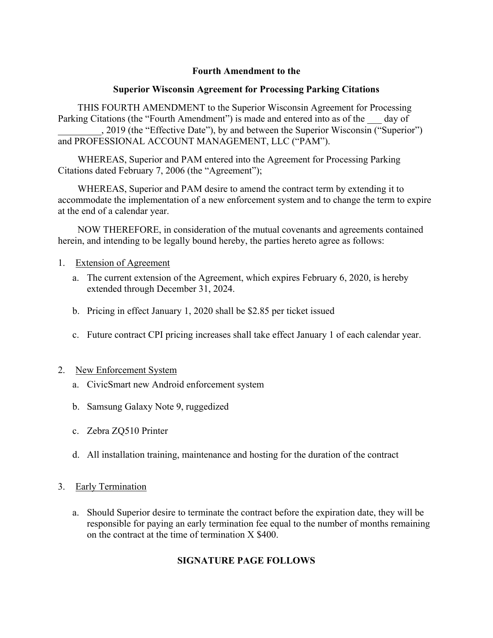## **Fourth Amendment to the**

## **Superior Wisconsin Agreement for Processing Parking Citations**

THIS FOURTH AMENDMENT to the Superior Wisconsin Agreement for Processing Parking Citations (the "Fourth Amendment") is made and entered into as of the day of \_\_\_\_\_\_\_\_\_, 2019 (the "Effective Date"), by and between the Superior Wisconsin ("Superior") and PROFESSIONAL ACCOUNT MANAGEMENT, LLC ("PAM").

WHEREAS, Superior and PAM entered into the Agreement for Processing Parking Citations dated February 7, 2006 (the "Agreement");

WHEREAS, Superior and PAM desire to amend the contract term by extending it to accommodate the implementation of a new enforcement system and to change the term to expire at the end of a calendar year.

NOW THEREFORE, in consideration of the mutual covenants and agreements contained herein, and intending to be legally bound hereby, the parties hereto agree as follows:

## 1. Extension of Agreement

- a. The current extension of the Agreement, which expires February 6, 2020, is hereby extended through December 31, 2024.
- b. Pricing in effect January 1, 2020 shall be \$2.85 per ticket issued
- c. Future contract CPI pricing increases shall take effect January 1 of each calendar year.

## 2. New Enforcement System

- a. CivicSmart new Android enforcement system
- b. Samsung Galaxy Note 9, ruggedized
- c. Zebra ZQ510 Printer
- d. All installation training, maintenance and hosting for the duration of the contract

## 3. Early Termination

a. Should Superior desire to terminate the contract before the expiration date, they will be responsible for paying an early termination fee equal to the number of months remaining on the contract at the time of termination X \$400.

# **SIGNATURE PAGE FOLLOWS**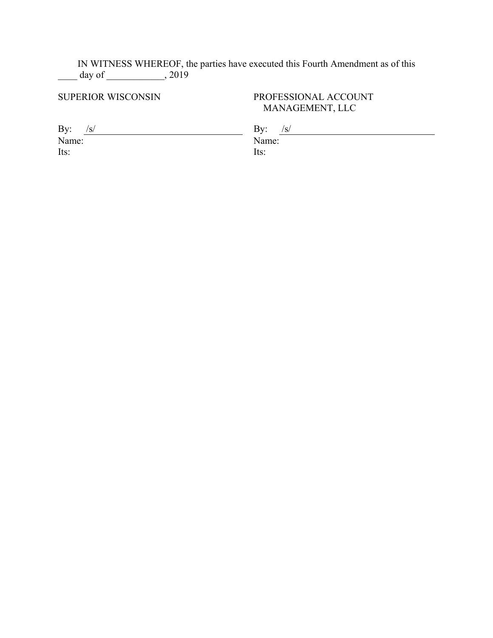IN WITNESS WHEREOF, the parties have executed this Fourth Amendment as of this  $day of$   $, 2019$ 

## SUPERIOR WISCONSIN PROFESSIONAL ACCOUNT MANAGEMENT, LLC

Name: Name: Its: Its:

By:  $/s/$  By:  $/s/$  By:  $/s/$  Name:  $\frac{1}{s}$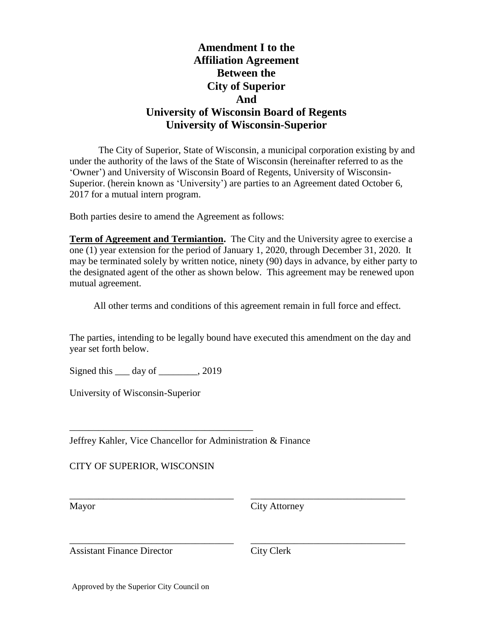# **Amendment I to the Affiliation Agreement Between the City of Superior And University of Wisconsin Board of Regents University of Wisconsin-Superior**

The City of Superior, State of Wisconsin, a municipal corporation existing by and under the authority of the laws of the State of Wisconsin (hereinafter referred to as the 'Owner') and University of Wisconsin Board of Regents, University of Wisconsin-Superior. (herein known as 'University') are parties to an Agreement dated October 6, 2017 for a mutual intern program.

Both parties desire to amend the Agreement as follows:

**Term of Agreement and Termiantion.** The City and the University agree to exercise a one (1) year extension for the period of January 1, 2020, through December 31, 2020. It may be terminated solely by written notice, ninety (90) days in advance, by either party to the designated agent of the other as shown below. This agreement may be renewed upon mutual agreement.

All other terms and conditions of this agreement remain in full force and effect.

The parties, intending to be legally bound have executed this amendment on the day and year set forth below.

\_\_\_\_\_\_\_\_\_\_\_\_\_\_\_\_\_\_\_\_\_\_\_\_\_\_\_\_\_\_\_\_\_\_ \_\_\_\_\_\_\_\_\_\_\_\_\_\_\_\_\_\_\_\_\_\_\_\_\_\_\_\_\_\_\_\_

\_\_\_\_\_\_\_\_\_\_\_\_\_\_\_\_\_\_\_\_\_\_\_\_\_\_\_\_\_\_\_\_\_\_ \_\_\_\_\_\_\_\_\_\_\_\_\_\_\_\_\_\_\_\_\_\_\_\_\_\_\_\_\_\_\_\_

Signed this <u>equal</u> day of <u>equal</u> 2019

\_\_\_\_\_\_\_\_\_\_\_\_\_\_\_\_\_\_\_\_\_\_\_\_\_\_\_\_\_\_\_\_\_\_\_\_\_\_

University of Wisconsin-Superior

Jeffrey Kahler, Vice Chancellor for Administration & Finance

CITY OF SUPERIOR, WISCONSIN

Mayor City Attorney

Assistant Finance Director City Clerk

Approved by the Superior City Council on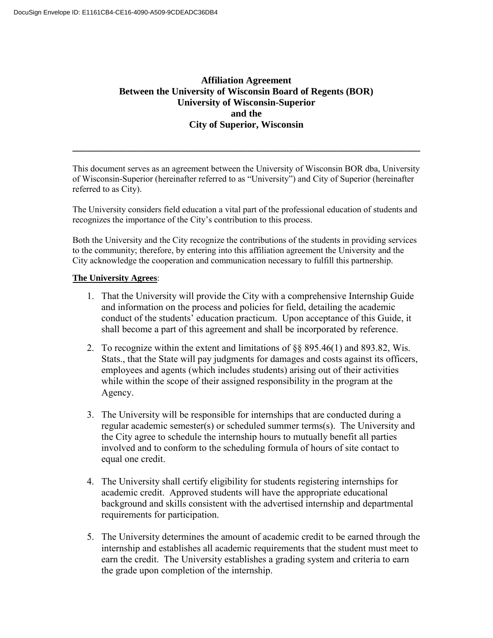## **Affiliation Agreement Between the University of Wisconsin Board of Regents (BOR) University of Wisconsin-Superior and the City of Superior, Wisconsin**

This document serves as an agreement between the University of Wisconsin BOR dba, University of Wisconsin-Superior (hereinafter referred to as "University") and City of Superior (hereinafter referred to as City).

**\_\_\_\_\_\_\_\_\_\_\_\_\_\_\_\_\_\_\_\_\_\_\_\_\_\_\_\_\_\_\_\_\_\_\_\_\_\_\_\_\_\_\_\_\_\_\_\_\_\_\_\_\_\_\_\_\_\_\_\_\_\_\_\_\_\_\_\_\_\_\_\_** 

The University considers field education a vital part of the professional education of students and recognizes the importance of the City's contribution to this process.

Both the University and the City recognize the contributions of the students in providing services to the community; therefore, by entering into this affiliation agreement the University and the City acknowledge the cooperation and communication necessary to fulfill this partnership.

## **The University Agrees**:

- 1. That the University will provide the City with a comprehensive Internship Guide and information on the process and policies for field, detailing the academic conduct of the students' education practicum. Upon acceptance of this Guide, it shall become a part of this agreement and shall be incorporated by reference.
- 2. To recognize within the extent and limitations of §§ 895.46(1) and 893.82, Wis. Stats., that the State will pay judgments for damages and costs against its officers, employees and agents (which includes students) arising out of their activities while within the scope of their assigned responsibility in the program at the Agency.
- 3. The University will be responsible for internships that are conducted during a regular academic semester(s) or scheduled summer terms(s). The University and the City agree to schedule the internship hours to mutually benefit all parties involved and to conform to the scheduling formula of hours of site contact to equal one credit.
- 4. The University shall certify eligibility for students registering internships for academic credit. Approved students will have the appropriate educational background and skills consistent with the advertised internship and departmental requirements for participation.
- 5. The University determines the amount of academic credit to be earned through the internship and establishes all academic requirements that the student must meet to earn the credit. The University establishes a grading system and criteria to earn the grade upon completion of the internship.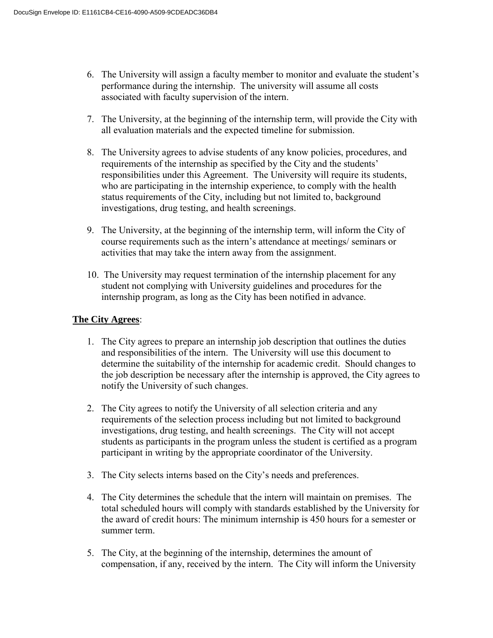- 6. The University will assign a faculty member to monitor and evaluate the student's performance during the internship. The university will assume all costs associated with faculty supervision of the intern.
- 7. The University, at the beginning of the internship term, will provide the City with all evaluation materials and the expected timeline for submission.
- 8. The University agrees to advise students of any know policies, procedures, and requirements of the internship as specified by the City and the students' responsibilities under this Agreement. The University will require its students, who are participating in the internship experience, to comply with the health status requirements of the City, including but not limited to, background investigations, drug testing, and health screenings.
- 9. The University, at the beginning of the internship term, will inform the City of course requirements such as the intern's attendance at meetings/ seminars or activities that may take the intern away from the assignment.
- 10. The University may request termination of the internship placement for any student not complying with University guidelines and procedures for the internship program, as long as the City has been notified in advance.

## **The City Agrees**:

- 1. The City agrees to prepare an internship job description that outlines the duties and responsibilities of the intern. The University will use this document to determine the suitability of the internship for academic credit. Should changes to the job description be necessary after the internship is approved, the City agrees to notify the University of such changes.
- 2. The City agrees to notify the University of all selection criteria and any requirements of the selection process including but not limited to background investigations, drug testing, and health screenings. The City will not accept students as participants in the program unless the student is certified as a program participant in writing by the appropriate coordinator of the University.
- 3. The City selects interns based on the City's needs and preferences.
- 4. The City determines the schedule that the intern will maintain on premises. The total scheduled hours will comply with standards established by the University for the award of credit hours: The minimum internship is 450 hours for a semester or summer term.
- 5. The City, at the beginning of the internship, determines the amount of compensation, if any, received by the intern. The City will inform the University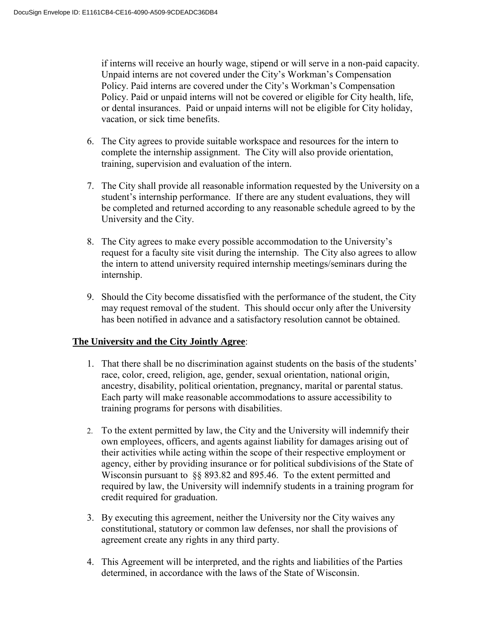if interns will receive an hourly wage, stipend or will serve in a non-paid capacity. Unpaid interns are not covered under the City's Workman's Compensation Policy. Paid interns are covered under the City's Workman's Compensation Policy. Paid or unpaid interns will not be covered or eligible for City health, life, or dental insurances. Paid or unpaid interns will not be eligible for City holiday, vacation, or sick time benefits.

- 6. The City agrees to provide suitable workspace and resources for the intern to complete the internship assignment. The City will also provide orientation, training, supervision and evaluation of the intern.
- 7. The City shall provide all reasonable information requested by the University on a student's internship performance. If there are any student evaluations, they will be completed and returned according to any reasonable schedule agreed to by the University and the City.
- 8. The City agrees to make every possible accommodation to the University's request for a faculty site visit during the internship. The City also agrees to allow the intern to attend university required internship meetings/seminars during the internship.
- 9. Should the City become dissatisfied with the performance of the student, the City may request removal of the student. This should occur only after the University has been notified in advance and a satisfactory resolution cannot be obtained.

## **The University and the City Jointly Agree**:

- 1. That there shall be no discrimination against students on the basis of the students' race, color, creed, religion, age, gender, sexual orientation, national origin, ancestry, disability, political orientation, pregnancy, marital or parental status. Each party will make reasonable accommodations to assure accessibility to training programs for persons with disabilities.
- 2. To the extent permitted by law, the City and the University will indemnify their own employees, officers, and agents against liability for damages arising out of their activities while acting within the scope of their respective employment or agency, either by providing insurance or for political subdivisions of the State of Wisconsin pursuant to §§ 893.82 and 895.46. To the extent permitted and required by law, the University will indemnify students in a training program for credit required for graduation.
- 3. By executing this agreement, neither the University nor the City waives any constitutional, statutory or common law defenses, nor shall the provisions of agreement create any rights in any third party.
- 4. This Agreement will be interpreted, and the rights and liabilities of the Parties determined, in accordance with the laws of the State of Wisconsin.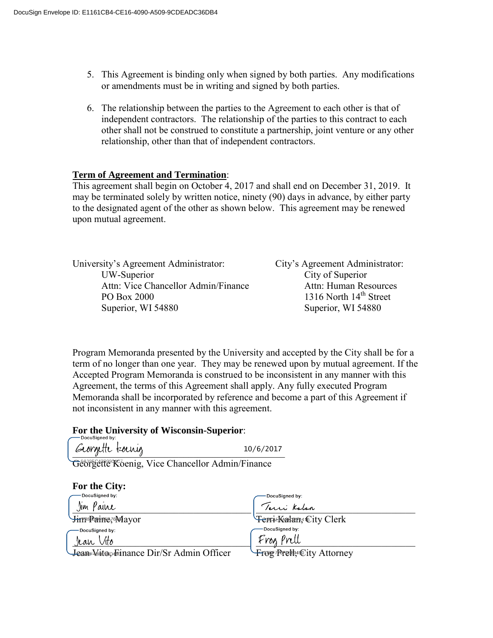- 5. This Agreement is binding only when signed by both parties. Any modifications or amendments must be in writing and signed by both parties.
- 6. The relationship between the parties to the Agreement to each other is that of independent contractors. The relationship of the parties to this contract to each other shall not be construed to constitute a partnership, joint venture or any other relationship, other than that of independent contractors.

## **Term of Agreement and Termination**:

This agreement shall begin on October 4, 2017 and shall end on December 31, 2019. It may be terminated solely by written notice, ninety (90) days in advance, by either party to the designated agent of the other as shown below. This agreement may be renewed upon mutual agreement.

| University's Agreement Administrator: | City's Agreement Administrator:    |
|---------------------------------------|------------------------------------|
| UW-Superior                           | City of Superior                   |
| Attn: Vice Chancellor Admin/Finance   | Attn: Human Resources              |
| PO Box 2000                           | 1316 North 14 <sup>th</sup> Street |
| Superior, WI 54880                    | Superior, WI 54880                 |

Program Memoranda presented by the University and accepted by the City shall be for a term of no longer than one year. They may be renewed upon by mutual agreement. If the Accepted Program Memoranda is construed to be inconsistent in any manner with this Agreement, the terms of this Agreement shall apply. Any fully executed Program Memoranda shall be incorporated by reference and become a part of this Agreement if not inconsistent in any manner with this agreement.

### **For the University of Wisconsin-Superior**:

Georgette toenig 10/6/2017

Georgette Koenig, Vice Chancellor Admin/Finance

| For the City:                            |                                  |
|------------------------------------------|----------------------------------|
| -DocuSigned by:                          | DocuSigned by:                   |
| Jim Paine                                | Terri Kalan                      |
| <b>Himp Paint</b> ** Mayor               | Ferri-Kalan, City Clerk          |
| DocuSigned by:                           | DocuSigned by:                   |
| Jean Vito                                | Frog Prell                       |
| Jean-Victo Foinance Dir/Sr Admin Officer | <b>Frou Presty City Attorney</b> |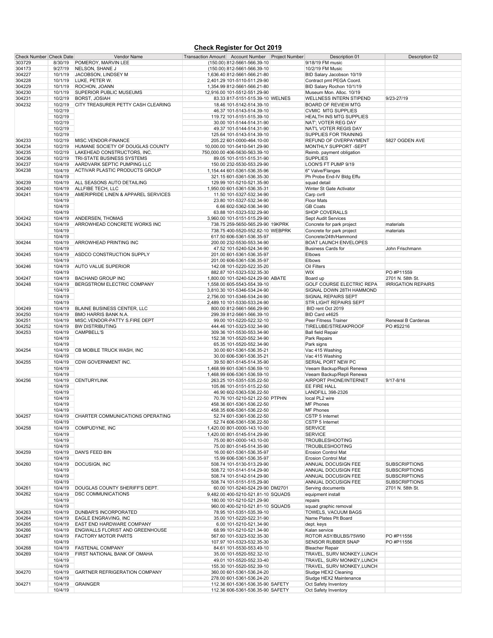### **Check Register for Oct 2019**

| Check Number Check Date |                    | Vendor Name                                                  | Transaction Amount Account Number Project Number |                                                        | Description 01                                       | Description 02                  |
|-------------------------|--------------------|--------------------------------------------------------------|--------------------------------------------------|--------------------------------------------------------|------------------------------------------------------|---------------------------------|
| 303729                  | 8/30/19            | POMEROY, MARVIN LEE                                          |                                                  | (150.00) 812-5661-566.39-10                            | 9/18/19 FM music                                     |                                 |
| 304173                  | 9/27/19            | NELSON, SHANE J                                              |                                                  | (150.00) 812-5661-566.39-10                            | 10/2/19 FM Music                                     |                                 |
| 304227                  | 10/1/19            | JACOBSON, LINDSEY M                                          |                                                  | 1,636.40 812-5661-566.21-80                            | BID Salary Jacobson 10/19                            |                                 |
| 304228                  | 10/1/19            | LUKE, PETER W.                                               |                                                  | 2,401.29 101-5110-511.29-90                            | Contract pmt PEGA Coord.                             |                                 |
| 304229                  | 10/1/19            | ROCHON, JOANN                                                |                                                  | 1,354.99 812-5661-566.21-80                            | BID Salary Rochon 10/1/19                            |                                 |
| 304230                  | 10/1/19            | <b>SUPERIOR PUBLIC MUSEUMS</b>                               |                                                  | 12,916.00 101-5512-551.29-90                           | Museum Mon. Alloc. 10/19                             |                                 |
| 304231                  | 10/2/19            | <b>BORST, JOSIAH</b>                                         |                                                  | 83.33 817-5151-515.39-10 WELNES                        | <b>WELLNESS INTERN STIPEND</b>                       | 9/23-27/19                      |
| 304232                  | 10/2/19<br>10/2/19 | CITY TREASURER PETTY CASH CLEARING                           |                                                  | 18.46 101-5142-514.39-10                               | <b>BOARD OF REVIEW MTG</b>                           |                                 |
|                         | 10/2/19            |                                                              |                                                  | 46.37 101-5143-514.39-10<br>119.72 101-5151-515.39-10  | <b>CVMIC MTG SUPPLIES</b><br>HEALTH INS MTG SUPPLIES |                                 |
|                         | 10/2/19            |                                                              |                                                  | 30.00 101-5144-514.31-90                               | NAT'; VOTER REG DAY                                  |                                 |
|                         | 10/2/19            |                                                              |                                                  | 49.37 101-5144-514.31-90                               | NAT'L VOTER REGIS DAY                                |                                 |
|                         | 10/2/19            |                                                              |                                                  | 125.64 101-5143-514.39-10                              | SUPPLIES FOR TRAINING                                |                                 |
| 304233                  | 10/2/19            | MISC.VENDOR-FINANCE                                          |                                                  | 205.22 601-0000-464.10-00                              | REFUND OF OVERPAYMENT                                | 5827 OGDEN AVE                  |
| 304234                  | 10/2/19            | HUMANE SOCIETY OF DOUGLAS COUNTY                             |                                                  | 10,000.00 101-5410-541.29-90                           | MONTHLY SUPPORT-SEPT                                 |                                 |
| 304235                  | 10/2/19            | LAKEHEAD CONSTRUCTORS, INC.                                  |                                                  | 750,000.00 406-5630-563.39-10                          | Reimb. payment obligation                            |                                 |
| 304236                  | 10/2/19            | TRI-STATE BUSINESS SYSTEMS                                   |                                                  | 89.05 101-5151-515.31-90                               | <b>SUPPLIES</b>                                      |                                 |
| 304237                  | 10/4/19            | AARDVARK SEPTIC PUMPING LLC                                  |                                                  | 150.00 232-5530-553.29-90                              | LOON'S FT PUMP 9/19                                  |                                 |
| 304238                  | 10/4/19<br>10/4/19 | ACTIVAR PLASTIC PRODUCTS GROUP                               |                                                  | 1,154.44 601-5361-536.35-96                            | 6" Valve/Flanges                                     |                                 |
| 304239                  | 10/4/19            | ALL SEASONS AUTO DETAILING                                   |                                                  | 321.15 601-5361-536.35-30<br>129.99 101-5210-521.35-90 | Ph Probe End-IV Bldg Effu<br>squad detail            |                                 |
| 304240                  | 10/4/19            | ALLFIBE TECH, LLC                                            |                                                  | 1,950.00 601-5361-536.35-31                            | Winter St Gate Activator                             |                                 |
| 304241                  | 10/4/19            | AMERIPRIDE LINEN & APPAREL SERVICES                          |                                                  | 11.50 101-5327-532.34-90                               | Carp cvrll                                           |                                 |
|                         | 10/4/19            |                                                              |                                                  | 23.80 101-5327-532.34-90                               | <b>Floor Mats</b>                                    |                                 |
|                         | 10/4/19            |                                                              |                                                  | 6.66 602-5362-536.34-90                                | <b>GB Coats</b>                                      |                                 |
|                         | 10/4/19            |                                                              |                                                  | 63.88 101-5323-532.29-90                               | SHOP COVERALLS                                       |                                 |
| 304242                  | 10/4/19            | ANDERSEN. THOMAS                                             |                                                  | 3,960.00 101-5151-515.29-90                            | Sept Audit Services                                  |                                 |
| 304243                  | 10/4/19            | ARROWHEAD CONCRETE WORKS INC                                 |                                                  | 738.75 259-5650-565.29-90 19KPRK                       | Concrete for park project                            | materials                       |
|                         | 10/4/19            |                                                              |                                                  | 738.75 400-5520-552.82-10 WEBPRK                       | Concrete for park project                            | materials                       |
|                         | 10/4/19            |                                                              |                                                  | 617.50 606-5361-536.35-97                              | Concrete/24th/Hammond                                |                                 |
| 304244                  | 10/4/19            | ARROWHEAD PRINTING INC                                       |                                                  | 200.00 232-5530-553.34-90                              | <b>BOAT LAUNCH ENVELOPES</b>                         |                                 |
| 304245                  | 10/4/19<br>10/4/19 | ASDCO CONSTRUCTION SUPPLY                                    |                                                  | 47.52 101-5240-524.34-90<br>201.00 601-5361-536.35-97  | <b>Business Cards for</b><br>Elbows                  | John Frischmann                 |
|                         | 10/4/19            |                                                              |                                                  | 201.00 606-5361-536.35-97                              | Elbows                                               |                                 |
| 304246                  | 10/4/19            | <b>AUTO VALUE SUPERIOR</b>                                   |                                                  | 142.08 101-5220-522.35-20                              | Oil Filters                                          |                                 |
|                         | 10/4/19            |                                                              |                                                  | 882.87 101-5323-532.35-30                              | <b>WIX</b>                                           | PO #P11559                      |
| 304247                  | 10/4/19            | <b>BACHAND GROUP INC</b>                                     |                                                  | 1,800.00 101-5240-524.29-90 ABATE                      | Board up                                             | 2701 N. 58th St.                |
| 304248                  | 10/4/19            | BERGSTROM ELECTRIC COMPANY                                   |                                                  | 1,558.00 605-5543-554.39-10                            | GOLF COURSE ELECTRIC REPA                            | <b>IRRIGATION REPAIRS</b>       |
|                         | 10/4/19            |                                                              |                                                  | 3,810.30 101-5346-534.24-90                            | SIGNAL DOWN 28TH HAMMOND                             |                                 |
|                         | 10/4/19            |                                                              |                                                  | 2,756.00 101-5346-534.24-90                            | SIGNAL REPAIRS SEPT                                  |                                 |
|                         | 10/4/19            |                                                              |                                                  | 2,489.10 101-5330-533.24-90                            | STR LIGHT REPAIRS SEPT                               |                                 |
| 304249                  | 10/4/19            | BLAINE BUSINESS CENTER, LLC                                  |                                                  | 800.00 812-5661-566.29-90                              | BID rent Oct 2019                                    |                                 |
| 304250                  | 10/4/19            | BMO HARRIS BANK N.A.                                         |                                                  | 299.39 812-5661-566.39-10                              | BID Card x4625                                       |                                 |
| 304251<br>304252        | 10/4/19<br>10/4/19 | MISC.VENDOR-PATTY S.FIRE DEPT<br><b>BW DISTRIBUTING</b>      |                                                  | 99.00 101-5220-522.32-10                               | Peer Fitness Trainer<br>TIRELUBE/STREAKPROOF         | Renewal B Cardenas<br>PO #S2216 |
| 304253                  | 10/4/19            | <b>CAMPBELL'S</b>                                            |                                                  | 444.46 101-5323-532.34-90<br>309.36 101-5530-553.34-90 | <b>Ball field Repair</b>                             |                                 |
|                         | 10/4/19            |                                                              |                                                  | 152.38 101-5520-552.34-90                              | Park Repairs                                         |                                 |
|                         | 10/4/19            |                                                              |                                                  | 65.35 101-5520-552.34-90                               | Park signs                                           |                                 |
| 304254                  | 10/4/19            | CB MOBILE TRUCK WASH, INC                                    |                                                  | 30.00 601-5361-536.35-21                               | Vac 415 Washing                                      |                                 |
|                         | 10/4/19            |                                                              |                                                  | 30.00 606-5361-536.35-21                               | Vac 415 Washing                                      |                                 |
| 304255                  | 10/4/19            | CDW GOVERNMENT INC.                                          |                                                  | 39.50 801-5145-514.35-90                               | SERIAL PORT NEW PC                                   |                                 |
|                         | 10/4/19            |                                                              |                                                  | 1,468.99 601-5361-536.59-10                            | Veeam Backup/Repli Renewa                            |                                 |
|                         | 10/4/19            |                                                              |                                                  | 1,468.99 606-5361-536.59-10                            | Veeam Backup/Repli Renewa                            |                                 |
| 304256                  | 10/4/19            | <b>CENTURYLINK</b>                                           |                                                  | 263.25 101-5351-535.22-50                              | AIRPORT PHONE/INTERNET                               | $9/17 - 8/16$                   |
|                         | 10/4/19            |                                                              |                                                  | 105.86 101-5151-515.22-50<br>46.90 602-5363-536.22-50  | EE FIRE HALL                                         |                                 |
|                         | 10/4/19<br>10/4/19 |                                                              |                                                  | 70.76 101-5210-521.22-50 PTPHN                         | LANDFILL 398-2326<br>local PL2 wire                  |                                 |
|                         | 10/4/19            |                                                              |                                                  | 458.36 601-5361-536.22-50                              | MF Phones                                            |                                 |
|                         | 10/4/19            |                                                              |                                                  | 458.35 606-5361-536.22-50                              | <b>MF Phones</b>                                     |                                 |
| 304257                  | 10/4/19            | CHARTER COMMUNICATIONS OPERATING                             |                                                  | 52.74 601-5361-536.22-50                               | CSTP 5 Internet                                      |                                 |
|                         | 10/4/19            |                                                              |                                                  | 52.74 606-5361-536.22-50                               | CSTP 5 Internet                                      |                                 |
| 304258                  | 10/4/19            | COMPUDYNE, INC                                               |                                                  | 1,420.00 801-0000-143.10-00                            | <b>SERVICE</b>                                       |                                 |
|                         | 10/4/19            |                                                              |                                                  | 1,420.00 801-5145-514.29-90                            | <b>SERVICE</b>                                       |                                 |
|                         | 10/4/19            |                                                              |                                                  | 75.00 801-0000-143.10-00                               | <b>TROUBLESHOOTING</b>                               |                                 |
|                         | 10/4/19            |                                                              |                                                  | 75.00 801-5145-514.35-90                               | <b>TROUBLESHOOTING</b>                               |                                 |
| 304259                  | 10/4/19            | DAN'S FEED BIN                                               |                                                  | 16.00 601-5361-536.35-97                               | Erosion Control Mat                                  |                                 |
| 304260                  | 10/4/19<br>10/4/19 | DOCUSIGN, INC                                                |                                                  | 15.99 606-5361-536.35-97<br>508.74 101-5130-513.29-90  | <b>Erosion Control Mat</b><br>ANNUAL DOCUSIGN FEE    | <b>SUBSCRIPTIONS</b>            |
|                         | 10/4/19            |                                                              |                                                  | 508.72 101-5141-514.29-90                              | ANNUAL DOCUSIGN FEE                                  | <b>SUBSCRIPTIONS</b>            |
|                         | 10/4/19            |                                                              |                                                  | 508.74 101-5142-514.29-90                              | ANNUAL DOCUSIGN FEE                                  | <b>SUBSCRIPTIONS</b>            |
|                         | 10/4/19            |                                                              |                                                  | 508.74 101-5151-515.29-90                              | ANNUAL DOCUSIGN FEE                                  | <b>SUBSCRIPTIONS</b>            |
| 304261                  | 10/4/19            | DOUGLAS COUNTY SHERIFF'S DEPT.                               |                                                  | 60.00 101-5240-524.29-90 DM2701                        | Serving documents                                    | 2701 N. 58th St.                |
| 304262                  | 10/4/19            | <b>DSC COMMUNICATIONS</b>                                    |                                                  | 9,482.00 400-5210-521.81-10 SQUADS                     | equipment install                                    |                                 |
|                         | 10/4/19            |                                                              |                                                  | 180.00 101-5210-521.29-90                              | repairs                                              |                                 |
|                         | 10/4/19            |                                                              |                                                  | 960.00 400-5210-521.81-10 SQUADS                       | squad graphic removal                                |                                 |
| 304263                  | 10/4/19            | DUNBAR'S INCORPORATED                                        |                                                  | 78.95 101-5351-535.39-10                               | TOWELS, VACUUM BAGS                                  |                                 |
| 304264                  | 10/4/19<br>10/4/19 | <b>EAGLE ENGRAVING, INC</b>                                  |                                                  | 35.00 101-5220-522.31-90                               | Name Plates Plt Board                                |                                 |
| 304265<br>304266        | 10/4/19            | EAST END HARDWARE COMPANY<br>ENGWALLS FLORIST AND GREENHOUSE |                                                  | 6.00 101-5210-521.34-90<br>68.99 101-5210-521.34-90    | dept. keys<br>Kalan service                          |                                 |
| 304267                  | 10/4/19            | <b>FACTORY MOTOR PARTS</b>                                   |                                                  | 567.60 101-5323-532.35-30                              | ROTOR ASY/BULBS/75W90                                | PO #P11556                      |
|                         | 10/4/19            |                                                              |                                                  | 107.97 101-5323-532.35-30                              | <b>SENSOR RUBBER SNAP</b>                            | PO #P11556                      |
| 304268                  | 10/4/19            | <b>FASTENAL COMPANY</b>                                      |                                                  | 84.61 101-5530-553.49-10                               | <b>Bleacher Repair</b>                               |                                 |
| 304269                  | 10/4/19            | FIRST NATIONAL BANK OF OMAHA                                 |                                                  | 35.00 101-5520-552.32-10                               | TRAVEL, SURV MONKEY, LUNCH                           |                                 |
|                         | 10/4/19            |                                                              |                                                  | 49.01 101-5520-552.33-40                               | TRAVEL, SURV MONKEY, LUNCH                           |                                 |
|                         | 10/4/19            |                                                              |                                                  | 155.30 101-5520-552.39-10                              | TRAVEL, SURV MONKEY, LUNCH                           |                                 |
| 304270                  | 10/4/19            | GARTNER REFRIGERATION COMPANY                                |                                                  | 360.00 601-5361-536.24-20                              | Sludge HEX2 Cleaning                                 |                                 |
|                         | 10/4/19            |                                                              |                                                  | 278.00 601-5361-536.24-20                              | Sludge HEX2 Maintenance                              |                                 |
| 304271                  | 10/4/19            | <b>GRAINGER</b>                                              |                                                  | 112.36 601-5361-536.35-90 SAFETY                       | Oct Safety Inventory                                 |                                 |
|                         | 10/4/19            |                                                              |                                                  | 112.36 606-5361-536.35-90 SAFETY                       | Oct Safety Inventory                                 |                                 |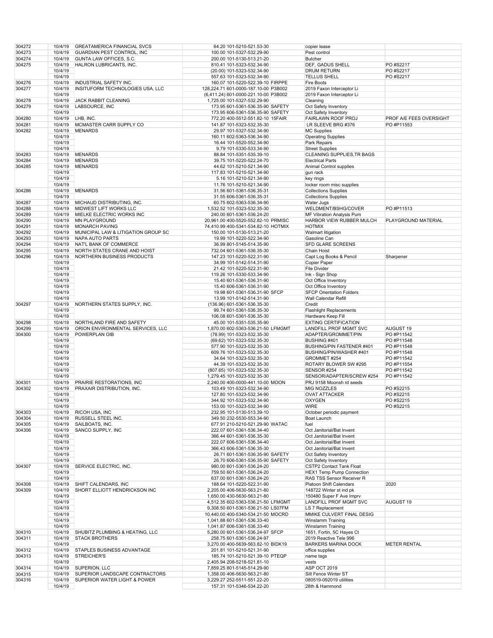| 304272 | 10/4/19 | <b>GREATAMERICA FINANCIAL SVCS</b>  | 64.20 101-5210-521.53-30             | copier lease                     |                         |
|--------|---------|-------------------------------------|--------------------------------------|----------------------------------|-------------------------|
| 304273 | 10/4/19 |                                     | 100.00 101-5327-532.29-90            | Pest control                     |                         |
|        |         | <b>GUARDIAN PEST CONTROL, INC</b>   |                                      |                                  |                         |
| 304274 | 10/4/19 | GUNTA LAW OFFICES, S.C.             | 200.00 101-5130-513.21-20            | <b>Butcher</b>                   |                         |
| 304275 | 10/4/19 | HALRON LUBRICANTS, INC.             | 810.41 101-5323-532.34-90            | DEF, GADUS SHELL                 | PO #S2217               |
|        | 10/4/19 |                                     | (20.00) 101-5323-532.34-90           | <b>DRUM RETURN</b>               | PO #S2217               |
|        |         |                                     |                                      |                                  |                         |
|        | 10/4/19 |                                     | 557.63 101-5323-532.34-90            | <b>TELLUS SHELL</b>              | PO #S2217               |
| 304276 | 10/4/19 | INDUSTRIAL SAFETY INC.              | 160.07 101-5220-522.39-10 FIRPPE     | Fire Boots                       |                         |
| 304277 | 10/4/19 | INSITUFORM TECHNOLOGIES USA, LLC    | 128,224.71 601-0000-187.10-00 P3B002 | 2019 Faxon Interceptor Li        |                         |
|        | 10/4/19 |                                     | (6,411.24) 601-0000-221.10-00 P3B002 | 2019 Faxon Interceptor Li        |                         |
|        |         |                                     |                                      |                                  |                         |
| 304278 | 10/4/19 | <b>JACK RABBIT CLEANING</b>         | 1,725.00 101-5327-532.29-90          | Cleaning                         |                         |
| 304279 | 10/4/19 | LABSOURCE, INC                      | 173.95 601-5361-536.35-90 SAFETY     | Oct Safety Inventory             |                         |
|        | 10/4/19 |                                     | 173.95 606-5361-536.35-90 SAFETY     | Oct Safety Inventory             |                         |
| 304280 | 10/4/19 | LHB, INC.                           | 772.20 400-5512-551.82-10 15FAIR     | FAIRLAWN ROOF PROJ               | PROF A/E FEES OVERSIGHT |
|        |         |                                     |                                      |                                  | PO #P11553              |
| 304281 | 10/4/19 | MCMASTER CARR SUPPLY CO             | 141.87 101-5323-532.35-30            | LR SLEEVE BRG #376               |                         |
| 304282 | 10/4/19 | <b>MENARDS</b>                      | 29.97 101-5327-532.34-90             | <b>MC Supplies</b>               |                         |
|        | 10/4/19 |                                     | 160.11 602-5363-536.34-90            | <b>Operating Supplies</b>        |                         |
|        | 10/4/19 |                                     | 16.44 101-5520-552.34-90             | Park Repairs                     |                         |
|        |         |                                     |                                      |                                  |                         |
|        | 10/4/19 |                                     | 9.79 101-5330-533.34-90              | <b>Street Supplies</b>           |                         |
| 304283 | 10/4/19 | <b>MENARDS</b>                      | 88.84 101-5351-535.39-10             | CLEANING SUPPLIES, TR BAGS       |                         |
| 304284 | 10/4/19 | <b>MENARDS</b>                      | 39.75 101-5220-522.24-70             | <b>Electrical Parts</b>          |                         |
| 304285 | 10/4/19 | <b>MENARDS</b>                      | 44.62 101-5210-521.34-90             | Animal Control supplies          |                         |
|        |         |                                     |                                      |                                  |                         |
|        | 10/4/19 |                                     | 117.83 101-5210-521.34-90            | gun rack                         |                         |
|        | 10/4/19 |                                     | 5.16 101-5210-521.34-90              | key rings                        |                         |
|        | 10/4/19 |                                     | 11.76 101-5210-521.34-90             | locker room misc supplies        |                         |
| 304286 | 10/4/19 | <b>MENARDS</b>                      | 31.56 601-5361-536.35-31             | <b>Collections Supplies</b>      |                         |
|        |         |                                     |                                      |                                  |                         |
|        | 10/4/19 |                                     | 31.55 606-5361-536.35-31             | <b>Collections Supplies</b>      |                         |
| 304287 | 10/4/19 | MICHAUD DISTRIBUTING, INC.          | 60.75 602-5363-536.34-90             | Water Jugs                       |                         |
| 304288 | 10/4/19 | MIDWEST LIFT WORKS LLC              | 1,532.52 101-5323-532.35-30          | WELDMENT/BSHG/COVER              | PO #P11513              |
| 304289 | 10/4/19 | MIELKE ELECTRIC WORKS INC           | 240.00 601-5361-536.24-20            | MF Vibration Analysis Pum        |                         |
|        |         |                                     |                                      |                                  |                         |
| 304290 | 10/4/19 | <b>MN PLAYGROUND</b>                | 20,961.00 400-5520-552.82-10 PRMISC  | HARBOR VIEW RUBBER MULCH         | PLAYGROUND MATERIAL     |
| 304291 | 10/4/19 | <b>MONARCH PAVING</b>               | 74,410.99 400-5341-534.82-10 HOTMIX  | <b>HOTMIX</b>                    |                         |
| 304292 | 10/4/19 | MUNICIPAL LAW & LITIGATION GROUP SC | 150.00 101-5130-513.21-20            | Walmart litigation               |                         |
| 304293 | 10/4/19 | NAPA AUTO PARTS                     | 19.99 101-5220-522.34-90             | Gasoline Can                     |                         |
|        |         |                                     |                                      |                                  |                         |
| 304294 | 10/4/19 | NAT'L BANK OF COMMERCE              | 36.99 801-5145-514.35-90             | SFD GLARE SCREENS                |                         |
| 304295 | 10/4/19 | NORTH STATES CRANE AND HOIST        | 732.04 601-5361-536.35-30            | Chain Hoist                      |                         |
| 304296 | 10/4/19 | NORTHERN BUSINESS PRODUCTS          | 147.23 101-5220-522.31-90            | Capt Log Books & Pencil          | Sharpener               |
|        | 10/4/19 |                                     | 34.99 101-5142-514.31-90             | <b>Copier Paper</b>              |                         |
|        |         |                                     |                                      |                                  |                         |
|        | 10/4/19 |                                     | 21.42 101-5220-522.31-90             | <b>File Divider</b>              |                         |
|        | 10/4/19 |                                     | 119.26 101-5330-533.34-90            | Ink - Sign Shop                  |                         |
|        | 10/4/19 |                                     | 15.40 601-5361-536.31-90             | Oct Office Inventory             |                         |
|        | 10/4/19 |                                     | 15.40 606-5361-536.31-90             | Oct Office Inventory             |                         |
|        | 10/4/19 |                                     | 19.98 601-5361-536.31-90 SFCP        | <b>SFCP Orientation Folders</b>  |                         |
|        |         |                                     |                                      |                                  |                         |
|        | 10/4/19 |                                     | 13.99 101-5142-514.31-90             | Wall Calendar Refill             |                         |
| 304297 | 10/4/19 | NORTHERN STATES SUPPLY, INC.        | (136.96) 601-5361-536.35-30          | Credit                           |                         |
|        | 10/4/19 |                                     | 99.74 601-5361-536.35-30             | <b>Flashlight Replacements</b>   |                         |
|        | 10/4/19 |                                     | 106.08 601-5361-536.35-30            | Hardware Keep Fill               |                         |
| 304298 | 10/4/19 | NORTHLAND FIRE AND SAFETY           |                                      | <b>EXTING CERTIFICATION</b>      |                         |
|        |         |                                     | 45.00 101-5351-535.35-90             |                                  |                         |
| 304299 | 10/4/19 | ORION ENVIRONMENTAL SERVICES, LLC   | 1,870.00 602-5363-536.21-50 LFMGMT   | LANDFILL PROF MGMT SVC           | AUGUST 19               |
| 304300 | 10/4/19 | POWERPLAN OIB                       | (78.99) 101-5323-532.35-30           | ADAPTER/GROMMET/PIN              | PO #P11542              |
|        | 10/4/19 |                                     | (69.62) 101-5323-532.35-30           | BUSHING #401                     | PO #P11548              |
|        | 10/4/19 |                                     | 577.90 101-5323-532.35-30            | BUSHING/PIN FASTENER #401        | PO #P11548              |
|        | 10/4/19 |                                     | 609.76 101-5323-532.35-30            | BUSHING/PIN/WASHER #401          | PO #P11548              |
|        |         |                                     |                                      |                                  |                         |
|        | 10/4/19 |                                     | 34.64 101-5323-532.35-30             | GROMMET #254                     | PO #P11542              |
|        | 10/4/19 |                                     | 44.39 101-5323-532.35-30             | ROTARY BLOWER SW #295            | PO #P11554              |
|        | 10/4/19 |                                     | (807.65) 101-5323-532.35-30          | SENSOR #254                      | PO #P11542              |
|        | 10/4/19 |                                     | 1,279.45 101-5323-532.35-30          | SENSOR/ADAPTER/SCREW #254        | PO #P11542              |
|        |         |                                     |                                      |                                  |                         |
| 304301 | 10/4/19 | PRAIRIE RESTORATIONS, INC           | 2,240.00 400-0000-441.10-00 MOON     | PRJ 9158 Moonsh rd seeds         |                         |
| 304302 | 10/4/19 | PRAXAIR DISTRIBUTION, INC.          | 103.49 101-5323-532.34-90            | MIG NOZZLES                      | PO #S2215               |
|        | 10/4/19 |                                     | 127.80 101-5323-532.34-90            | <b>OVAT ATTACKER</b>             | PO #S2215               |
|        | 10/4/19 |                                     | 344.92 101-5323-532.34-90            | <b>OXYGEN</b>                    | PO #S2215               |
|        | 10/4/19 |                                     | 153.00 101-5323-532.34-90            | <b>WIRE</b>                      | PO #S2215               |
|        |         |                                     |                                      |                                  |                         |
| 304303 |         | 10/4/19 RICOH USA, INC              | 232.95 101-5130-513.39-10            | October periodic payment         |                         |
| 304304 | 10/4/19 | RUSSELL STEEL INC.                  | 349.50 232-5530-553.34-90            | Boat Launch                      |                         |
| 304305 | 10/4/19 | SAILBOATS, INC.                     | 677.91 210-5210-521.29-90 WATAC      | fuel                             |                         |
| 304306 | 10/4/19 | SANCO SUPPLY, INC                   | 222.07 601-5361-536.34-40            | Oct Janitorial/Bat Invent        |                         |
|        |         |                                     |                                      |                                  |                         |
|        | 10/4/19 |                                     | 366.44 601-5361-536.35-30            | Oct Janitorial/Bat Invent        |                         |
|        | 10/4/19 |                                     | 222.07 606-5361-536.34-40            | Oct Janitorial/Bat Invent        |                         |
|        | 10/4/19 |                                     | 366.43 606-5361-536.35-30            | Oct Janitorial/Bat Invent        |                         |
|        | 10/4/19 |                                     | 26.71 601-5361-536.35-90 SAFETY      | Oct Safety Inventory             |                         |
|        | 10/4/19 |                                     | 26.70 606-5361-536.35-90 SAFETY      | Oct Safety Inventory             |                         |
|        |         |                                     |                                      |                                  |                         |
| 304307 | 10/4/19 | SERVICE ELECTRIC, INC.              | 980.00 601-5361-536.24-20            | CSTP2 Contact Tank Float         |                         |
|        | 10/4/19 |                                     | 759.50 601-5361-536.24-20            | <b>HEX1 Temp Pump Connection</b> |                         |
|        | 10/4/19 |                                     | 637.00 601-5361-536.24-20            | RAS TSS Sensor Receiver R        |                         |
| 304308 | 10/4/19 | SHIFT CALENDARS, INC                | 188.64 101-5220-522.31-90            | <b>Platoon Shift Calendars</b>   | 2020                    |
| 304309 | 10/4/19 | SHORT ELLIOTT HENDRICKSON INC       | 2.205.00 406-5630-563.21-80          | 148722 Winter st ind pk          |                         |
|        | 10/4/19 |                                     | 1,650.00 430-5630-563.21-80          | 150480 Super F Ave Imprv         |                         |
|        |         |                                     |                                      |                                  |                         |
|        | 10/4/19 |                                     | 4,512.35 602-5363-536.21-50 LFMGMT   | <b>LANDFILL PROF MGMT SVC</b>    | AUGUST 19               |
|        | 10/4/19 |                                     | 9,308.50 601-5361-536.21-50 LS07FM   | LS 7 Replacement                 |                         |
|        | 10/4/19 |                                     | 10,440.00 400-5340-534.21-50 MOCRD   | MMIKE CULVERT FINAL DESIG        |                         |
|        | 10/4/19 |                                     | 1,041.88 601-5361-536.33-40          | <b>Winslamm Training</b>         |                         |
|        |         |                                     |                                      |                                  |                         |
|        | 10/4/19 |                                     | 1,041.87 606-5361-536.33-40          | Winslamm Training                |                         |
| 304310 | 10/4/19 | SHUBITZ PLUMBING & HEATING, LLC     | 5,280.00 601-5361-536.24-97 SFCP     | 1651, Fortin, 5C Hayes Ct        |                         |
| 304311 | 10/4/19 | <b>STACK BROTHERS</b>               | 258.75 601-5361-536.24-97            | 2019 Reactive Tele 996           |                         |
|        | 10/4/19 |                                     | 3,270.00 400-5639-563.82-10 BIDK19   | <b>BARKERS MARINA DOCK</b>       | <b>METER RENTAL</b>     |
| 304312 | 10/4/19 | STAPLES BUSINESS ADVANTAGE          | 201.81 101-5210-521.31-90            | office supplies                  |                         |
|        |         |                                     |                                      |                                  |                         |
| 304313 | 10/4/19 | STREICHER'S                         | 185.74 101-5210-521.39-10 PTEQP      | name tags                        |                         |
|        | 10/4/19 |                                     | 2,405.94 208-5218-521.81-10          | vests                            |                         |
| 304314 |         | 10/4/19 SUPERION, LLC               | 7,859.25 801-5145-514.29-90          | <b>ASP OCT 2019</b>              |                         |
| 304315 | 10/4/19 | SUPERIOR LANDSCAPE CONTRACTORS      | 1,358.00 406-5630-563.21-80          | Silt Fence Winter ST             |                         |
| 304316 | 10/4/19 | SUPERIOR WATER LIGHT & POWER        | 3,229.27 252-5511-551.22-20          | 080519-092019 utilities          |                         |
|        |         |                                     |                                      |                                  |                         |
|        | 10/4/19 |                                     | 157.31 101-5346-534.22-20            | 28th & Hammond                   |                         |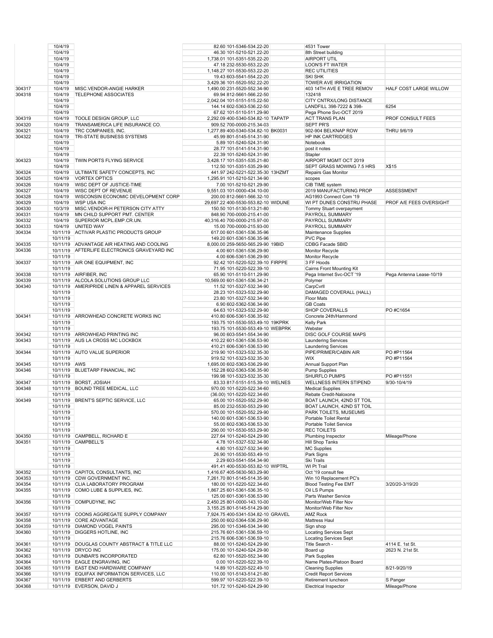|        | 10/4/19      |                                              | 82.60 101-5346-534.22-20                                        | 4531 Tower                    |                          |
|--------|--------------|----------------------------------------------|-----------------------------------------------------------------|-------------------------------|--------------------------|
|        | 10/4/19      |                                              | 46.30 101-5210-521.22-20                                        | 8th Street building           |                          |
|        | 10/4/19      |                                              | 1,738.01 101-5351-535.22-20                                     | AIRPORT UTIL                  |                          |
|        | 10/4/19      |                                              | 47.18 232-5530-553.22-20                                        | <b>LOON'S FT WATER</b>        |                          |
|        | 10/4/19      |                                              | 1,148.27 101-5530-553.22-20                                     | <b>REC UTILITIES</b>          |                          |
|        | 10/4/19      |                                              | 19.43 603-5541-554.22-20                                        | <b>SKI SHK</b>                |                          |
|        | 10/4/19      |                                              | 3,429.36 101-5520-552.22-20                                     | TOWER AVE IRRIGATION          |                          |
| 304317 | 10/4/19      | MISC.VENDOR-ANGIE HARKER                     | 1,490.00 231-5520-552.34-90                                     | 403 14TH AVE E TREE REMOV     | HALF COST LARGE WILLOW   |
| 304318 | 10/4/19      | <b>TELEPHONE ASSOCIATES</b>                  | 69.94 812-5661-566.22-50                                        | 132418                        |                          |
|        | 10/4/19      |                                              | 2,042.04 101-5151-515.22-50                                     | CITY CNTRX/LONG DISTANCE      |                          |
|        | 10/4/19      |                                              | 144.14 602-5363-536.22-50                                       | LANDFILL 398-7222 & 398-      | 6254                     |
|        | 10/4/19      |                                              | 67.62 101-5110-511.29-90                                        | Pega Phone Svc-OCT 2019       |                          |
| 304319 | 10/4/19      | TOOLE DESIGN GROUP, LLC                      | 2,292.09 400-5340-534.82-10 TAPATP                              | <b>ACT TRANS PLAN</b>         | PROF CONSULT FEES        |
| 304320 | 10/4/19      | TRANSAMERICA LIFE INSURANCE CO.              |                                                                 | <b>SEPT PR'S</b>              |                          |
|        | 10/4/19      |                                              | 909.52 700-0000-215.34-03<br>1,277.89 400-5340-534.82-10 BK0031 |                               |                          |
| 304321 |              | TRC COMPANIES, INC.                          |                                                                 | 902-904 BELKNAP ROW           | THRU 9/6/19              |
| 304322 | 10/4/19      | TRI-STATE BUSINESS SYSTEMS                   | 45.99 801-5145-514.31-90                                        | HP INK CARTRIDGES             |                          |
|        | 10/4/19      |                                              | 5.89 101-5240-524.31-90                                         | Notebook                      |                          |
|        | 10/4/19      |                                              | 28.77 101-5141-514.31-90                                        | post it notes                 |                          |
|        | 10/4/19      |                                              | 22.39 101-5240-524.31-90                                        | Stapler                       |                          |
| 304323 | 10/4/19      | TWIN PORTS FLYING SERVICE                    | 3,428.17 101-5351-535.21-80                                     | AIRPORT MGMT OCT 2019         |                          |
|        | 10/4/19      |                                              | 112.50 101-5351-535.29-90                                       | SEPT GRASS MOWING 7.5 HRS     | X\$15                    |
| 304324 | 10/4/19      | ULTIMATE SAFETY CONCEPTS, INC.               | 441.97 242-5221-522.35-30 13HZMT                                | Repairs Gas Monitor           |                          |
| 304325 | 10/4/19      | <b>VORTEX OPTICS</b>                         | 1,295.91 101-5210-521.34-90                                     | scopes                        |                          |
| 304326 | 10/4/19      | WISC DEPT OF JUSTICE-TIME                    | 7.00 101-5210-521.29-90                                         | CIB TIME system               |                          |
| 304327 | 10/4/19      | WISC DEPT OF REVENUE                         | 9,551.03 101-0000-434.10-00                                     | 2019 MANUFACTURING PROP       | <b>ASSESSMENT</b>        |
| 304328 | 10/4/19      | WISCONSIN ECONOMIC DEVELOPMENT CORP          | 200.00 812-5661-566.32-10                                       | AG1993 Connect Com '19        |                          |
| 304329 | 10/4/19      | <b>WSP USA INC</b>                           | 29.697.22 400-5530-553.82-10 WIDUNE                             | WI PT DUNES CONSTRU PHASE     | PROF A/E FEES OVERSIGHT  |
| 304330 | 10/3/19      | MISC.VENDOR-H PETERSON CITY ATTY             | 150.50 101-5130-513.21-80                                       | Tommy Stuart overpayment      |                          |
| 304331 | 10/4/19      | MN CHILD SUPPORT PMT. CENTER                 | 848.90 700-0000-215.41-00                                       | PAYROLL SUMMARY               |                          |
| 304332 | 10/4/19      | SUPERIOR MCPL.EMP.CR.UN.                     | 40,316.40 700-0000-215.97-00                                    | PAYROLL SUMMARY               |                          |
| 304333 | 10/4/19      | UNITED WAY                                   | 15.00 700-0000-215.93-00                                        | PAYROLL SUMMARY               |                          |
| 304334 |              | 10/11/19 ACTIVAR PLASTIC PRODUCTS GROUP      | 617.00 601-5361-536.35-96                                       | Maintenance Supplies          |                          |
|        | 10/11/19     |                                              | 149.20 601-5361-536.35-96                                       | PVC Pipe                      |                          |
| 304335 | 10/11/19     | ADVANTAGE AIR HEATING AND COOLING            | 8,000.00 259-5650-565.29-90 19BID                               | CDBG Facade SBID              |                          |
|        |              |                                              | 4.00 601-5361-536.29-90                                         |                               |                          |
| 304336 |              | 10/11/19 AFTERLIFE ELECTRONICS GRAVEYARD INC |                                                                 | Monitor Recycle               |                          |
|        | 10/11/19     |                                              | 4.00 606-5361-536.29-90                                         | Monitor Recycle               |                          |
| 304337 |              | 10/11/19 AIR ONE EQUIPMENT, INC              | 92.42 101-5220-522.39-10 FIRPPE                                 | 3 FF Hoods                    |                          |
|        | 10/11/19     |                                              | 71.95 101-5220-522.39-10                                        | Cairns Front Mounting Kit     |                          |
| 304338 |              | 10/11/19 AIRFIBER, INC                       | 65.90 101-5110-511.29-90                                        | Pega Internet Svc-OCT '19     | Pega Antenna Lease-10/19 |
| 304339 |              | 10/11/19 ALCOLA SOLUTIONS GROUP LLC          | 10,569.00 601-5361-536.34-21                                    | Polymer                       |                          |
| 304340 |              | 10/11/19 AMERIPRIDE LINEN & APPAREL SERVICES | 11.52 101-5327-532.34-90                                        | CarpCvrll                     |                          |
|        | 10/11/19     |                                              | 28.23 101-5323-532.29-90                                        | DAMAGED COVERALL (HALL)       |                          |
|        | 10/11/19     |                                              | 23.80 101-5327-532.34-90                                        | Floor Mats                    |                          |
|        | 10/11/19     |                                              | 6.90 602-5362-536.34-90                                         | <b>GB Coats</b>               |                          |
|        | 10/11/19     |                                              | 64.63 101-5323-532.29-90                                        | <b>SHOP COVERALLS</b>         | PO #C1654                |
| 304341 | 10/11/19     | ARROWHEAD CONCRETE WORKS INC                 | 410.80 606-5361-536.35-92                                       | Concrete 24th/Hammond         |                          |
|        | 10/11/19     |                                              | 193.75 101-5530-553.49-10 19KPRK                                | <b>Kelly Park</b>             |                          |
|        | 10/11/19     |                                              | 193.75 101-5530-553.49-10 WEBPRK                                | Webster                       |                          |
| 304342 |              | 10/11/19 ARROWHEAD PRINTING INC              | 96.00 603-5541-554.34-90                                        | DISC GOLF COURSE MAPS         |                          |
| 304343 | 10/11/19     | AUS LA CROSS MC LOCKBOX                      | 410.22 601-5361-536.53-90                                       | <b>Laundering Services</b>    |                          |
|        | 10/11/19     |                                              | 410.21 606-5361-536.53-90                                       | <b>Laundering Services</b>    |                          |
| 304344 |              | 10/11/19 AUTO VALUE SUPERIOR                 | 219.90 101-5323-532.35-30                                       | PIPE/PRIMER/CABIN AIR         | PO #P11564               |
|        | 10/11/19     |                                              | 919.52 101-5323-532.35-30                                       | <b>WIX</b>                    | PO #P11564               |
| 304345 | 10/11/19 AWS |                                              | 1,695.00 602-5363-536.29-90                                     | Annual Support Plan           |                          |
| 304346 |              | 10/11/19 BLUETARP FINANCIAL, INC             |                                                                 | <b>Pump Supplies</b>          |                          |
|        | 10/11/19     |                                              | 152.28 602-5363-536.35-90                                       | <b>SHURFLO PUMPS</b>          | PO #P11551               |
|        |              | 10/11/19 BORST, JOSIAH                       | 199.98 101-5323-532.35-30                                       |                               |                          |
| 304347 |              |                                              | 83.33 817-5151-515.39-10 WELNES                                 | WELLNESS INTERN STIPEND       | 9/30-10/4/19             |
| 304348 |              | 10/11/19 BOUND TREE MEDICAL, LLC             | 970.00 101-5220-522.34-60                                       | <b>Medical Supplies</b>       |                          |
|        | 10/11/19     |                                              | (36.00) 101-5220-522.34-60                                      | Rebate Credit-Naloxone        |                          |
| 304349 |              | 10/11/19 BRENT'S SEPTIC SERVICE, LLC         | 65.00 101-5520-552.29-90                                        | BOAT LAUNCH, 42ND ST TOIL     |                          |
|        | 10/11/19     |                                              | 85.00 232-5530-553.29-90                                        | BOAT LAUNCH, 42ND ST TOIL     |                          |
|        | 10/11/19     |                                              | 570.00 101-5520-552.29-90                                       | PARK TOILETS, MUSEUMS         |                          |
|        | 10/11/19     |                                              | 140.00 601-5361-536.53-90                                       | Portable Toilet Rental        |                          |
|        | 10/11/19     |                                              | 55.00 602-5363-536.53-30                                        | Portable Toilet Service       |                          |
|        | 10/11/19     |                                              | 290.00 101-5530-553.29-90                                       | <b>REC TOILETS</b>            |                          |
| 304350 |              | 10/11/19 CAMPBELL, RICHARD E                 | 227.64 101-5240-524.29-90                                       | Plumbing Inspector            | Mileage/Phone            |
| 304351 |              | 10/11/19 CAMPBELL'S                          | 4.78 101-5327-532.34-90                                         | Hill Shop Tanks               |                          |
|        | 10/11/19     |                                              | 4.80 101-5327-532.34-90                                         | <b>MC Supplies</b>            |                          |
|        | 10/11/19     |                                              | 26.90 101-5530-553.49-10                                        | Park Signs                    |                          |
|        | 10/11/19     |                                              | 2.29 603-5541-554.34-90                                         | Ski Trails                    |                          |
|        | 10/11/19     |                                              | 491.41 400-5530-553.82-10 WIPTRL                                | WI Pt Trail                   |                          |
| 304352 |              | 10/11/19 CAPITOL CONSULTANTS, INC            | 1,416.67 405-5630-563.29-90                                     | Oct '19 consult fee           |                          |
| 304353 |              | 10/11/19 CDW GOVERNMENT INC.                 | 7,261.70 801-5145-514.35-90                                     | Win 10 Replacement PC's       |                          |
| 304354 |              | 10/11/19 CLIA LABORATORY PROGRAM             | 180.00 101-5220-522.34-60                                       | <b>Blood Testing Fee EMT</b>  | 3/20/20-3/19/20          |
| 304355 |              | 10/11/19 COMO LUBE & SUPPLIES, INC.          | 1,867.25 601-5361-536.35-10                                     | Oil LS Pumps                  |                          |
|        | 10/11/19     |                                              | 125.00 601-5361-536.53-90                                       | Parts Washer Service          |                          |
| 304356 |              | 10/11/19 COMPUDYNE, INC                      | 2,450.25 801-0000-143.10-00                                     | Monitor/Web Filter Nov        |                          |
|        | 10/11/19     |                                              | 3,155.25 801-5145-514.29-90                                     | Monitor/Web Filter Nov        |                          |
| 304357 |              | 10/11/19 COONS AGGREGATE SUPPLY COMPANY      | 7,924.75 400-5341-534.82-10 GRAVEL                              | <b>AMZ Rock</b>               |                          |
| 304358 |              | 10/11/19 CORE ADVANTAGE                      | 250.00 602-5364-536.29-90                                       | Mattress Haul                 |                          |
| 304359 |              | 10/11/19 DIAMOND VOGEL PAINTS                | 295.00 101-5346-534.34-90                                       | Sign shop                     |                          |
| 304360 |              | 10/11/19 DIGGERS HOTLINE, INC                | 215.76 601-5361-536.59-10                                       | <b>Locating Services Sept</b> |                          |
|        | 10/11/19     |                                              |                                                                 |                               |                          |
|        |              |                                              | 215.76 606-5361-536.59-10                                       | <b>Locating Services Sept</b> |                          |
| 304361 |              | 10/11/19 DOUGLAS COUNTY ABSTRACT & TITLE LLC | 88.00 101-5240-524.29-90                                        | Title Search -                | 4114 E. 1st St.          |
| 304362 |              | 10/11/19 DRYCO INC                           | 175.00 101-5240-524.29-90                                       | Board up                      | 2623 N. 21st St.         |
| 304363 |              | 10/11/19 DUNBAR'S INCORPORATED               | 62.80 101-5520-552.34-90                                        | Park Supplies                 |                          |
| 304364 |              | 10/11/19 EAGLE ENGRAVING, INC                | 0.00 101-5220-522.39-10                                         | Name Plates-Platoon Board     |                          |
| 304365 |              | 10/11/19 EAST END HARDWARE COMPANY           | 14.89 101-5220-522.49-10                                        | <b>Cleaning Supplies</b>      | 8/21-9/20/19             |
| 304366 |              | 10/11/19 EQUIFAX INFORMATION SERVICES, LLC   | 110.00 101-5143-514.21-80                                       | <b>Credit Report Services</b> |                          |
| 304367 |              | 10/11/19 ERBERT AND GERBERTS                 | 599.97 101-5220-522.39-10                                       | Retirement luncheon           | S Panger                 |
| 304368 |              | 10/11/19 EVERSON, DAVID J                    | 101.72 101-5240-524.29-90                                       | Electrical Inspector          | Mileage/Phone            |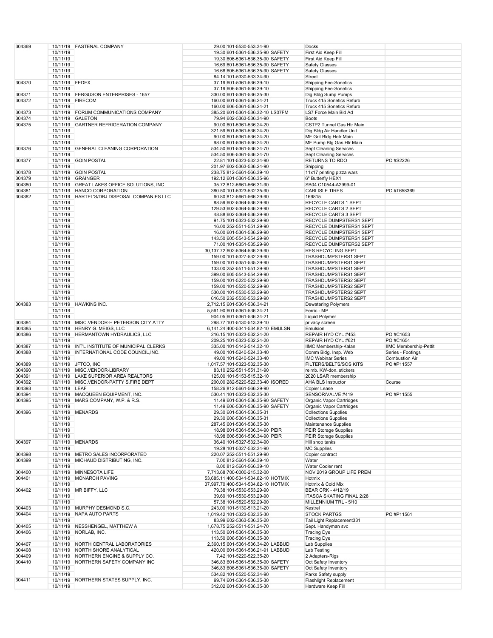|        |                |                                              | 29.00 101-5530-553.34-90                              |                                                     |                               |
|--------|----------------|----------------------------------------------|-------------------------------------------------------|-----------------------------------------------------|-------------------------------|
| 304369 |                | 10/11/19 FASTENAL COMPANY                    |                                                       | Docks                                               |                               |
|        | 10/11/19       |                                              | 19.30 601-5361-536.35-90 SAFETY                       | First Aid Keep Fill                                 |                               |
|        | 10/11/19       |                                              | 19.30 606-5361-536.35-90 SAFETY                       | First Aid Keep Fill                                 |                               |
|        |                |                                              |                                                       |                                                     |                               |
|        | 10/11/19       |                                              | 16.69 601-5361-536.35-90 SAFETY                       | <b>Safety Glasses</b>                               |                               |
|        | 10/11/19       |                                              | 16.68 606-5361-536.35-90 SAFETY                       | Safety Glasses                                      |                               |
|        |                |                                              |                                                       | <b>Street</b>                                       |                               |
|        | 10/11/19       |                                              | 84.14 101-5330-533.34-90                              |                                                     |                               |
| 304370 | 10/11/19 FEDEX |                                              | 37.19 601-5361-536.39-10                              | <b>Shipping Fee-Sonetics</b>                        |                               |
|        | 10/11/19       |                                              | 37.19 606-5361-536.39-10                              | <b>Shipping Fee-Sonetics</b>                        |                               |
|        |                |                                              |                                                       |                                                     |                               |
| 304371 |                | 10/11/19 FERGUSON ENTERPRISES - 1657         | 330.00 601-5361-536.35-30                             | Dig Bldg Sump Pumps                                 |                               |
| 304372 |                | 10/11/19 FIRECOM                             | 160.00 601-5361-536.24-21                             | Truck 415 Sonetics Refurb                           |                               |
|        |                |                                              |                                                       |                                                     |                               |
|        | 10/11/19       |                                              | 160.00 606-5361-536.24-21                             | Truck 415 Sonetics Refurb                           |                               |
| 304373 |                | 10/11/19 FORUM COMMUNICATIONS COMPANY        | 385.20 601-5361-536.32-10 LS07FM                      | LS7 Force Main Bid Ad                               |                               |
|        |                |                                              |                                                       |                                                     |                               |
| 304374 |                | 10/11/19 GALETON                             | 79.94 602-5363-536.34-90                              | <b>Boots</b>                                        |                               |
| 304375 |                | 10/11/19 GARTNER REFRIGERATION COMPANY       | 90.00 601-5361-536.24-20                              | CSTP2 Tunnel Gas Htr Main                           |                               |
|        |                |                                              |                                                       |                                                     |                               |
|        | 10/11/19       |                                              | 321.59 601-5361-536.24-20                             | Dig Bldg Air Handler Unit                           |                               |
|        | 10/11/19       |                                              | 90.00 601-5361-536.24-20                              | MF Grit Bldg Hetr Main                              |                               |
|        |                |                                              |                                                       |                                                     |                               |
|        | 10/11/19       |                                              | 98.00 601-5361-536.24-20                              | MF Pump Blg Gas Htr Main                            |                               |
| 304376 |                | 10/11/19 GENERAL CLEANING CORPORATION        | 534.50 601-5361-536.24-70                             | <b>Sept Cleaning Services</b>                       |                               |
|        |                |                                              |                                                       |                                                     |                               |
|        | 10/11/19       |                                              | 534.50 606-5361-536.24-70                             | <b>Sept Cleaning Services</b>                       |                               |
| 304377 |                | 10/11/19 GOIN POSTAL                         | 22.81 101-5323-532.34-90                              | RETURNS TO RDO                                      | PO #S2226                     |
|        | 10/11/19       |                                              | 201.97 602-5363-536.24-90                             | Shipping                                            |                               |
|        |                |                                              |                                                       |                                                     |                               |
| 304378 |                | 10/11/19 GOIN POSTAL                         | 238.75 812-5661-566.39-10                             | 11x17 printing pizza wars                           |                               |
| 304379 |                | 10/11/19 GRAINGER                            | 192.12 601-5361-536.35-96                             | 6" Butterfly HEX1                                   |                               |
|        |                |                                              |                                                       |                                                     |                               |
| 304380 |                | 10/11/19 GREAT LAKES OFFICE SOLUTIONS, INC   | 35.72 812-5661-566.31-90                              | SB04 C10544-A2999-01                                |                               |
| 304381 |                | 10/11/19 HANCO CORPORATION                   | 380.50 101-5323-532.35-90                             | <b>CARLISLE TIRES</b>                               | PO #T658369                   |
|        |                |                                              |                                                       |                                                     |                               |
| 304382 | 10/11/19       | HARTEL'S/DBJ DISPOSAL COMPANIES LLC          | 60.80 812-5661-566.29-90                              | 169815                                              |                               |
|        | 10/11/19       |                                              | 88.59 602-5364-536.29-90                              | RECYCLE CARTS 1 SEPT                                |                               |
|        |                |                                              |                                                       |                                                     |                               |
|        | 10/11/19       |                                              | 129.53 602-5364-536.29-90                             | <b>RECYCLE CARTS 2 SEPT</b>                         |                               |
|        | 10/11/19       |                                              | 48.88 602-5364-536.29-90                              | RECYCLE CARTS 3 SEPT                                |                               |
|        |                |                                              |                                                       |                                                     |                               |
|        | 10/11/19       |                                              | 91.75 101-5323-532.29-90                              | RECYCLE DUMPSTERS1 SEPT                             |                               |
|        | 10/11/19       |                                              | 16.00 252-5511-551.29-90                              | RECYCLE DUMPSTERS1 SEPT                             |                               |
|        |                |                                              |                                                       |                                                     |                               |
|        | 10/11/19       |                                              | 16.00 601-5361-536.29-90                              | RECYCLE DUMPSTERS1 SEPT                             |                               |
|        | 10/11/19       |                                              | 143.50 605-5543-554.29-90                             | RECYCLE DUMPSTERS1 SEPT                             |                               |
|        |                |                                              |                                                       |                                                     |                               |
|        | 10/11/19       |                                              | 71.00 101-5351-535.29-90                              | RECYCLE DUMPSTERS2 SEPT                             |                               |
|        | 10/11/19       |                                              | 30,137.72 602-5364-536.29-90                          | <b>RES RECYCLING SEPT</b>                           |                               |
|        |                |                                              |                                                       |                                                     |                               |
|        | 10/11/19       |                                              | 159.00 101-5327-532.29-90                             | <b>TRASHDUMPSTERS1 SEPT</b>                         |                               |
|        | 10/11/19       |                                              | 159.00 101-5351-535.29-90                             | <b>TRASHDUMPSTERS1 SEPT</b>                         |                               |
|        | 10/11/19       |                                              |                                                       |                                                     |                               |
|        |                |                                              | 133.00 252-5511-551.29-90                             | <b>TRASHDUMPSTERS1 SEPT</b>                         |                               |
|        | 10/11/19       |                                              | 399.00 605-5543-554.29-90                             | <b>TRASHDUMPSTERS1 SEPT</b>                         |                               |
|        |                |                                              |                                                       |                                                     |                               |
|        | 10/11/19       |                                              | 159.00 101-5220-522.29-90                             | <b>TRASHDUMPSTERS2 SEPT</b>                         |                               |
|        | 10/11/19       |                                              | 159.00 101-5520-552.29-90                             | <b>TRASHDUMPSTERS2 SEPT</b>                         |                               |
|        |                |                                              |                                                       |                                                     |                               |
|        | 10/11/19       |                                              | 530.00 101-5530-553.29-90                             | TRASHDUMPSTERS2 SEPT                                |                               |
|        | 10/11/19       |                                              | 616.50 232-5530-553.29-90                             | <b>TRASHDUMPSTERS2 SEPT</b>                         |                               |
| 304383 |                | 10/11/19 HAWKINS INC.                        |                                                       |                                                     |                               |
|        |                |                                              | 2,712.15 601-5361-536.34-21                           | <b>Dewatering Polymers</b>                          |                               |
|        | 10/11/19       |                                              | 5,561.90 601-5361-536.34-21                           | Ferric - MP                                         |                               |
|        |                |                                              |                                                       |                                                     |                               |
|        | 10/11/19       |                                              | 904.05 601-5361-536.34-21                             | Liquid Polymer                                      |                               |
| 304384 |                | 10/11/19 MISC.VENDOR-H PETERSON CITY ATTY    | 298.77 101-5130-513.39-10                             | privacy screen                                      |                               |
|        |                |                                              |                                                       |                                                     |                               |
| 304385 |                | 10/11/19 HENRY G. MEIGS, LLC                 | 6,141.24 400-5341-534.82-10 EMULSN                    | Emulsion                                            |                               |
| 304386 |                | 10/11/19 HERMANTOWN HYDRAULICS, LLC          | 216.15 101-5323-532.24-20                             | REPAIR HYD CYL #453                                 | PO #C1653                     |
|        | 10/11/19       |                                              | 209.25 101-5323-532.24-20                             | REPAIR HYD CYL #621                                 | PO #C1654                     |
|        |                |                                              |                                                       |                                                     |                               |
| 304387 |                | 10/11/19 INT'L INSTITUTE OF MUNICIPAL CLERKS | 335.00 101-5142-514.32-10                             | IIMC Membership-Kalan                               | <b>IIMC Membership-Pettit</b> |
| 304388 |                | 10/11/19 INTERNATIONAL CODE COUNCIL, INC.    | 49.00 101-5240-524.33-40                              | Comm Bldg. Insp. Web                                | Series - Footings             |
|        |                |                                              |                                                       |                                                     |                               |
|        | 10/11/19       |                                              | 49.00 101-5240-524.33-40                              | <b>IMC Webinar Series</b>                           | <b>Combustion Air</b>         |
| 304389 |                | 10/11/19 JFTCO, INC                          | 1,017.57 101-5323-532.35-30                           | FILTERS/BELTS/SOS KITS                              | PO #P11557                    |
|        |                |                                              |                                                       |                                                     |                               |
| 304390 |                | 10/11/19 MISC.VENDOR-LIBRARY                 | 83.10 252-5511-551.31-90                              | reimb. KW-don. stickers                             |                               |
| 304391 |                | 10/11/19 LAKE SUPERIOR AREA REALTORS         | 125.00 101-5153-515.32-10                             | 2020 LSAR membership                                |                               |
|        |                |                                              |                                                       |                                                     |                               |
| 304392 |                | 10/11/19 MISC.VENDOR-PATTY S.FIRE DEPT       | 200.00 282-5220-522.33-40 ISORED                      | <b>AHA BLS Instructor</b>                           | Course                        |
| 304393 | 10/11/19 LEAF  |                                              | 158.26 812-5661-566.29-90                             | Copier Lease                                        |                               |
|        |                |                                              |                                                       |                                                     |                               |
| 304394 |                | 10/11/19 MACQUEEN EQUIPMENT, INC.            | 530.41 101-5323-532.35-30                             | SENSOR/VALVE #419                                   | PO #P11555                    |
| 304395 |                | 10/11/19 MARS COMPANY, W.P. & R.S.           | 11.49 601-5361-536.35-90 SAFETY                       | Organic Vapor Cartridges                            |                               |
|        |                |                                              |                                                       |                                                     |                               |
|        | 10/11/19       |                                              | 11.49 606-5361-536.35-90 SAFETY                       | Organic Vapor Cartridges                            |                               |
| 304396 |                | 10/11/19 MENARDS                             | 29.30 601-5361-536.35-31                              | <b>Collections Supplies</b>                         |                               |
|        |                |                                              |                                                       |                                                     |                               |
|        | 10/11/19       |                                              | 29.30 606-5361-536.35-31                              | <b>Collections Supplies</b>                         |                               |
|        | 10/11/19       |                                              | 287.45 601-5361-536.35-30                             | Maintenance Supplies                                |                               |
|        |                |                                              |                                                       |                                                     |                               |
|        | 10/11/19       |                                              | 18.98 601-5361-536.34-90 PEIR                         | PEIR Storage Supplies                               |                               |
|        | 10/11/19       |                                              | 18.98 606-5361-536.34-90 PEIR                         | <b>PEIR Storage Supplies</b>                        |                               |
| 304397 |                | 10/11/19 MENARDS                             | 36.40 101-5327-532.34-90                              | Hill shop tanks                                     |                               |
|        |                |                                              |                                                       |                                                     |                               |
|        | 10/11/19       |                                              | 19.28 101-5327-532.34-90                              | <b>MC Supplies</b>                                  |                               |
| 304398 |                | 10/11/19 METRO SALES INCORPORATED            | 220.07 252-5511-551.29-90                             | Copier contract                                     |                               |
|        |                |                                              |                                                       |                                                     |                               |
| 304399 |                | 10/11/19 MICHAUD DISTRIBUTING, INC.          | 7.00 812-5661-566.39-10                               | Water                                               |                               |
|        | 10/11/19       |                                              | 8.00 812-5661-566.39-10                               | Water Cooler rent                                   |                               |
|        |                |                                              |                                                       |                                                     |                               |
| 304400 |                | 10/11/19 MINNESOTA LIFE                      | 7,713.68 700-0000-215.32-00                           | NOV 2019 GROUP LIFE PREM                            |                               |
| 304401 |                | 10/11/19 MONARCH PAVING                      | 53,685.11 400-5341-534.82-10 HOTMIX                   | Hotmix                                              |                               |
|        | 10/11/19       |                                              | 37,997.70 400-5341-534.82-10 HOTMIX                   | Hotmix & Cold Mix                                   |                               |
|        |                |                                              |                                                       |                                                     |                               |
| 304402 |                | 10/11/19 MR BIFFY, LLC                       | 79.38 101-5530-553.29-90                              | BEAR CRK - 4/12/19                                  |                               |
|        | 10/11/19       |                                              | 39.69 101-5530-553.29-90                              | <b>ITASCA SKATING FINAL 2/28</b>                    |                               |
|        |                |                                              |                                                       |                                                     |                               |
|        | 10/11/19       |                                              | 57.38 101-5520-552.29-90                              | MILLENNIUM TRL - 5/10                               |                               |
| 304403 |                | 10/11/19 MURPHY DESMOND S.C.                 | 243.00 101-5130-513.21-20                             | Kestrel                                             |                               |
|        |                |                                              |                                                       |                                                     |                               |
| 304404 |                | 10/11/19 NAPA AUTO PARTS                     | 1,019.42 101-5323-532.35-30                           | <b>STOCK PARTGS</b>                                 | PO #P11561                    |
|        | 10/11/19       |                                              | 83.99 602-5363-536.35-20                              | Tail Light Replacement331                           |                               |
|        |                |                                              |                                                       |                                                     |                               |
| 304405 |                | 10/11/19 NESSHENGEL, MATTHEW A               | 1,678.75 252-5511-551.24-70                           | Sept. Handyman svc                                  |                               |
| 304406 |                | 10/11/19 NORLAB, INC.                        | 113.50 601-5361-536.35-30                             | <b>Tracing Dye</b>                                  |                               |
|        |                |                                              |                                                       |                                                     |                               |
|        | 10/11/19       |                                              | 113.50 606-5361-536.35-30                             | <b>Tracing Dye</b>                                  |                               |
| 304407 |                | 10/11/19 NORTH CENTRAL LABORATORIES          | 2,360.15 601-5361-536.34-20 LABBUD                    | Lab Supplies                                        |                               |
|        |                |                                              |                                                       |                                                     |                               |
| 304408 |                | 10/11/19 NORTH SHORE ANALYTICAL              | 420.00 601-5361-536.21-91 LABBUD                      | Lab Testing                                         |                               |
| 304409 |                | 10/11/19 NORTHERN ENGINE & SUPPLY CO.        | 7.42 101-5220-522.35-20                               | 2 Adapters-Rigs                                     |                               |
|        |                |                                              |                                                       |                                                     |                               |
| 304410 |                | 10/11/19 NORTHERN SAFETY COMPANY INC         | 346.83 601-5361-536.35-90 SAFETY                      | Oct Safety Inventory                                |                               |
|        |                |                                              |                                                       |                                                     |                               |
|        |                |                                              |                                                       |                                                     |                               |
|        | 10/11/19       |                                              | 346.83 606-5361-536.35-90 SAFETY                      | Oct Safety Inventory                                |                               |
|        | 10/11/19       |                                              | 534.82 101-5520-552.34-90                             | Parks Safety supply                                 |                               |
|        |                |                                              |                                                       |                                                     |                               |
| 304411 | 10/11/19       | 10/11/19 NORTHERN STATES SUPPLY, INC.        | 99.74 601-5361-536.35-30<br>312.02 601-5361-536.35-30 | <b>Flashlight Replacement</b><br>Hardware Keep Fill |                               |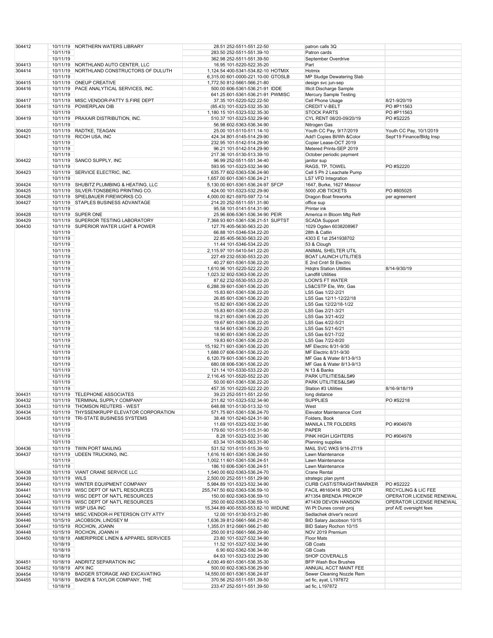| 304412 |               | 10/11/19 NORTHERN WATERS LIBRARY             | 28.51 252-5511-551.22-50            | patron calls 3Q                  |                                |
|--------|---------------|----------------------------------------------|-------------------------------------|----------------------------------|--------------------------------|
|        | 10/11/19      |                                              |                                     | Patron cards                     |                                |
|        |               |                                              | 283.50 252-5511-551.39-10           |                                  |                                |
|        | 10/11/19      |                                              | 362.98 252-5511-551.39-50           | September Overdrive              |                                |
| 304413 |               | 10/11/19 NORTHLAND AUTO CENTER, LLC          | 16.95 101-5220-522.35-20            | Part                             |                                |
| 304414 | 10/11/19      | NORTHLAND CONSTRUCTORS OF DULUTH             |                                     | Hotmix                           |                                |
|        |               |                                              | 1,124.54 400-5341-534.82-10 HOTMIX  |                                  |                                |
|        | 10/11/19      |                                              | 6,315.00 601-0000-221.10-00 GTOSLB  | MP Sludge Dewatering Slab        |                                |
| 304415 | 10/11/19      | <b>ONEUP CREATIVE</b>                        | 1,772.50 812-5661-566.21-80         | design svc jun-sep               |                                |
| 304416 |               | 10/11/19 PACE ANALYTICAL SERVICES, INC.      | 500.00 606-5361-536.21-91 IDDE      | Illicit Discharge Sample         |                                |
|        |               |                                              |                                     |                                  |                                |
|        | 10/11/19      |                                              | 641.25 601-5361-536.21-91 PWMISC    | Mercury Sample Testing           |                                |
| 304417 | 10/11/19      | MISC.VENDOR-PATTY S.FIRE DEPT                | 37.35 101-5220-522.22-50            | Cell Phone Usage                 | 8/21-9/20/19                   |
| 304418 | 10/11/19      | POWERPLAN OIB                                | (85.43) 101-5323-532.35-30          | <b>CREDIT V-BELT</b>             | PO #P11563                     |
|        |               |                                              |                                     |                                  |                                |
|        | 10/11/19      |                                              | 1,180.15 101-5323-532.35-30         | <b>STOCK PARTS</b>               | PO #P11563                     |
| 304419 | 10/11/19      | <b>PRAXAIR DISTRIBUTION, INC.</b>            | 510.37 101-5323-532.29-90           | CYL RENT 08/20-09/20/19          | PO #S2225                      |
|        | 10/11/19      |                                              | 56.98 602-5363-536.34-90            | Nitrogen Gas                     |                                |
| 304420 | 10/11/19      | RADTKE, TEAGAN                               |                                     |                                  | Youth CC Pay, 10/1/2019        |
|        |               |                                              | 25.00 101-5110-511.14-10            | Youth CC Pay, 9/17/2019          |                                |
| 304421 | 10/11/19      | RICOH USA, INC                               | 424.34 801-5145-514.29-90           | Add'l Copies Bl/Wh & Color       | Sept'19 Finance/Bldg Insp      |
|        | 10/11/19      |                                              | 232.95 101-5142-514.29-90           | Copier Lease-OCT 2019            |                                |
|        | 10/11/19      |                                              | 96.21 101-5142-514.29-90            | Metered Prints-SEP 2019          |                                |
|        |               |                                              |                                     |                                  |                                |
|        | 10/11/19      |                                              | 217.36 101-5130-513.39-10           | October periodic payment         |                                |
| 304422 | 10/11/19      | SANCO SUPPLY, INC                            | 96.99 252-5511-551.34-40            | janitor sup                      |                                |
|        | 10/11/19      |                                              | 593.95 101-5323-532.34-90           | RAGS, TP, TOWEL                  | PO #S2220                      |
|        |               |                                              |                                     |                                  |                                |
| 304423 | 10/11/19      | SERVICE ELECTRIC, INC.                       | 635.77 602-5363-536.24-90           | Cell 5 Ph 2 Leachate Pump        |                                |
|        | 10/11/19      |                                              | 1,657.00 601-5361-536.24-21         | LS7 VFD Integration              |                                |
| 304424 |               | 10/11/19 SHUBITZ PLUMBING & HEATING, LLC     | 5,130.00 601-5361-536.24-97 SFCP    | 1647, Burke, 1627 Missour        |                                |
|        |               |                                              |                                     |                                  |                                |
| 304425 | 10/11/19      | SILVER-TONSBERG PRINTING CO.                 | 424.00 101-5323-532.29-90           | 5000 JOB TICKETS                 | PO #805025                     |
| 304426 | 10/11/19      | SPIELBAUER FIREWORKS CO.                     | 4,000.00 821-5970-597.72-14         | Dragon Boat fireworks            | per agreement                  |
| 304427 | 10/11/19      | STAPLES BUSINESS ADVANTAGE                   | 214.20 252-5511-551.31-90           | office sup                       |                                |
|        | 10/11/19      |                                              | 95.58 101-5141-514.31-90            | Printer ink                      |                                |
|        |               |                                              |                                     |                                  |                                |
| 304428 |               | 10/11/19 SUPER ONE                           | 25.96 606-5361-536.34-90 PEIR       | America in Bloom Mtg Refr        |                                |
| 304429 | 10/11/19      | SUPERIOR TESTING LABORATORY                  | 7,368.93 601-5361-536.21-51 SUPTST  | <b>SCADA Support</b>             |                                |
| 304430 | 10/11/19      | SUPERIOR WATER LIGHT & POWER                 | 127.76 405-5630-563.22-20           | 1029 Ogden 6038208967            |                                |
|        |               |                                              |                                     |                                  |                                |
|        | 10/11/19      |                                              | 66.88 101-5346-534.22-20            | 28th & Catlin                    |                                |
|        | 10/11/19      |                                              | 22.85 405-5630-563.22-20            | 4303 E 1st 2541938702            |                                |
|        | 10/11/19      |                                              | 11.44 101-5346-534.22-20            | 53 & Clough                      |                                |
|        | 10/11/19      |                                              |                                     |                                  |                                |
|        |               |                                              | 2,115.97 101-5410-541.22-20         | ANIMAL SHELTER UTIL              |                                |
|        | 10/11/19      |                                              | 227.49 232-5530-553.22-20           | <b>BOAT LAUNCH UTILITIES</b>     |                                |
|        | 10/11/19      |                                              | 40.27 601-5361-536.22-20            | E 2nd Cntrl St Electric          |                                |
|        |               |                                              |                                     |                                  |                                |
|        | 10/11/19      |                                              | 1,610.96 101-5220-522.22-20         | <b>Hdgtrs Station Utilities</b>  | 8/14-9/30/19                   |
|        | 10/11/19      |                                              | 1,023.32 602-5363-536.22-20         | Landfill Utilities               |                                |
|        | 10/11/19      |                                              | 87.62 232-5530-553.22-20            | <b>LOON'S FT WATER</b>           |                                |
|        | 10/11/19      |                                              | 6,288.39 601-5361-536.22-20         | LS&CSTP Ele, Wtr, Gas            |                                |
|        |               |                                              |                                     |                                  |                                |
|        | 10/11/19      |                                              | 15.83 601-5361-536.22-20            | LS5 Gas 1/22-2/21                |                                |
|        | 10/11/19      |                                              | 26.85 601-5361-536.22-20            | LS5 Gas 12/11-12/22/18           |                                |
|        | 10/11/19      |                                              | 15.82 601-5361-536.22-20            | LS5 Gas 12/22/18-1/22            |                                |
|        |               |                                              |                                     |                                  |                                |
|        | 10/11/19      |                                              | 15.83 601-5361-536.22-20            | LS5 Gas 2/21-3/21                |                                |
|        | 10/11/19      |                                              | 18.21 601-5361-536.22-20            | LS5 Gas 3/21-4/22                |                                |
|        | 10/11/19      |                                              | 19.67 601-5361-536.22-20            | LS5 Gas 4/22-5/21                |                                |
|        | 10/11/19      |                                              | 18.54 601-5361-536.22-20            | LS5 Gas 5/21-6/21                |                                |
|        |               |                                              |                                     |                                  |                                |
|        | 10/11/19      |                                              | 18.90 601-5361-536.22-20            | LS5 Gas 6/21-7/22                |                                |
|        | 10/11/19      |                                              | 19.83 601-5361-536.22-20            | LS5 Gas 7/22-8/20                |                                |
|        | 10/11/19      |                                              | 15, 192.71 601-5361-536.22-20       | MF Electric 8/31-9/30            |                                |
|        |               |                                              |                                     |                                  |                                |
|        | 10/11/19      |                                              | 1,688.07 606-5361-536.22-20         | MF Electric 8/31-9/30            |                                |
|        | 10/11/19      |                                              | 6,120.79 601-5361-536.22-20         | MF Gas & Water 8/13-9/13         |                                |
|        | 10/11/19      |                                              | 680.08 606-5361-536.22-20           | MF Gas & Water 8/13-9/13         |                                |
|        |               |                                              |                                     |                                  |                                |
|        | 10/11/19      |                                              | 121.14 101-5330-533.22-20           | N 13 & Banks                     |                                |
|        | 10/11/19      |                                              | 2,116.45 101-5520-552.22-20         | PARK UTILITIES&LS#9              |                                |
|        | 10/11/19      |                                              | 50.00 601-5361-536.22-20            | PARK UTILITIES&LS#9              |                                |
|        | 10/11/19      |                                              |                                     |                                  | 8/16-9/18//19                  |
|        |               |                                              | 457.35 101-5220-522.22-20           | Station #3 Utilities             |                                |
| 304431 |               | 10/11/19 TELEPHONE ASSOCIATES                | 39.23 252-5511-551.22-50            | long distance                    |                                |
| 304432 |               | 10/11/19 TERMINAL SUPPLY COMPANY             | 211.82 101-5323-532.34-90           | <b>SUPPLIES</b>                  | PO #S2218                      |
|        |               |                                              |                                     |                                  |                                |
| 304433 | 10/11/19      | <b>THOMSON REUTERS - WEST</b>                | 648.88 101-5130-513.32-10           | West                             |                                |
| 304434 |               | 10/11/19 THYSSENKRUPP ELEVATOR CORPORATION   | 571.75 601-5361-536.24-70           | Elevator Maintenance Cont        |                                |
| 304435 | 10/11/19      | TRI-STATE BUSINESS SYSTEMS                   | 38.48 101-5240-524.31-90            | Folders, Book                    |                                |
|        | 10/11/19      |                                              | 11.69 101-5323-532.31-90            | <b>MANILA LTR FOLDERS</b>        | PO #904978                     |
|        |               |                                              |                                     |                                  |                                |
|        | 10/11/19      |                                              | 179.60 101-5151-515.31-90           | PAPER                            |                                |
|        | 10/11/19      |                                              | 8.28 101-5323-532.31-90             | PINK HIGH LIGHTERS               | PO #904978                     |
|        | 10/11/19      |                                              | 63.34 101-5630-563.31-90            | Planning supplies                |                                |
| 304436 |               | 10/11/19 TWIN PORT MAILING                   |                                     | MAIL SVC WKS 9/16-27/19          |                                |
|        |               |                                              | 531.52 101-5151-515.39-10           |                                  |                                |
| 304437 | 10/11/19      | <b>UDEEN TRUCKING, INC.</b>                  | 1,616.16 601-5361-536.24-50         | Lawn Maintenance                 |                                |
|        | 10/11/19      |                                              | 1,002.11 601-5361-536.24-51         | Lawn Maintenance                 |                                |
|        | 10/11/19      |                                              | 186.10 606-5361-536.24-51           | Lawn Maintenance                 |                                |
|        |               |                                              |                                     |                                  |                                |
| 304438 |               | 10/11/19 VIANT CRANE SERVICE LLC             | 1,540.00 602-5363-536.24-70         | Crane Rental                     |                                |
| 304439 | 10/11/19 WILS |                                              | 2,500.00 252-5511-551.29-90         | strategic plan pymt              |                                |
| 304440 |               | 10/11/19 WINTER EQUIPMENT COMPANY            | 5,984.89 101-5323-532.34-90         | <b>CURB CAST/STRAIGHT/MARKER</b> | PO #S2222                      |
|        |               |                                              |                                     |                                  |                                |
| 304441 |               | 10/11/19 WISC DEPT OF NAT'L RESOURCES        | 255,747.50 602-5363-536.59-10       | FACIL #8160416 3RD QTR           | <b>RECYCLING &amp; LIC FEE</b> |
| 304442 |               | 10/11/19 WISC DEPT OF NAT'L RESOURCES        | 150.00 602-5363-536.59-10           | #71354 BRENDA PROKOP             | OPERATOR LICENSE RENEWAL       |
| 304443 |               | 10/11/19 WISC DEPT OF NAT'L RESOURCES        | 250.00 602-5363-536.59-10           | #71439 DEVON HANSON              | OPERATOR LICENSE RENEWAL       |
| 304444 |               | 10/11/19 WSP USA INC                         | 15,344.89 400-5530-553.82-10 WIDUNE | Wi Pt Dunes constr proj          | prof A/E oversight fees        |
|        |               |                                              |                                     |                                  |                                |
| 304445 |               | 10/14/19 MISC.VENDOR-H PETERSON CITY ATTY    | 12.00 101-5130-513.21-80            | Sedlachek driver's record        |                                |
| 304446 |               | 10/15/19 JACOBSON, LINDSEY M                 | 1,636.39 812-5661-566.21-80         | BID Salary Jacobson 10/15        |                                |
| 304447 |               | 10/15/19 ROCHON, JOANN                       | 1,355.01 812-5661-566.21-80         | BID Salary Rochon 10/15          |                                |
|        |               |                                              |                                     |                                  |                                |
| 304448 |               | 10/15/19 ROCHON, JOANN H                     | 250.00 812-5661-566.29-90           | NOV 2019 Premium                 |                                |
| 304450 |               | 10/18/19 AMERIPRIDE LINEN & APPAREL SERVICES | 23.80 101-5327-532.34-90            | <b>Floor Mats</b>                |                                |
|        | 10/18/19      |                                              | 11.52 101-5327-532.34-90            | <b>GB Coats</b>                  |                                |
|        |               |                                              |                                     |                                  |                                |
|        | 10/18/19      |                                              | 6.90 602-5362-536.34-90             | <b>GB Coats</b>                  |                                |
|        | 10/18/19      |                                              | 64.63 101-5323-532.29-90            | SHOP COVERALLS                   |                                |
| 304451 |               | 10/18/19 ANDRITZ SEPARATION INC              |                                     | BFP Wash Box Brushes             |                                |
|        |               |                                              | 4,030.49 601-5361-536.35-30         |                                  |                                |
| 304452 | 10/18/19      | APX INC                                      | 500.00 602-5363-536.29-90           | ANNUAL ACCT MAINT FEE            |                                |
| 304454 |               | 10/18/19 BADGER STORAGE AND EXCAVATING       | 14,550.00 601-5361-536.24-97        | Sewer Cleaning Nozzle Rem        |                                |
| 304455 | 10/18/19      | BAKER & TAYLOR COMPANY, THE                  | 370.56 252-5511-551.39-50           | ad fic, ayat, L197872            |                                |
|        |               |                                              |                                     |                                  |                                |
|        | 10/18/19      |                                              | 233.47 252-5511-551.39-50           | ad fic, L197872                  |                                |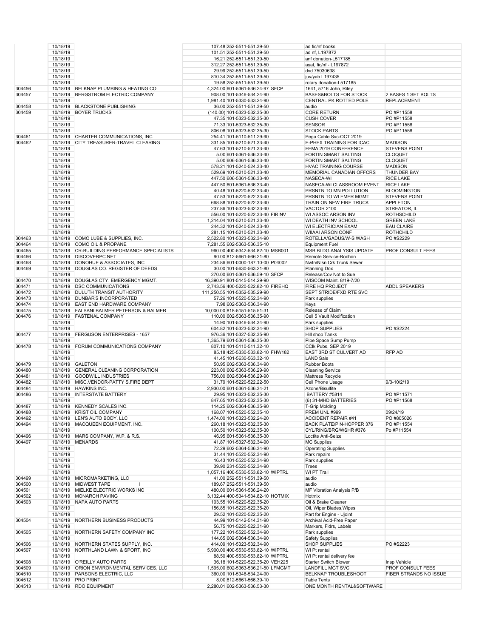|        | 10/18/19 |                                                                | 107.48 252-5511-551.39-50          | ad fic/nf books             |                        |
|--------|----------|----------------------------------------------------------------|------------------------------------|-----------------------------|------------------------|
|        | 10/18/19 |                                                                | 101.51 252-5511-551.39-50          | ad nf, L197872              |                        |
|        | 10/18/19 |                                                                | 16.21 252-5511-551.39-50           | anf donation-L517185        |                        |
|        | 10/18/19 |                                                                | 312.27 252-5511-551.39-50          | ayat, fic/nf - L197872      |                        |
|        | 10/18/19 |                                                                | 29.99 252-5511-551.39-50           | dvd 75030638                |                        |
|        | 10/18/19 |                                                                | 810.34 252-5511-551.39-50          | juv/yab L197435             |                        |
|        | 10/18/19 |                                                                | 19.58 252-5511-551.39-50           | rotary donation-L517185     |                        |
| 304456 | 10/18/19 | BELKNAP PLUMBING & HEATING CO.                                 | 4,324.00 601-5361-536.24-97 SFCP   | 1641, 5716 John, Riley      |                        |
| 304457 | 10/18/19 | BERGSTROM ELECTRIC COMPANY                                     | 908.00 101-5346-534.24-90          |                             | 2 BASES 1 SET BOLTS    |
|        |          |                                                                |                                    | BASES&BOLTS FOR STOCK       |                        |
|        | 10/18/19 |                                                                | 1,981.40 101-5330-533.24-90        | CENTRAL PK ROTTED POLE      | <b>REPLACEMENT</b>     |
| 304458 |          | 10/18/19 BLACKSTONE PUBLISHING                                 | 36.00 252-5511-551.39-50           | audio                       |                        |
| 304459 | 10/18/19 | <b>BOYER TRUCKS</b>                                            | (140.00) 101-5323-532.35-30        | <b>CORE RETURN</b>          | PO #P11558             |
|        | 10/18/19 |                                                                | 47.35 101-5323-532.35-30           | <b>CUSH COVER</b>           | PO #P11558             |
|        | 10/18/19 |                                                                | 71.33 101-5323-532.35-30           | <b>SENSOR</b>               | PO #P11558             |
|        | 10/18/19 |                                                                | 806.08 101-5323-532.35-30          | <b>STOCK PARTS</b>          | PO #P11558             |
| 304461 |          | 10/18/19 CHARTER COMMUNICATIONS, INC                           | 254.41 101-5110-511.29-90          | Pega Cable Svc-OCT 2019     |                        |
| 304462 | 10/18/19 | CITY TREASURER-TRAVEL CLEARING                                 | 331.85 101-5210-521.33-40          | E-PHEX TRAINING FOR ICAC    | <b>MADISON</b>         |
|        | 10/18/19 |                                                                | 47.63 101-5210-521.33-40           | FEMA 2019 CONFERENCE        | <b>STEVENS POINT</b>   |
|        | 10/18/19 |                                                                | 5.00 601-5361-536.33-40            | FORTIN SMART SALTING        | <b>CLOQUET</b>         |
|        | 10/18/19 |                                                                | 5.00 606-5361-536.33-40            | FORTIN SMART SALTING        | <b>CLOQUET</b>         |
|        | 10/18/19 |                                                                | 578.21 101-5240-524.33-40          | <b>HVAC TRAINING COURSE</b> | <b>MADISON</b>         |
|        | 10/18/19 |                                                                | 529.69 101-5210-521.33-40          | MEMORIAL CANADIAN OFFCRS    | THUNDER BAY            |
|        | 10/18/19 |                                                                | 447.50 606-5361-536.33-40          | NASECA-WI                   | <b>RICE LAKE</b>       |
|        | 10/18/19 |                                                                | 447.50 601-5361-536.33-40          | NASECA-WI CLASSROOM EVENT   | <b>RICE LAKE</b>       |
|        | 10/18/19 |                                                                | 40.48 101-5220-522.33-40           | PRSNTN TO MN POLLUTION      | <b>BLOOMINGTON</b>     |
|        | 10/18/19 |                                                                | 47.53 101-5220-522.33-40           | PRSNTN TO WI EMER MGMT      | <b>STEVENS POINT</b>   |
|        | 10/18/19 |                                                                | 668.88 101-5220-522.33-40          | TRAIN ON NEW FIRE TRUCK     | <b>APPLETON</b>        |
|        | 10/18/19 |                                                                | 237.86 101-5323-532.33-40          | VACTOR 2100                 | STREATOR, IL           |
|        | 10/18/19 |                                                                | 556.00 101-5220-522.33-40 FIRINV   | WI ASSOC ARSON INV          | <b>ROTHSCHILD</b>      |
|        | 10/18/19 |                                                                | 1,214.04 101-5210-521.33-40        | WI DEATH INV SCHOOL         | <b>GREEN LAKE</b>      |
|        | 10/18/19 |                                                                | 244.32 101-5240-524.33-40          | WI ELECTRICIAN EXAM         | <b>EAU CLAIRE</b>      |
|        | 10/18/19 |                                                                | 281.15 101-5210-521.33-40          | <b>WIIAAI ARSON CONF</b>    | <b>ROTHCHILD</b>       |
| 304463 | 10/18/19 | COMO LUBE & SUPPLIES, INC.                                     | 2,522.80 101-5323-532.34-90        | ROTELLA/GADUS/W-S WASH      | PO #S2229              |
| 304464 | 10/18/19 | COMO OIL & PROPANE                                             | 7,281.55 602-5363-536.35-10        | <b>Equipment Fuel</b>       |                        |
|        | 10/18/19 |                                                                | 960.00 400-5342-534.82-10 MSB001   |                             | PROF CONSULT FEES      |
| 304465 |          | CR-BUILDING PERFORMANCE SPECIALISTS<br>10/18/19 DISCOVERPC.NET |                                    | MSB BLDG ANALYSIS UPDATE    |                        |
| 304466 |          |                                                                | 90.00 812-5661-566.21-80           | Remote Service-Rochon       |                        |
| 304468 |          | 10/18/19 DONOHUE & ASSOCIATES, INC                             | 234.86 601-0000-187.10-00 P04002   | Nwtn/Nlsn Crk Trunk Sewer   |                        |
| 304469 |          | 10/18/19 DOUGLAS CO. REGISTER OF DEEDS                         | 30.00 101-5630-563.21-80           | <b>Planning Dox</b>         |                        |
|        | 10/18/19 |                                                                | 270.00 601-5361-536.59-10 SFCP     | Release/Cov Not to Sue      |                        |
| 304470 |          | 10/18/19 DOUGLAS CTY. EMERGENCY MGMT.                          | 16,390.91 801-5145-514.29-90       | WISCOM Maint. 8/19-7/20     |                        |
| 304471 |          | 10/18/19 DSC COMMUNICATIONS                                    | 2,743.56 400-5220-522.82-10 FIREHQ | FIRE HQ PROJECT             | <b>ADDL SPEAKERS</b>   |
| 304472 |          | 10/18/19 DULUTH TRANSIT AUTHORITY                              | 111,250.55 101-5352-535.29-90      | SEPT STRIDE/FXD RTE SVC     |                        |
| 304473 |          | 10/18/19 DUNBAR'S INCORPORATED                                 | 57.26 101-5520-552.34-90           | Park supplies               |                        |
| 304474 |          | 10/18/19 EAST END HARDWARE COMPANY                             | 7.98 602-5363-536.34-90            | Keys                        |                        |
| 304475 |          | 10/18/19 FALSANI BALMER PETERSON & BALMER                      | 10,000.00 818-5151-515.51-31       | Release of Claim            |                        |
| 304476 |          | 10/18/19 FASTENAL COMPANY                                      | 110.00 602-5363-536.35-90          | Cell 5 Vault Modification   |                        |
|        | 10/18/19 |                                                                | 14.90 101-5346-534.34-90           | Park supplies               |                        |
|        | 10/18/19 |                                                                | 604.82 101-5323-532.34-90          | <b>SHOP SUPPLIES</b>        | PO #S2224              |
| 304477 | 10/18/19 | <b>FERGUSON ENTERPRISES - 1657</b>                             | 976.36 101-5327-532.35-90          | Hill shop Tanks             |                        |
|        | 10/18/19 |                                                                | 1,365.79 601-5361-536.35-30        | Pipe Space Sump Pump        |                        |
| 304478 | 10/18/19 | <b>FORUM COMMUNICATIONS COMPANY</b>                            | 807.10 101-5110-511.32-10          | CCIk Pubs, SEP 2019         |                        |
|        | 10/18/19 |                                                                | 85.18 425-5330-533.82-10 FHW182    | EAST 3RD ST CULVERT AD      | RFP AD                 |
|        | 10/18/19 |                                                                | 41.45 101-5630-563.32-10           | <b>LAND Sale</b>            |                        |
| 304479 |          | 10/18/19 GALETON                                               | 50.95 602-5363-536.34-90           | <b>Rubber Boots</b>         |                        |
| 304480 | 10/18/19 | <b>GENERAL CLEANING CORPORATION</b>                            | 223.00 602-5363-536.29-90          | <b>Cleaning Service</b>     |                        |
| 304481 | 10/18/19 | <b>GOODWILL INDUSTRIES</b>                                     | 756.00 602-5364-536.29-90          | Mattress Recycle            |                        |
| 304482 |          | 10/18/19 MISC.VENDOR-PATTY S.FIRE DEPT                         | 31.79 101-5220-522.22-50           | Cell Phone Usage            | 9/3-10/2/19            |
| 304484 |          | 10/18/19 HAWKINS INC.                                          | 2,930.00 601-5361-536.34-21        | Azone/Bisulfite             |                        |
| 304486 |          | 10/18/19 INTERSTATE BATTERY                                    | 29.95 101-5323-532.35-30           | BATTERY #5814               | PO #P11571             |
|        | 10/18/19 |                                                                | 847.65 101-5323-532.35-30          | (6) 31-MHD BATTERIES        | PO #P11568             |
| 304487 |          | 10/18/19 KENNEDY SCALES INC.                                   | 114.25 602-5364-536.35-90          | T-Grip Molding              |                        |
| 304488 |          | 10/18/19 KRIST OIL COMPANY                                     | 168.07 101-5520-552.35-10          | PREM UNL #999               | 09/24/19               |
| 304492 |          | 10/18/19 LEN'S AUTO BODY, LLC                                  | 1,474.00 101-5323-532.24-20        | <b>ACCIDENT REPAIR #41</b>  | PO #805026             |
| 304494 |          | 10/18/19 MACQUEEN EQUIPMENT, INC.                              | 260.18 101-5323-532.35-30          | BACK PLATE/PIN-HOPPER 376   | PO #P11554             |
|        | 10/18/19 |                                                                | 100.50 101-5323-532.35-30          | CYL/RING/BRG/WSHR #376      | Po #P11554             |
| 304496 |          | 10/18/19 MARS COMPANY, W.P. & R.S.                             | 46.95 601-5361-536.35-30           | Loctite Anti-Seize          |                        |
| 304497 |          | 10/18/19 MENARDS                                               | 41.87 101-5327-532.34-90           | <b>MC Supplies</b>          |                        |
|        | 10/18/19 |                                                                | 72.29 602-5364-536.34-90           | <b>Operating Supplies</b>   |                        |
|        | 10/18/19 |                                                                | 31.44 101-5520-552.34-90           | Park repairs                |                        |
|        | 10/18/19 |                                                                | 16.43 101-5520-552.34-90           | Park supplies               |                        |
|        | 10/18/19 |                                                                | 39.90 231-5520-552.34-90           | Trees                       |                        |
|        | 10/18/19 |                                                                |                                    |                             |                        |
| 304499 |          | 10/18/19 MICROMARKETING, LLC                                   | 1,057.16 400-5530-553.82-10 WIPTRL | WI PT Trail<br>audio        |                        |
|        |          | 10/18/19 MIDWEST TAPE<br>$\mathbf{I}$                          | 41.00 252-5511-551.39-50           | audio                       |                        |
| 304500 |          |                                                                | 189.67 252-5511-551.39-50          |                             |                        |
| 304501 |          | 10/18/19 MIELKE ELECTRIC WORKS INC                             | 480.00 601-5361-536.24-20          | MF Vibration Analysis P/B   |                        |
| 304502 |          | 10/18/19 MONARCH PAVING                                        | 3,132.44 400-5341-534.82-10 HOTMIX | Hotmix                      |                        |
| 304503 |          | 10/18/19 NAPA AUTO PARTS                                       | 103.55 101-5220-522.35-20          | Oil & Brake Cleaner         |                        |
|        | 10/18/19 |                                                                | 156.85 101-5220-522.35-20          | Oil, Wiper Blades, Wipes    |                        |
|        | 10/18/19 |                                                                | 29.52 101-5220-522.35-20           | Part for Engine - Ujoint    |                        |
| 304504 |          | 10/18/19 NORTHERN BUSINESS PRODUCTS                            | 44.99 101-5142-514.31-90           | Archival Acid-Free Paper    |                        |
|        | 10/18/19 |                                                                | 56.75 101-5220-522.31-90           | Markers, Fldrs, Labels      |                        |
| 304505 |          | 10/18/19 NORTHERN SAFETY COMPANY INC                           | 177.22 101-5520-552.34-90          | Park supplies               |                        |
|        | 10/18/19 |                                                                | 144.65 602-5364-536.34-90          | <b>Safety Supplies</b>      |                        |
| 304506 |          | 10/18/19 NORTHERN STATES SUPPLY, INC.                          | 414.09 101-5323-532.34-90          | SHOP SUPPLIES               | PO #S2223              |
| 304507 |          | 10/18/19 NORTHLAND LAWN & SPORT, INC                           | 5,900.00 400-5530-553.82-10 WIPTRL | WI Pt rental                |                        |
|        | 10/18/19 |                                                                | 88.50 400-5530-553.82-10 WIPTRL    | WI Pt rental delivery fee   |                        |
|        |          |                                                                | 36.18 101-5220-522.35-20 VEH225    | Starter Switch Blower       |                        |
| 304508 |          | 10/18/19 O'REILLY AUTO PARTS                                   |                                    |                             | Insp Vehicle           |
| 304509 |          | 10/18/19 ORION ENVIRONMENTAL SERVICES, LLC                     | 1,595.00 602-5363-536.21-50 LFMGMT | <b>LANDFILL MGT SVC</b>     | PROF CONSULT FEES      |
| 304510 |          | 10/18/19 PARSONS ELECTRIC, LLC                                 | 360.00 101-5346-534.24-90          | BELKNAP TROUBLESHOOT        | FIBER STRANDS NO ISSUE |
| 304512 |          | 10/18/19 PRO PRINT                                             | 8.00 812-5661-566.39-10            | <b>Table Tents</b>          |                        |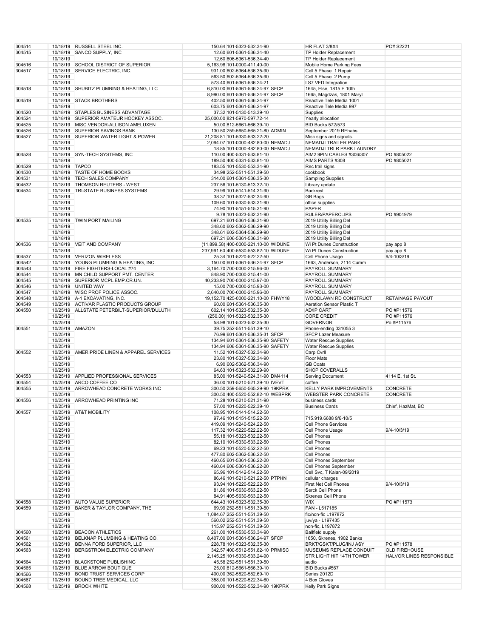| 304514 |                | 10/18/19 RUSSELL STEEL INC.                 | 150.64 101-5323-532.34-90             | HR FLAT 3/8X4                | PO# S2221                |
|--------|----------------|---------------------------------------------|---------------------------------------|------------------------------|--------------------------|
| 304515 |                | 10/18/19 SANCO SUPPLY, INC                  | 12.60 601-5361-536.34-40              | TP Holder Replacement        |                          |
|        | 10/18/19       |                                             | 12.60 606-5361-536.34-40              | TP Holder Replacement        |                          |
|        |                |                                             |                                       |                              |                          |
| 304516 |                | 10/18/19 SCHOOL DISTRICT OF SUPERIOR        | 5,163.98 101-0000-411.40-00           | Mobile Home Parking Fees     |                          |
| 304517 | 10/18/19       | SERVICE ELECTRIC, INC.                      | 931.00 602-5364-536.35-90             | Cell 5 Phase 1 Repair        |                          |
|        | 10/18/19       |                                             | 563.50 602-5364-536.35-90             | Cell 5 Phase 2 Pump          |                          |
|        | 10/18/19       |                                             | 573.40 601-5361-536.24-21             | <b>LS7 VFD Integration</b>   |                          |
| 304518 |                | 10/18/19 SHUBITZ PLUMBING & HEATING, LLC    | 6,810.00 601-5361-536.24-97 SFCP      | 1645, Else, 1815 E 10th      |                          |
|        | 10/18/19       |                                             | 8,990.00 601-5361-536.24-97 SFCP      | 1665, Magdzas, 1801 Maryl    |                          |
| 304519 |                | 10/18/19 STACK BROTHERS                     | 402.50 601-5361-536.24-97             | Reactive Tele Media 1001     |                          |
|        |                |                                             |                                       |                              |                          |
|        | 10/18/19       |                                             | 603.75 601-5361-536.24-97             | Reactive Tele Media 997      |                          |
| 304520 |                | 10/18/19 STAPLES BUSINESS ADVANTAGE         | 37.32 101-5130-513.39-10              | Supplies                     |                          |
| 304524 |                | 10/18/19 SUPERIOR AMATEUR HOCKEY ASSOC.     | 25,000.00 821-5970-597.72-14          | Yearly allocation            |                          |
| 304525 |                | 10/18/19 MISC.VENDOR-ALLISON AMELUXEN       | 50.00 812-5661-566.39-10              | <b>BID Bucks 572/573</b>     |                          |
| 304526 |                | 10/18/19 SUPERIOR SAVINGS BANK              | 130.50 259-5650-565.21-80 ADMIN       | September 2019 REhabs        |                          |
| 304527 |                | 10/18/19 SUPERIOR WATER LIGHT & POWER       | 21,208.81 101-5330-533.22-20          | Misc signs and signals.      |                          |
|        | 10/18/19       |                                             | 2,094.07 101-0000-482.80-00 NEMADJ    | NEMADJI TRAILER PARK         |                          |
|        | 10/18/19       |                                             | 18.85 101-0000-482.80-00 NEMADJ       | NEMADJI TRLR PARK LAUNDRY    |                          |
|        |                | 10/18/19 SYN-TECH SYSTEMS, INC              |                                       |                              |                          |
| 304528 |                |                                             | 110.00 400-5331-533.81-10             | AIM2 9PIN CABLES #306/307    | PO #805022               |
|        | 10/18/19       |                                             | 189.50 400-5331-533.81-10             | AIMS PARTS #308              | PO #805021               |
| 304529 | 10/18/19 TAPCO |                                             | 183.55 101-5530-553.34-90             | Rec trail signs              |                          |
| 304530 |                | 10/18/19 TASTE OF HOME BOOKS                | 34.98 252-5511-551.39-50              | cookbook                     |                          |
| 304531 |                | 10/18/19 TECH SALES COMPANY                 | 314.00 601-5361-536.35-30             | <b>Sampling Supplies</b>     |                          |
| 304532 |                | 10/18/19 THOMSON REUTERS - WEST             | 237.56 101-5130-513.32-10             | Library update               |                          |
| 304534 | 10/18/19       | TRI-STATE BUSINESS SYSTEMS                  | 29.99 101-5141-514.31-90              | Backrest                     |                          |
|        | 10/18/19       |                                             | 38.37 101-5327-532.34-90              | GB Bags                      |                          |
|        | 10/18/19       |                                             | 109.60 101-5330-533.31-90             | office supplies              |                          |
|        |                |                                             |                                       |                              |                          |
|        | 10/18/19       |                                             | 74.90 101-5151-515.31-90              | PAPER                        |                          |
|        | 10/18/19       |                                             | 9.78 101-5323-532.31-90               | RULER/PAPERCLIPS             | PO #904979               |
| 304535 | 10/18/19       | <b>TWIN PORT MAILING</b>                    | 697.21 601-5361-536.31-90             | 2019 Utility Billing Del     |                          |
|        | 10/18/19       |                                             | 348.60 602-5362-536.29-90             | 2019 Utility Billing Del     |                          |
|        | 10/18/19       |                                             | 348.61 602-5364-536.29-90             | 2019 Utility Billing Del     |                          |
|        | 10/18/19       |                                             | 697.21 606-5361-536.31-90             | 2019 Utility Billing Del     |                          |
| 304536 | 10/18/19       | VEIT AND COMPANY                            | (11,899.58) 400-0000-221.10-00 WIDUNE | Wi Pt Dunes Construction     | pay app 8                |
|        |                |                                             |                                       |                              |                          |
|        | 10/18/19       |                                             | 237,991.60 400-5530-553.82-10 WIDUNE  | Wi Pt Dunes Construction     | pay app 8                |
| 304537 |                | 10/18/19 VERIZON WIRELESS                   | 25.34 101-5220-522.22-50              | Cell Phone Usage             | 9/4-10/3/19              |
| 304542 |                | 10/18/19 YOUNG PLUMBING & HEATING, INC.     | 150.00 601-5361-536.24-97 SFCP        | 1663, Anderson, 2114 Cumm    |                          |
| 304543 | 10/18/19       | FIRE FIGHTERS-LOCAL #74                     | 3,164.70 700-0000-215.96-00           | PAYROLL SUMMARY              |                          |
| 304544 |                | 10/18/19 MN CHILD SUPPORT PMT. CENTER       | 848.90 700-0000-215.41-00             | PAYROLL SUMMARY              |                          |
| 304545 |                | 10/18/19 SUPERIOR MCPL.EMP.CR.UN.           | 40,233.90 700-0000-215.97-00          | PAYROLL SUMMARY              |                          |
| 304546 |                | 10/18/19 UNITED WAY                         | 15.00 700-0000-215.93-00              | PAYROLL SUMMARY              |                          |
| 304547 |                | 10/18/19 WISC PROF POLICE ASSOC.            | 2,640.00 700-0000-215.96-00           | PAYROLL SUMMARY              |                          |
|        |                |                                             |                                       |                              |                          |
| 304548 |                | 10/25/19 A-1 EXCAVATING, INC.               | 19,152.70 425-0000-221.10-00 FHWY18   | WOODLAWN RD CONSTRUCT        | <b>RETAINAGE PAYOUT</b>  |
| 304549 |                | 10/25/19 ACTIVAR PLASTIC PRODUCTS GROUP     | 60.00 601-5361-536.35-30              | Aeration Sensor Plastic T    |                          |
| 304550 |                | 10/25/19 ALLSTATE PETERBILT-SUPERIOR/DULUTH | 602.14 101-5323-532.35-30             | <b>AD/IP CART</b>            | PO #P11576               |
|        | 10/25/19       |                                             | (250.00) 101-5323-532.35-30           | <b>CORE CREDIT</b>           | PO #P11576               |
|        | 10/25/19       |                                             | 58.98 101-5323-532.35-30              | <b>GOVERNOR</b>              | Po #P11576               |
| 304551 |                | 10/25/19 AMAZON                             | 39.75 252-5511-551.39-10              | Phone-ending 0310553         |                          |
|        | 10/25/19       |                                             | 76.99 601-5361-536.35-31 SFCP         | <b>SFCP Lazer Measure</b>    |                          |
|        | 10/25/19       |                                             | 134.94 601-5361-536.35-90 SAFETY      | <b>Water Rescue Supplies</b> |                          |
|        | 10/25/19       |                                             | 134.94 606-5361-536.35-90 SAFETY      | <b>Water Rescue Supplies</b> |                          |
| 304552 | 10/25/19       | AMERIPRIDE LINEN & APPAREL SERVICES         | 11.52 101-5327-532.34-90              | Carp Cvrll                   |                          |
|        | 10/25/19       |                                             | 23.80 101-5327-532.34-90              | <b>Floor Mats</b>            |                          |
|        |                |                                             |                                       |                              |                          |
|        | 10/25/19       |                                             | 6.90 602-5362-536.34-90               | <b>GB Coats</b>              |                          |
|        | 10/25/19       |                                             | 64.63 101-5323-532.29-90              | <b>SHOP COVERALLS</b>        |                          |
| 304553 |                | 10/25/19 APPLIED PROFESSIONAL SERVICES      | 85.00 101-5240-524.31-90 DM4114       | <b>Serving Document</b>      | 4114 E. 1st St.          |
| 304554 |                | 10/25/19 ARCO COFFEE CO                     | 36.00 101-5210-521.39-10 IVEVT        | coffee                       |                          |
| 304555 |                | 10/25/19 ARROWHEAD CONCRETE WORKS INC       | 300.50 259-5650-565.29-90 19KPRK      | KELLY PARK IMPROVEMENTS      | <b>CONCRETE</b>          |
|        | 10/25/19       |                                             | 300.50 400-5520-552.82-10 WEBPRK      | <b>WEBSTER PARK CONCRETE</b> | <b>CONCRETE</b>          |
| 304556 |                | 10/25/19 ARROWHEAD PRINTING INC             | 71.28 101-5210-521.31-90              | business cards               |                          |
|        | 10/25/19       |                                             | 57.00 101-5220-522.39-10              | <b>Business Cards</b>        | Chief, HazMat, BC        |
|        |                |                                             |                                       |                              |                          |
| 304557 |                | 10/25/19 AT&T MOBILITY                      | 108.95 101-5141-514.22-50             |                              |                          |
|        | 10/25/19       |                                             | 97.46 101-5151-515.22-50              | 715.919.6688 9/6-10/5        |                          |
|        | 10/25/19       |                                             | 419.09 101-5240-524.22-50             | <b>Cell Phone Services</b>   |                          |
|        | 10/25/19       |                                             | 117.32 101-5220-522.22-50             | Cell Phone Usage             | 9/4-10/3/19              |
|        | 10/25/19       |                                             | 55.18 101-5323-532.22-50              | Cell Phones                  |                          |
|        | 10/25/19       |                                             | 82.10 101-5330-533.22-50              | Cell Phones                  |                          |
|        | 10/25/19       |                                             | 69.23 101-5520-552.22-50              | Cell Phones                  |                          |
|        | 10/25/19       |                                             | 477.80 602-5362-536.22-50             | Cell Phones                  |                          |
|        | 10/25/19       |                                             |                                       | Cell Phones September        |                          |
|        |                |                                             | 460.65 601-5361-536.22-20             |                              |                          |
|        | 10/25/19       |                                             | 460.64 606-5361-536.22-20             | Cell Phones September        |                          |
|        | 10/25/19       |                                             | 65.96 101-5142-514.22-50              | Cell Svc, T Kalan-09/2019    |                          |
|        | 10/25/19       |                                             | 86.46 101-5210-521.22-50 PTPHN        | cellular charges             |                          |
|        | 10/25/19       |                                             | 93.94 101-5220-522.22-50              | First Net Cell Phones        | 9/4-10/3/19              |
|        | 10/25/19       |                                             | 81.86 101-5630-563.22-50              | Serck Cell Phone             |                          |
|        | 10/25/19       |                                             | 84.91 405-5630-563.22-50              | <b>Skrenes Cell Phone</b>    |                          |
| 304558 |                | 10/25/19 AUTO VALUE SUPERIOR                | 644.43 101-5323-532.35-30             | <b>WIX</b>                   | PO #P11573               |
| 304559 |                | 10/25/19 BAKER & TAYLOR COMPANY, THE        | 69.99 252-5511-551.39-50              | FAN - L517185                |                          |
|        | 10/25/19       |                                             |                                       | fic/non-fic L197872          |                          |
|        |                |                                             | 1,084.67 252-5511-551.39-50           |                              |                          |
|        | 10/25/19       |                                             | 560.02 252-5511-551.39-50             | juv/ya - L197435             |                          |
|        | 10/25/19       |                                             | 115.97 252-5511-551.39-50             | non-fic, L197872             |                          |
| 304560 |                | 10/25/19 BEACON ATHLETICS                   | 261.00 101-5530-553.34-90             | <b>Ballfield supply</b>      |                          |
| 304561 |                | 10/25/19 BELKNAP PLUMBING & HEATING CO.     | 8,407.00 601-5361-536.24-97 SFCP      | 1650, Skrenes, 1902 Banks    |                          |
| 304562 |                | 10/25/19 BENNA FORD SUPERIOR, LLC           | 228.78 101-5323-532.35-30             | BRKT/GSKT/PLUG/INJ ASY       | PO #P11578               |
| 304563 |                | 10/25/19 BERGSTROM ELECTRIC COMPANY         | 342.57 400-5512-551.82-10 PRMISC      | MUSEUMS REPLACE CONDUIT      | <b>OLD FIREHOUSE</b>     |
|        | 10/25/19       |                                             | 2,145.25 101-5330-533.24-90           | STR LIGHT HIT 14TH TOWER     | HALVOR LINES RESPONSIBLE |
| 304564 |                | 10/25/19 BLACKSTONE PUBLISHING              | 45.58 252-5511-551.39-50              | audio                        |                          |
|        |                |                                             |                                       |                              |                          |
| 304565 |                | 10/25/19 BLUE ARROW BOUTIQUE                | 25.00 812-5661-566.39-10              | BID Bucks #567               |                          |
| 304566 |                | 10/25/19 BOND TRUST SERVICES CORP           | 400.00 362-5820-582.69-10             | Series 2012D                 |                          |
| 304567 |                | 10/25/19 BOUND TREE MEDICAL, LLC            | 358.00 101-5220-522.34-60             | 4 Box Gloves                 |                          |
| 304568 |                | 10/25/19 BROCK WHITE                        | 900.00 101-5520-552.34-90 19KPRK      | Kelly Park Signs             |                          |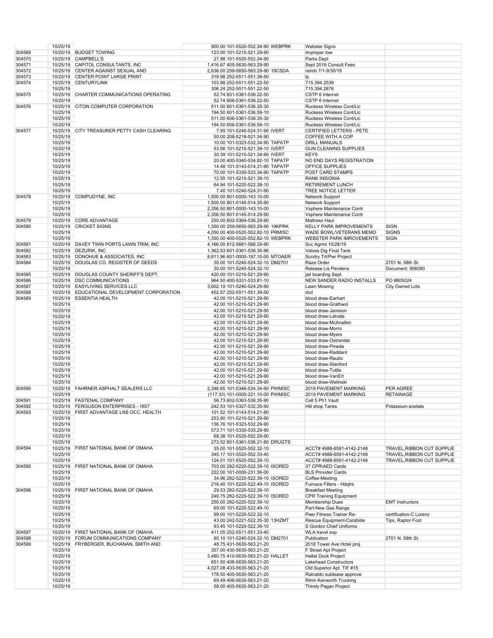|        | 10/25/19             |                                          | 900.00 101-5520-552.34-90 WEBPRK                     | <b>Webster Signs</b>                            |                            |
|--------|----------------------|------------------------------------------|------------------------------------------------------|-------------------------------------------------|----------------------------|
| 304569 |                      | 10/25/19 BUDGET TOWING                   | 123.00 101-5210-521.29-90                            | Improper tow                                    |                            |
|        |                      | 10/25/19 CAMPBELL'S                      |                                                      |                                                 |                            |
| 304570 |                      |                                          | 27.98 101-5520-552.34-90                             | Parks Dept                                      |                            |
| 304571 | 10/25/19             | CAPITOL CONSULTANTS, INC                 | 1,416.67 405-5630-563.29-90                          | Sept 2019 Consult Fees                          |                            |
| 304572 |                      | 10/25/19 CENTER AGAINST SEXUAL AND       | 2,636.00 259-5650-565.29-90 19CSDA                   | reimb 7/1-9/30/19                               |                            |
| 304573 | 10/25/19             | CENTER POINT LARGE PRINT                 | 319.98 252-5511-551.39-50                            | Ip                                              |                            |
| 304574 |                      | 10/25/19 CENTURYLINK                     | 103.88 252-5511-551.22-50                            | 715.394.2539                                    |                            |
|        | 10/25/19             |                                          | 306.24 252-5511-551.22-50                            | 715.394.2876                                    |                            |
| 304575 | 10/25/19             | CHARTER COMMUNICATIONS OPERATING         | 52.74 601-5361-536.22-50                             | CSTP 6 Internet                                 |                            |
|        | 10/25/19             |                                          | 52.74 606-5361-536.22-50                             | CSTP 6 Internet                                 |                            |
|        |                      |                                          |                                                      |                                                 |                            |
| 304576 | 10/25/19             | <b>CITON COMPUTER CORPORATION</b>        | 511.00 601-5361-536.35-30                            | Ruckess Wireless Cont/Lic                       |                            |
|        | 10/25/19             |                                          | 194.50 601-5361-536.59-10                            | Ruckess Wireless Cont/Lic                       |                            |
|        | 10/25/19             |                                          | 511.00 606-5361-536.35-30                            | Ruckess Wireless Cont/Lic                       |                            |
|        | 10/25/19             |                                          | 194.50 606-5361-536.59-10                            | Ruckess Wireless Cont/Lic                       |                            |
| 304577 | 10/25/19             | CITY TREASURER PETTY CASH CLEARING       | 7.95 101-5240-524.31-90 IVERT                        | CERTIFIED LETTERS - PETE                        |                            |
|        | 10/25/19             |                                          | 50.00 208-5218-521.34-90                             | COFFEE WITH A COP                               |                            |
|        |                      |                                          |                                                      |                                                 |                            |
|        | 10/25/19             |                                          | 10.00 101-5323-532.34-90 TAPATP                      | <b>DRILL MANUALS</b>                            |                            |
|        | 10/25/19             |                                          | 53.56 101-5210-521.39-10 IVERT                       | <b>GUN CLEANING SUPPLIES</b>                    |                            |
|        | 10/25/19             |                                          | 30.39 101-5210-521.34-90 IVERT                       | <b>KEYS</b>                                     |                            |
|        | 10/25/19             |                                          | 20.00 400-5340-534.82-10 TAPATP                      | NO END DAYS REGISTRATION                        |                            |
|        | 10/25/19             |                                          | 14.48 101-5143-514.31-90 TAPATP                      | OFFICE SUPPLIES                                 |                            |
|        | 10/25/19             |                                          | 70.00 101-5330-533.34-90 TAPATP                      | POST CARD STAMPS                                |                            |
|        | 10/25/19             |                                          | 12.55 101-5210-521.39-10                             | <b>RANK INSIGNIA</b>                            |                            |
|        |                      |                                          |                                                      | <b>RETIREMENT LUNCH</b>                         |                            |
|        | 10/25/19             |                                          | 64.94 101-5220-522.39-10                             |                                                 |                            |
|        | 10/25/19             |                                          | 7.40 101-5240-524.31-90                              | TREE NOTICE LETTER                              |                            |
| 304578 | 10/25/19             | COMPUDYNE, INC                           | 1,500.00 801-0000-143.10-00                          | Network Support                                 |                            |
|        | 10/25/19             |                                          | 1,500.00 801-5145-514.35-90                          | <b>Network Support</b>                          |                            |
|        | 10/25/19             |                                          | 2,356.50 801-0000-143.10-00                          | Vsphere Maintenance Contr                       |                            |
|        | 10/25/19             |                                          | 2,356.50 801-5145-514.29-90                          | Vsphere Maintenance Contr                       |                            |
| 304579 | 10/25/19             | <b>CORE ADVANTAGE</b>                    | 250.00 602-5364-536.29-90                            | <b>Mattress Haul</b>                            |                            |
| 304580 | 10/25/19             | <b>CRICKET SIGNS</b>                     |                                                      | <b>KELLY PARK IMPROVEMENTS</b>                  | <b>SIGN</b>                |
|        |                      |                                          | 1,350.00 259-5650-565.29-90 19KPRK                   |                                                 |                            |
|        | 10/25/19             |                                          | 4,050.00 400-5520-552.82-10 PRMISC                   | WADE BOWL/VETERANS MEMO                         | <b>SIGNS</b>               |
|        | 10/25/19             |                                          | 1,350.00 400-5520-552.82-10 WEBPRK                   | <b>WEBSTER PARK IMROVEMENTS</b>                 | <b>SIGN</b>                |
| 304581 |                      | 10/25/19 DAVEY TWIN PORTS LAWN TRIM, INC | 4,166.00 812-5661-566.29-90                          | Svc Agrmt 10/28/19                              |                            |
| 304582 | 10/25/19             | DEZURIK, INC                             | 1.362.53 601-5361-536.35-96                          | Valves Dig Final Tank                           |                            |
| 304583 | 10/25/19             | DONOHUE & ASSOCIATES, INC.               | 8,811.96 601-0000-187.10-00 MTOAER                   | Scndry Trt/Pwr Project                          |                            |
| 304584 | 10/25/19             | DOUGLAS CO. REGISTER OF DEEDS            | 30.00 101-5240-524.32-10 DM2701                      | Raze Order                                      | 2701 N. 58th St.           |
|        |                      |                                          |                                                      |                                                 |                            |
|        | 10/25/19             |                                          | 30.00 101-5240-524.32-10                             | Release Lis Pendens                             | Document: 906090           |
| 304585 | 10/25/19             | DOUGLAS COUNTY SHERIFF'S DEPT.           | 420.00 101-5210-521.29-90                            | jail boarding Sept.                             |                            |
| 304586 | 10/25/19             | <b>DSC COMMUNICATIONS</b>                | 964.50 400-5331-533.81-10                            | NEW SANDER RADIO INSTALLS                       | PO #805024                 |
| 304587 |                      | 10/25/19 EASYLIVING SERVICES LLC         | 3,602.19 101-5240-524.29-90                          | Lawn Mowing                                     | City Owned Lots            |
| 304588 | 10/25/19             | EDUCATIONAL DEVELOPMENT CORPORATION      | 452.57 252-5511-551.39-50                            | dvd                                             |                            |
| 304589 |                      | 10/25/19 ESSENTIA HEALTH                 | 42.00 101-5210-521.29-90                             | blood draw-Earhart                              |                            |
|        | 10/25/19             |                                          | 42.00 101-5210-521.29-90                             | blood draw-Grathwol                             |                            |
|        |                      |                                          |                                                      |                                                 |                            |
|        | 10/25/19             |                                          | 42.00 101-5210-521.29-90                             | blood draw-Jamison                              |                            |
|        | 10/25/19             |                                          | 42.00 101-5210-521.29-90                             | blood draw-Latvala                              |                            |
|        | 10/25/19             |                                          | 42.00 101-5210-521.29-90                             | blood draw-McAnallen                            |                            |
|        | 10/25/19             |                                          | 42.00 101-5210-521.29-90                             | blood draw-Morro                                |                            |
|        | 10/25/19             |                                          | 42.00 101-5210-521.29-90                             | blood draw-Myers                                |                            |
|        | 10/25/19             |                                          | 42.00 101-5210-521.29-90                             | blood draw-Ostrander                            |                            |
|        | 10/25/19             |                                          | 42.00 101-5210-521.29-90                             | blood draw-Pineda                               |                            |
|        |                      |                                          |                                                      | blood draw-Raddant                              |                            |
|        | 10/25/19             |                                          | 42.00 101-5210-521.29-90                             |                                                 |                            |
|        | 10/25/19             |                                          | 42.00 101-5210-521.29-90                             | blood draw-Rautio                               |                            |
|        | 10/25/19             |                                          | 42.00 101-5210-521.29-90                             | blood draw-Stanford                             |                            |
|        | 10/25/19             |                                          | 42.00 101-5210-521.29-90                             | blood draw-Tuttle                               |                            |
|        | 10/25/19             |                                          | 42.00 101-5210-521.29-90                             | blood draw-VanErt                               |                            |
|        | 10/25/19             |                                          | 42.00 101-5210-521.29-90                             | blood draw-Welinski                             |                            |
| 304590 | 10/25/19             |                                          |                                                      |                                                 |                            |
|        |                      |                                          |                                                      |                                                 |                            |
|        |                      | <b>FAHRNER ASPHALT SEALERS LLC</b>       | 2,346.65 101-5346-534.34-90 PWMISC                   | 2019 PAVEMENT MARKING                           | PER AGREE                  |
|        | 10/25/19             |                                          | (117.33) 101-0000-221.10-00 PWMISC                   | 2019 PAVEMENT MARKING                           | <b>RETAINAGE</b>           |
| 304591 | 10/25/19             | <b>FASTENAL COMPANY</b>                  | 56.73 602-5363-536.35-90                             | Cell 5 Ph1 Vault                                |                            |
| 304592 |                      | 10/25/19 FERGUSON ENTERPRISES - 1657     | 242.53 101-5327-532.35-90                            | Hill shop Tanks                                 | Potassium acetate          |
| 304593 | 10/25/19             | FIRST ADVANTAGE LNS OCC. HEALTH          | 101.52 101-5143-514.21-80                            |                                                 |                            |
|        | 10/25/19             |                                          | 253.80 101-5210-521.29-90                            |                                                 |                            |
|        | 10/25/19             |                                          | 136.76 101-5323-532.29-90                            |                                                 |                            |
|        | 10/25/19             |                                          | 573.71 101-5330-533.29-90                            |                                                 |                            |
|        |                      |                                          |                                                      |                                                 |                            |
|        | 10/25/19             |                                          | 68.38 101-5520-552.29-90                             |                                                 |                            |
|        | 10/25/19             |                                          | 273.52 601-5361-536.21-80 DRUGTS                     |                                                 |                            |
| 304594 |                      | 10/25/19 FIRST NATIONAL BANK OF OMAHA    | 35.00 101-5520-552.32-10                             | ACCT# 4988-6591-4142-2148                       | TRAVEL, RIBBON CUT SUPPLIE |
|        | 10/25/19             |                                          | 345.17 101-5520-552.33-40                            | ACCT# 4988-6591-4142-2148                       | TRAVEL, RIBBON CUT SUPPLIE |
|        | 10/25/19             |                                          | 124.01 101-5520-552.39-10                            | ACCT# 4988-6591-4142-2148                       | TRAVEL, RIBBON CUT SUPPLIE |
| 304595 |                      | 10/25/19 FIRST NATIONAL BANK OF OMAHA    | 703.00 282-5220-522.39-10 ISORED                     | 37 CPR\AED Cards                                |                            |
|        | 10/25/19             |                                          | 222.00 101-0000-231.56-00                            | <b>BLS Provider Cards</b>                       |                            |
|        | 10/25/19             |                                          | 34.96 282-5220-522.39-10 ISORED                      | Coffee-Meeting                                  |                            |
|        |                      |                                          |                                                      |                                                 |                            |
|        | 10/25/19             |                                          | 218.40 101-5220-522.49-10 ISORED                     | Furnace Filters - Hdgtrs                        |                            |
| 304596 |                      | 10/25/19 FIRST NATIONAL BANK OF OMAHA    | 29.53 282-5220-522.39-10                             | <b>Breakfast Meeting</b>                        |                            |
|        | 10/25/19             |                                          | 249.75 282-5220-522.39-10 ISORED                     | <b>CPR Training Equipment</b>                   |                            |
|        | 10/25/19             |                                          | 250.00 282-5220-522.39-10                            | Membership Dues                                 | <b>EMT</b> Instructors     |
|        | 10/25/19             |                                          | 69.00 101-5220-522.49-10                             | Part-New Gas Range                              |                            |
|        | 10/25/19             |                                          | 99.00 101-5220-522.32-10                             | Peer Fitness Trainer Re-                        | certification-C Lorenz     |
|        | 10/25/19             |                                          | 43.00 242-5221-522.35-30 13HZMT                      | Rescue Equipment-Carabide                       | Tips, Raptor Foot          |
|        | 10/25/19             |                                          |                                                      | S Gordon Chief Uniforms                         |                            |
|        |                      |                                          | 93.45 101-5220-522.39-10                             |                                                 |                            |
| 304597 |                      | 10/25/19 FIRST NATIONAL BANK OF OMAHA    | 411.05 252-5511-551.33-40                            | WLA travel exp                                  |                            |
| 304598 | 10/25/19             | FORUM COMMUNICATIONS COMPANY             | 80.10 101-5240-524.32-10 DM2701                      | Publication                                     | 2701 N. 58th St.           |
| 304599 | 10/25/19             | FRYBERGER, BUCHANAN, SMITH AND           | 48.75 431-5630-563.21-20                             | 2018 Tower Ave Hotel proj                       |                            |
|        | 10/25/19             |                                          | 357.00 430-5630-563.21-20                            | F Street Apt Project                            |                            |
|        | 10/25/19             |                                          | 3,480.75 410-5630-563.21-20 HALLET                   | <b>Hallet Dock Project</b>                      |                            |
|        | 10/25/19             |                                          | 651.50 406-5630-563.21-20                            | <b>Lakehead Constructors</b>                    |                            |
|        |                      |                                          |                                                      |                                                 |                            |
|        | 10/25/19             |                                          | 4,027.08 433-5630-563.21-20                          | Old Superior Apt. TIF #15                       |                            |
|        | 10/25/19             |                                          | 178.50 405-5630-563.21-20                            | Rainaldo sublease approve                       |                            |
|        | 10/25/19<br>10/25/19 |                                          | 69.49 406-5630-563.21-20<br>58.00 405-5630-563.21-20 | Rihm Kenworth Trucking<br>Thirsty Pagan Project |                            |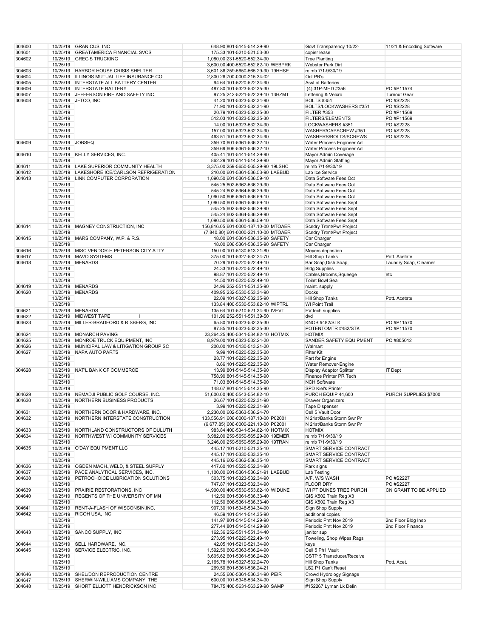| 304600 |          | 10/25/19 GRANICUS, INC                     | 648.90 801-5145-514.29-90            | Govt Transparency 10/22-   | 11/21 & Encoding Software |
|--------|----------|--------------------------------------------|--------------------------------------|----------------------------|---------------------------|
|        |          |                                            |                                      |                            |                           |
| 304601 | 10/25/19 | <b>GREATAMERICA FINANCIAL SVCS</b>         | 175.33 101-5210-521.53-30            | copier lease               |                           |
| 304602 | 10/25/19 | <b>GREG'S TRUCKING</b>                     | 1,080.00 231-5520-552.34-90          | <b>Tree Planting</b>       |                           |
|        | 10/25/19 |                                            | 3,600.00 400-5520-552.82-10 WEBPRK   | Webster Park Dirt          |                           |
| 304603 | 10/25/19 | <b>HARBOR HOUSE CRISIS SHELTER</b>         | 3,601.86 259-5650-565.29-90 19HHSE   | reimb 7/1-9/30/19          |                           |
|        |          |                                            |                                      |                            |                           |
| 304604 | 10/25/19 | ILLINOIS MUTUAL LIFE INSURANCE CO.         | 2,800.26 700-0000-215.34-02          | Oct PR's                   |                           |
| 304605 | 10/25/19 | <b>INTERSTATE ALL BATTERY CENTER</b>       | 94.64 101-5220-522.34-90             | Asst of Batteries          |                           |
| 304606 | 10/25/19 | <b>INTERSTATE BATTERY</b>                  | 487.80 101-5323-532.35-30            | (4) 31P-MHD #356           | PO #P11574                |
| 304607 | 10/25/19 | JEFFERSON FIRE AND SAFETY INC.             |                                      | Lettering & Velcro         | <b>Turnout Gear</b>       |
|        |          |                                            | 97.25 242-5221-522.39-10 13HZMT      |                            |                           |
| 304608 | 10/25/19 | JFTCO, INC                                 | 41.20 101-5323-532.34-90             | <b>BOLTS #351</b>          | PO #S2228                 |
|        | 10/25/19 |                                            | 71.90 101-5323-532.34-90             | BOLTS/LOCKWASHERS #351     | PO #S2228                 |
|        | 10/25/19 |                                            | 20.79 101-5323-532.35-30             | FILTER #353                | PO #P11569                |
|        |          |                                            |                                      |                            |                           |
|        | 10/25/19 |                                            | 512.03 101-5323-532.35-30            | <b>FILTERS/ELEMENTS</b>    | PO #P11569                |
|        | 10/25/19 |                                            | 14.00 101-5323-532.34-90             | LOCKWASHERS #351           | PO #S2228                 |
|        | 10/25/19 |                                            | 157.00 101-5323-532.34-90            | WASHER/CAPSCREW #351       | PO #S2228                 |
|        |          |                                            |                                      |                            |                           |
|        | 10/25/19 |                                            | 463.51 101-5323-532.34-90            | WASHERS/BOLTS/SCREWS       | PO #S2228                 |
| 304609 | 10/25/19 | <b>JOBSHQ</b>                              | 359.70 601-5361-536.32-10            | Water Process Engineer Ad  |                           |
|        | 10/25/19 |                                            | 359.69 606-5361-536.32-10            | Water Process Engineer Ad  |                           |
| 304610 |          | <b>KELLY SERVICES, INC.</b>                |                                      |                            |                           |
|        | 10/25/19 |                                            | 405.41 101-5141-514.29-90            | Mayor Admin Coverage       |                           |
|        | 10/25/19 |                                            | 862.29 101-5141-514.29-90            | Mayor Admin Staffing       |                           |
| 304611 | 10/25/19 | LAKE SUPERIOR COMMUNITY HEALTH             | 3,375.00 259-5650-565.29-90 19LSHC   | reimb 7/1-9/30/19          |                           |
| 304612 | 10/25/19 | LAKESHORE ICE/CARLSON REFRIGERATION        | 210.00 601-5361-536.53-90 LABBUD     | Lab Ice Service            |                           |
|        |          |                                            |                                      |                            |                           |
| 304613 | 10/25/19 | LINK COMPUTER CORPORATION                  | 1,090.50 601-5361-536.59-10          | Data Software Fees Oct     |                           |
|        | 10/25/19 |                                            | 545.25 602-5362-536.29-90            | Data Software Fees Oct     |                           |
|        | 10/25/19 |                                            | 545.24 602-5364-536.29-90            | Data Software Fees Oct     |                           |
|        |          |                                            |                                      | Data Software Fees Oct     |                           |
|        | 10/25/19 |                                            | 1,090.50 606-5361-536.59-10          |                            |                           |
|        | 10/25/19 |                                            | 1,090.50 601-5361-536.59-10          | Data Software Fees Sept    |                           |
|        | 10/25/19 |                                            | 545.25 602-5362-536.29-90            | Data Software Fees Sept    |                           |
|        | 10/25/19 |                                            | 545.24 602-5364-536.29-90            | Data Software Fees Sept    |                           |
|        |          |                                            |                                      |                            |                           |
|        | 10/25/19 |                                            | 1,090.50 606-5361-536.59-10          | Data Software Fees Sept    |                           |
| 304614 | 10/25/19 | MAGNEY CONSTRUCTION, INC.                  | 156,816.05 601-0000-187.10-00 MTOAER | Scndry Trtmt/Pwr Project   |                           |
|        | 10/25/19 |                                            | (7,840.80) 601-0000-221.10-00 MTOAER | Scndry Trtmt/Pwr Project   |                           |
|        |          |                                            |                                      |                            |                           |
| 304615 | 10/25/19 | MARS COMPANY, W.P. & R.S.                  | 18.00 601-5361-536.35-90 SAFETY      | Car Charger                |                           |
|        | 10/25/19 |                                            | 18.00 606-5361-536.35-90 SAFETY      | Car Charger                |                           |
| 304616 | 10/25/19 | MISC.VENDOR-H PETERSON CITY ATTY           | 150.00 101-5130-513.21-80            | Meyers depostion           |                           |
|        |          |                                            |                                      |                            |                           |
| 304617 | 10/25/19 | <b>MAVO SYSTEMS</b>                        | 375.00 101-5327-532.24-70            | <b>Hill Shop Tanks</b>     | Pott. Acetate             |
| 304618 | 10/25/19 | <b>MENARDS</b>                             | 70.29 101-5220-522.49-10             | Bar Soap, Dish Soap,       | Laundry Soap, Clearner    |
|        | 10/25/19 |                                            | 24.33 101-5220-522.49-10             | <b>Bldg Supplies</b>       |                           |
|        |          |                                            |                                      |                            |                           |
|        | 10/25/19 |                                            | 98.87 101-5220-522.49-10             | Cables, Brooms, Squeege    | etc                       |
|        | 10/25/19 |                                            | 14.50 101-5220-522.49-10             | <b>Toilet Bowl Seal</b>    |                           |
| 304619 | 10/25/19 | <b>MENARDS</b>                             | 24.96 252-5511-551.35-90             | maint. supply              |                           |
|        | 10/25/19 | <b>MENARDS</b>                             |                                      |                            |                           |
| 304620 |          |                                            | 409.95 232-5530-553.34-90            | Docks                      |                           |
|        | 10/25/19 |                                            | 22.09 101-5327-532.35-90             | <b>Hill Shop Tanks</b>     | Pott. Acetate             |
|        | 10/25/19 |                                            | 133.84 400-5530-553.82-10 WIPTRL     | <b>WI Point Trail</b>      |                           |
| 304621 |          | 10/25/19 MENARDS                           | 135.64 101-5210-521.34-90 IVEVT      | EV tech supplies           |                           |
|        |          |                                            |                                      |                            |                           |
| 304622 | 10/25/19 | <b>MIDWEST TAPE</b>                        | 101.96 252-5511-551.39-50            | dvd                        |                           |
| 304623 |          | 10/25/19 MILLER-BRADFORD & RISBERG, INC    | 65.80 101-5323-532.35-30             | KNOB #482/STK              | PO #P11570                |
|        | 10/25/19 |                                            | 87.85 101-5323-532.35-30             | POTENTOMTR #482/STK        | PO #P11570                |
|        |          |                                            |                                      |                            |                           |
| 304624 |          | 10/25/19 MONARCH PAVING                    | 23,264.25 400-5341-534.82-10 HOTMIX  | <b>HOTMIX</b>              |                           |
| 304625 | 10/25/19 | MONROE TRUCK EQUIPMENT, INC                | 8,979.00 101-5323-532.24-20          | SANDER SAFETY EQUIPMENT    | PO #805012                |
| 304626 | 10/25/19 | MUNICIPAL LAW & LITIGATION GROUP SC        | 200.00 101-5130-513.21-20            | Walmart                    |                           |
| 304627 |          | 10/25/19 NAPA AUTO PARTS                   | 9.99 101-5220-522.35-20              | <b>Filter Kit</b>          |                           |
|        |          |                                            |                                      |                            |                           |
|        | 10/25/19 |                                            | 28.77 101-5220-522.35-20             | Part for Engine            |                           |
|        | 10/25/19 |                                            | 8.66 101-5220-522.35-20              | Water Remover-Engine       |                           |
| 304628 | 10/25/19 | NAT'L BANK OF COMMERCE                     | 13.99 801-5145-514.35-90             | Display Adaptor Splitter   | IT Dept                   |
|        |          |                                            |                                      |                            |                           |
|        | 10/25/19 |                                            | 758.90 801-5145-514.35-90            | Finance Printer PR Tech    |                           |
|        | 10/25/19 |                                            | 71.03 801-5145-514.35-90             | <b>NCH Software</b>        |                           |
|        | 10/25/19 |                                            | 148.67 801-5145-514.35-90            | <b>SPD Kiel's Printer</b>  |                           |
|        |          |                                            |                                      |                            | PURCH SUPPLIES \$7000     |
| 304629 | 10/25/19 | NEMADJI PUBLIC GOLF COURSE, INC.           | 51,600.00 400-5543-554.82-10         | PURCH EQUIP 44,600         |                           |
| 304630 | 10/25/19 | NORTHERN BUSINESS PRODUCTS                 | 26.67 101-5220-522.31-90             | <b>Drawer Organizers</b>   |                           |
|        | 10/25/19 |                                            | 3.99 101-5220-522.31-90              | <b>Tape Dispenser</b>      |                           |
|        |          |                                            | 2,230.00 602-5363-536.24-70          | Cell 5 Vault Door          |                           |
| 304631 |          | 10/25/19 NORTHERN DOOR & HARDWARE, INC.    |                                      |                            |                           |
| 304632 | 10/25/19 | NORTHERN INTERSTATE CONSTRUCTION           | 133,556.91 606-0000-187.10-00 P02001 | N 21st/Banks Storm Swr Pr  |                           |
|        | 10/25/19 |                                            | (6,677.85) 606-0000-221.10-00 P02001 | N 21st/Banks Storm Swr Pr  |                           |
| 304633 |          | 10/25/19 NORTHLAND CONSTRUCTORS OF DULUTH  | 983.84 400-5341-534.82-10 HOTMIX     | <b>HOTMIX</b>              |                           |
|        |          |                                            |                                      |                            |                           |
| 304634 | 10/25/19 | NORTHWEST WI COMMUNITY SERVICES            | 3,982.00 259-5650-565.29-90 19EMER   | reimb 7/1-9/30/19          |                           |
|        | 10/25/19 |                                            | 3,246.00 259-5650-565.29-90 19TRAN   | reimb 7/1-9/30/19          |                           |
| 304635 |          | 10/25/19 O'DAY EQUIPMENT LLC               | 445.17 101-5210-521.35-10            | SMART SERVICE CONTRACT     |                           |
|        | 10/25/19 |                                            | 445.17 101-5330-533.35-10            | SMART SERVICE CONTRACT     |                           |
|        |          |                                            |                                      |                            |                           |
|        | 10/25/19 |                                            | 445.16 602-5362-536.35-10            | SMART SERVICE CONTRACT     |                           |
| 304636 |          | 10/25/19 OGDEN MACH., WELD, & STEEL SUPPLY | 417.60 101-5520-552.34-90            | Park signs                 |                           |
| 304637 |          | 10/25/19 PACE ANALYTICAL SERVICES, INC.    | 1,100.00 601-5361-536.21-91 LABBUD   | Lab Testing                |                           |
| 304638 |          | 10/25/19 PETROCHOICE LUBRICATION SOLUTIONS | 503.75 101-5323-532.34-90            | A/F, W/S WASH              | PO #S2227                 |
|        |          |                                            |                                      |                            |                           |
|        | 10/25/19 |                                            | 747.87 101-5323-532.34-90            | <b>FLOOR DRY</b>           | PO #S2227                 |
| 304639 |          | 10/25/19 PRAIRIE RESTORATIONS, INC         | 14,900.00 400-5530-553.82-10 WIDUNE  | WI PT DUNES TREE PURCH     | CN GRANT TO BE APPLIED    |
| 304640 |          | 10/25/19 REGENTS OF THE UNIVERSITY OF MN   | 112.50 601-5361-536.33-40            | GIS X502 Train Reg X3      |                           |
|        |          |                                            |                                      |                            |                           |
|        | 10/25/19 |                                            | 112.50 606-5361-536.33-40            | GIS X502 Train Reg X3      |                           |
| 304641 |          | 10/25/19 RENT-A-FLASH OF WISCONSIN, INC.   | 907.30 101-5346-534.34-90            | Sign Shop Supply           |                           |
| 304642 | 10/25/19 | RICOH USA, INC                             | 46.59 101-5141-514.35-90             | additional copies          |                           |
|        | 10/25/19 |                                            |                                      |                            |                           |
|        |          |                                            | 141.97 801-5145-514.29-90            | Periodic Pmt Nov 2019      | 2nd Floor Bldg Insp       |
|        | 10/25/19 |                                            | 277.44 801-5145-514.29-90            | Periodic Pmt Nov 2019      | 2nd Floor Finance         |
| 304643 |          | 10/25/19 SANCO SUPPLY, INC                 | 162.36 252-5511-551.34-40            | janitor sup                |                           |
|        |          |                                            |                                      |                            |                           |
|        | 10/25/19 |                                            | 273.95 101-5220-522.49-10            | Toweling, Shop Wipes, Rags |                           |
| 304644 |          | 10/25/19 SELL HARDWARE, INC.               | 42.05 101-5210-521.34-90             | keys                       |                           |
| 304645 | 10/25/19 | SERVICE ELECTRIC, INC.                     | 1,592.50 602-5363-536.24-90          | Cell 5 Ph1 Vault           |                           |
|        | 10/25/19 |                                            |                                      | CSTP 5 Transducer/Receive  |                           |
|        |          |                                            | 3,605.62 601-5361-536.24-20          |                            |                           |
|        | 10/25/19 |                                            | 2,165.78 101-5327-532.24-70          | Hill Shop Tanks            | Pott. Acet.               |
|        | 10/25/19 |                                            | 269.50 601-5361-536.24-21            | LS2 P1 Can't Reset         |                           |
| 304646 |          | 10/25/19 SHEL/DON REPRODUCTION CENTRE      | 24.55 606-5361-536.34-90 PEIR        | Crowd Hydrology Signage    |                           |
|        |          |                                            |                                      |                            |                           |
| 304647 |          | 10/25/19 SHERWIN-WILLIAMS COMPANY, THE     | 600.00 101-5346-534.34-90            | Sign Shop Supply           |                           |
| 304648 |          | 10/25/19 SHORT ELLIOTT HENDRICKSON INC     | 784.75 400-5631-563.29-90 SAMP       | #152267 Lyman Lk Delin     |                           |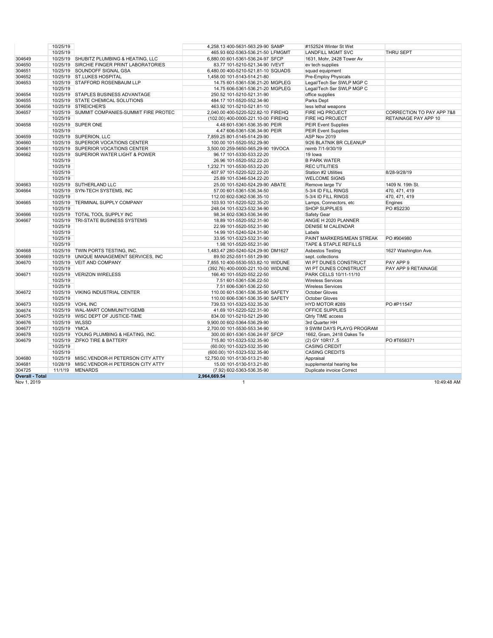|                        | 10/25/19      |                                              | 4,258.13 400-5631-563.29-90 SAMP   | #152524 Winter St Wet      |                           |
|------------------------|---------------|----------------------------------------------|------------------------------------|----------------------------|---------------------------|
|                        | 10/25/19      |                                              | 465.93 602-5363-536.21-50 LFMGMT   | <b>LANDFILL MGMT SVC</b>   | THRU SEPT                 |
| 304649                 |               | 10/25/19 SHUBITZ PLUMBING & HEATING, LLC     | 6,880.00 601-5361-536.24-97 SFCP   | 1631, Mohr, 2428 Tower Av  |                           |
| 304650                 |               | 10/25/19 SIRCHIE FINGER PRINT LABORATORIES   | 83.77 101-5210-521.34-90 IVEVT     | ev tech supplies           |                           |
| 304651                 |               | 10/25/19 SOUNDOFF SIGNAL GSA                 | 6,480.00 400-5210-521.81-10 SQUADS | squad equipment            |                           |
| 304652                 |               | 10/25/19 ST.LUKES HOSPITAL                   | 1,458.00 101-5143-514.21-80        | Pre-Employ Physicals       |                           |
| 304653                 |               | 10/25/19 STAFFORD ROSENBAUM LLP              | 14.75 601-5361-536.21-20 MGPLEG    | Legal/Tech Ser SWLP MGP C  |                           |
|                        | 10/25/19      |                                              | 14.75 606-5361-536.21-20 MGPLEG    | Legal/Tech Ser SWLP MGP C  |                           |
| 304654                 |               | 10/25/19 STAPLES BUSINESS ADVANTAGE          | 250.52 101-5210-521.31-90          | office supplies            |                           |
| 304655                 |               | 10/25/19 STATE CHEMICAL SOLUTIONS            | 484.17 101-5520-552.34-90          | Parks Dept                 |                           |
| 304656                 |               | 10/25/19 STREICHER'S                         | 463.92 101-5210-521.81-10          | less lethal weapons        |                           |
| 304657                 |               | 10/25/19 SUMMIT COMPANIES-SUMMIT FIRE PROTEC | 2,040.00 400-5220-522.82-10 FIREHQ | FIRE HQ PROJECT            | CORRECTION TO PAY APP 7&8 |
|                        | 10/25/19      |                                              | (102.00) 400-0000-221.10-00 FIREHQ | FIRE HQ PROJECT            | RETAINAGE PAY APP 10      |
| 304658                 |               | 10/25/19 SUPER ONE                           | 4.48 601-5361-536.35-90 PEIR       | <b>PEIR Event Supplies</b> |                           |
|                        | 10/25/19      |                                              | 4.47 606-5361-536.34-90 PEIR       | <b>PEIR Event Supplies</b> |                           |
| 304659                 |               | 10/25/19 SUPERION, LLC                       | 7,859.25 801-5145-514.29-90        | ASP Nov 2019               |                           |
| 304660                 |               | 10/25/19 SUPERIOR VOCATIONS CENTER           | 100.00 101-5520-552.29-90          | 9/26 BLATNIK BR CLEANUP    |                           |
| 304661                 |               | 10/25/19 SUPERIOR VOCATIONS CENTER           | 3,500.00 259-5650-565.29-90 19VOCA | reimb 7/1-9/30/19          |                           |
| 304662                 |               | 10/25/19 SUPERIOR WATER LIGHT & POWER        | 96.17 101-5330-533.22-20           | 19 lowa                    |                           |
|                        | 10/25/19      |                                              | 26.96 101-5520-552.22-20           | <b>B PARK WATER</b>        |                           |
|                        | 10/25/19      |                                              | 1,232.71 101-5530-553.22-20        | <b>REC UTILITIES</b>       |                           |
|                        | 10/25/19      |                                              | 407.97 101-5220-522.22-20          | Station #2 Utilities       | 8/28-9/28/19              |
|                        | 10/25/19      |                                              | 25.89 101-5346-534.22-20           | <b>WELCOME SIGNS</b>       |                           |
| 304663                 |               | 10/25/19 SUTHERLAND LLC                      | 25.00 101-5240-524.29-90 ABATE     | Remove large TV            | 1409 N. 19th St.          |
| 304664                 | 10/25/19      | SYN-TECH SYSTEMS, INC                        | 57.00 601-5361-536.34-50           | 5-3/4 ID FILL RINGS        | 470, 471, 419             |
|                        | 10/25/19      |                                              | 112.00 602-5362-536.35-10          | 5-3/4 ID FILL RINGS        | 470, 471, 419             |
| 304665                 |               | 10/25/19 TERMINAL SUPPLY COMPANY             | 103.93 101-5220-522.35-20          | Lamps, Connectors, etc     | Engines                   |
|                        | 10/25/19      |                                              | 248.04 101-5323-532.34-90          | <b>SHOP SUPPLIES</b>       | PO #S2230                 |
| 304666                 |               | 10/25/19 TOTAL TOOL SUPPLY INC               | 98.34 602-5363-536.34-90           | Safety Gear                |                           |
| 304667                 | 10/25/19      | <b>TRI-STATE BUSINESS SYSTEMS</b>            | 18.89 101-5520-552.31-90           | ANGIE H 2020 PLANNER       |                           |
|                        | 10/25/19      |                                              | 22.99 101-5520-552.31-90           | <b>DENISE M CALENDAR</b>   |                           |
|                        | 10/25/19      |                                              | 14.99 101-5240-524.31-90           | Labels                     |                           |
|                        | 10/25/19      |                                              | 33.95 101-5323-532.31-90           | PAINT MARKERS/MEAN STREAK  | PO #904980                |
|                        | 10/25/19      |                                              | 1.98 101-5520-552.31-90            | TAPE & STAPLE REFILLS      |                           |
| 304668                 |               | 10/25/19 TWIN PORTS TESTING, INC.            | 1,483.47 280-5240-524.29-90 DM1627 | Asbestos Testing           | 1627 Washington Ave.      |
| 304669                 |               | 10/25/19 UNIQUE MANAGEMENT SERVICES, INC.    | 89.50 252-5511-551.29-90           | sept. collections          |                           |
| 304670                 |               | 10/25/19 VEIT AND COMPANY                    | 7,855.10 400-5530-553.82-10 WIDUNE | WI PT DUNES CONSTRUCT      | PAY APP 9                 |
|                        | 10/25/19      |                                              | (392.76) 400-0000-221.10-00 WIDUNE | WI PT DUNES CONSTRUCT      | PAY APP 9 RETAINAGE       |
| 304671                 |               | 10/25/19 VERIZON WIRELESS                    | 166.40 101-5520-552.22-50          | PARK CELLS 10/11-11/10     |                           |
|                        | 10/25/19      |                                              | 7.51 601-5361-536.22-50            | <b>Wireless Services</b>   |                           |
|                        | 10/25/19      |                                              | 7.51 606-5361-536.22-50            | <b>Wireless Services</b>   |                           |
| 304672                 |               | 10/25/19 VIKING INDUSTRIAL CENTER            | 110.00 601-5361-536.35-90 SAFETY   | October Gloves             |                           |
|                        | 10/25/19      |                                              | 110.00 606-5361-536.35-90 SAFETY   | October Gloves             |                           |
| 304673                 |               | 10/25/19 VOHL INC                            | 739.53 101-5323-532.35-30          | HYD MOTOR #289             | PO #P11547                |
| 304674                 |               | 10/25/19 WAL-MART COMMUNITY/GEMB             | 41.69 101-5220-522.31-90           | OFFICE SUPPLIES            |                           |
| 304675                 |               | 10/25/19 WISC DEPT OF JUSTICE-TIME           | 834.00 101-5210-521.29-90          | Qtrly TIME access          |                           |
| 304676                 |               | 10/25/19 WLSSD                               | 9,900.00 602-5364-536.29-90        | 3rd Quarter HH             |                           |
| 304677                 | 10/25/19 YMCA |                                              | 2,700.00 101-5530-553.34-90        | 9 SWIM DAYS PLAYG PROGRAM  |                           |
| 304678                 |               | 10/25/19 YOUNG PLUMBING & HEATING, INC.      | 300.00 601-5361-536.24-97 SFCP     | 1662, Gram, 2418 Oakes Te  |                           |
| 304679                 |               | 10/25/19 ZIFKO TIRE & BATTERY                | 715.80 101-5323-532.35-90          | (2) GY 10R175              | PO #T658371               |
|                        | 10/25/19      |                                              | (60.00) 101-5323-532.35-90         | <b>CASING CREDIT</b>       |                           |
|                        | 10/25/19      |                                              | (600.00) 101-5323-532.35-90        | <b>CASING CREDITS</b>      |                           |
| 304680                 |               | 10/25/19 MISC.VENDOR-H PETERSON CITY ATTY    | 12,750.00 101-5130-513.21-80       | Appraisal                  |                           |
| 304681                 |               | 10/28/19 MISC.VENDOR-H PETERSON CITY ATTY    | 15.00 101-5130-513.21-80           | supplemental hearing fee   |                           |
| 304725                 |               | 11/1/19 MENARDS                              | (7.92) 602-5363-536.35-90          | Duplicate invoice Correct  |                           |
| <b>Overall - Total</b> |               |                                              | 2,964,669.54                       |                            |                           |
|                        |               |                                              |                                    |                            |                           |

**Nov 1, 2019** 

Nov 1, 2019 1 10:49:48 AM